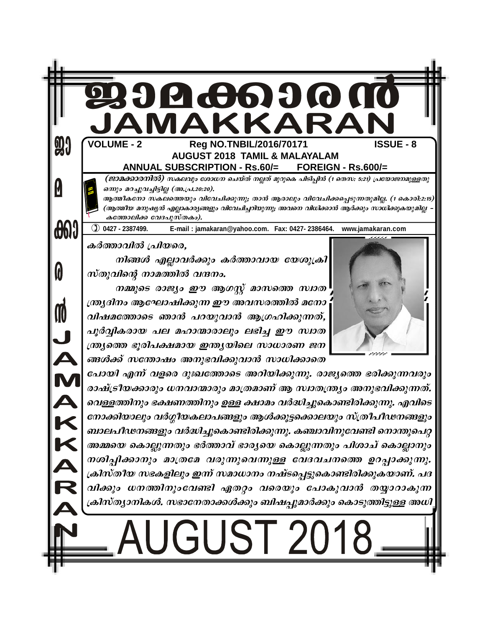|                   | <b>239066690000</b><br>JAMAKKARAN                                                                                                                                                                                                                                                                                                                      |
|-------------------|--------------------------------------------------------------------------------------------------------------------------------------------------------------------------------------------------------------------------------------------------------------------------------------------------------------------------------------------------------|
| 9                 | <b>VOLUME - 2</b><br><b>ISSUE - 8</b><br>Reg NO.TNBIL/2016/70171<br><b>AUGUST 2018 TAMIL &amp; MALAYALAM</b><br><b>ANNUAL SUBSCRIPTION - Rs.60/=</b><br>FOREIGN - Rs.600/=                                                                                                                                                                             |
| M                 | (ജാമക്കാരനിൽ) സകലവും ശോധന ചെയ്ത് നല്ലത് മുറുകെ പിടിപ്പിൻ (1 തെസ: 5:21) പ്രയോജനമുള്ളതു<br>ഒന്നും മറച്ചുവച്ചിട്ടില്ല (അ.പ്ര.20:20).<br>ആത്മീകനോ സകലത്തെയും വിവേചിക്കുന്നു; താൻ ആരാലും വിവേചിക്കപ്പെടുന്നതുമില്ല. (1 കൊരി:2:15)<br>(ആത്മീയ മനുഷ്യൻ എല്ലാകാര്യങ്ങളും വിവേചിച്ചറിയുന്നു; അവനെ വിധിക്കാൻ ആർക്കും സാധിക്കുകയുമില്ല<br>കത്തോലിക്ക വേദപുസ്തകം). |
| <b>001</b>        | $①$ 0427 - 2387499.<br>E-mail: jamakaran@yahoo.com. Fax: 0427-2386464. www.jamakaran.com<br>കർത്താവിൽ പ്രിയരെ,                                                                                                                                                                                                                                         |
| 0                 | നിങ്ങൾ എല്ലാവർക്കും കർത്താവായ യേശുക്രി<br>സ്തുവിന്റെ നാമത്തിൽ വന്ദനം.<br>നമ്മുടെ രാജ്യം ഈ ആഗസ്റ്റ് മാസത്തെ സ്ഥത                                                                                                                                                                                                                                        |
| M                 | ന്ത്ര്യദിനം ആഘോഷിക്കുന്ന ഈ അവസരത്തിൽ മനോ<br>വിഷമത്തോടെ ഞാൻ പറയുവാൻ ആഗ്രഹിക്കുന്നത്,<br>പൂർവ്വികരായ പല മഹാന്മാരാലും ലഭിച്ച ഈ സ്ഥത                                                                                                                                                                                                                       |
| $\mathbf{\Omega}$ | ന്ത്ര്യത്തെ ഭൂരിപക്ഷമായ ഇന്ത്യയിലെ സാധാരണ ജന<br>ങ്ങൾക്ക് സന്തോഷം അനുഭവിക്കുവാൻ സാധിക്കാതെ                                                                                                                                                                                                                                                              |
|                   | പോയി എന്ന് വളരെ ദുഃഖത്തോടെ അറിയിക്കുന്നു. രാജ്യത്തെ ഭരിക്കുന്നവരും<br>രാഷ്ട്രീയക്കാരും ധനവാന്മാരും മാത്രമാണ് ആ സ്വാതന്ത്ര്യം അനുഭവിക്കുന്നത്.<br>വെള്ളത്തിനും ഭക്ഷണത്തിനും ഉള്ള ക്ഷാമം വർദ്ധിച്ചുകൊണ്ടിരിക്കുന്നു. എവിടെ                                                                                                                               |
|                   | നോക്കിയാലും വർഗ്ഗീയകലാപങ്ങളും ആൾക്കൂട്ടക്കൊലയും സ്ത്രീപീഢനങ്ങളും<br>ബാലപീഢനങ്ങളും വർദ്ധിച്ചുകൊണ്ടിരിക്കുന്നു. കഞ്ചാവിനുവേണ്ടി നൊന്തുപെറ്റ                                                                                                                                                                                                              |
|                   | അമ്മയെ കൊല്ലുന്നതും ഭർത്താവ് ഭാര്യയെ കൊല്ലുന്നതും പിശാച് കൊല്ലാനും<br>നശിപ്പിക്കാനും മാത്രമേ വരുന്നുവെന്നുള്ള വേദവചനത്തെ ഉറപ്പാക്കുന്നു.<br>ക്രിസ്തീയ സഭകളിലും ഇന്ന് സമാധാനം നഷ്ടപ്പെട്ടുകൊണ്ടിരിക്കുകയാണ്. പദ                                                                                                                                         |
|                   | വിക്കും ധനത്തിനുംവേണ്ടി ഏതറ്റം വരെയും പോകുവാൻ തയ്യാറാകുന്ന<br>ക്രിസ്ത്യാനികൾ. സഭാനേതാക്കൾക്കും ബിഷപ്പുമാർക്കും കൊടുത്തിട്ടുള്ള അധി                                                                                                                                                                                                                     |
|                   | UGUST 201                                                                                                                                                                                                                                                                                                                                              |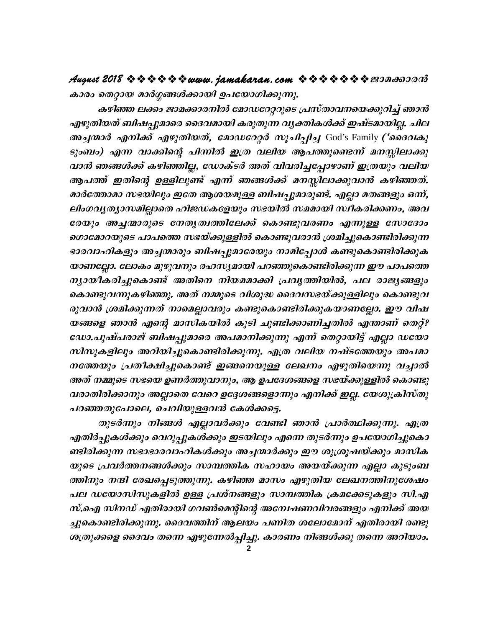കാരം തെറ്റായ മാർഗ്ഗങ്ങൾക്കായി ഉപയോഗിക്കുന്നു.

കഴിഞ്ഞ ലക്കം ജാമക്കാരനിൽ മോഡറേറ്ററുടെ പ്രസ്താവനയെക്കുറിച്ച് ഞാൻ എഴുതിയത് ബിഷപ്പുമാരെ ദൈവമായി കരുതുന്ന വൃക്തികൾക്ക് ഇഷ്ടമായില്ല. ചില അച്ചന്മാർ എനിക്ക് എഴുതിയത്, മോഡറേറ്റർ സൂചിപ്പിച്ച God's Family ('ദൈവകു ടുംബം) എന്ന വാക്കിന്റെ പിന്നിൽ ഇത്ര വലിയ ആപത്തുണ്ടെന്ന് മനസ്സിലാക്കു വാൻ ഞങ്ങൾക്ക് കഴിഞ്ഞില്ല, ഡോക്ടർ അത് വിവരിച്ചപ്പോഴാണ് ഇത്രയും വലിയ ആപത്ത് ഇതിന്റെ ഉള്ളിലുണ്ട് എന്ന് ഞങ്ങൾക്ക് മനസ്സിലാക്കുവാൻ കഴിഞ്ഞത്. മാർത്തോമാ സഭയിലും ഇതേ ആശയമുള്ള ബിഷപ്പുമാരുണ്ട്. എല്ലാ മതങ്ങളും ഒന്ന്, ലിംഗവൃത്യാസമില്ലാതെ ഹിജഡകളേയും സഭയിൽ സമമായി സ്ഥീകരിക്കണം, അവ രേയും അച്ചന്മാരുടെ നേതൃത്വത്തിലേക്ക് കൊണ്ടുവരണം എന്നുള്ള സോദോം ഗൊമോറയുടെ പാപത്തെ സഭയ്ക്കുള്ളിൽ കൊണ്ടുവരാൻ ശ്രമിച്ചുകൊണ്ടിരിക്കുന്ന ഭാരവാഹികളും അച്ചന്മാരും ബിഷപ്പുമാരേയും നാമിപ്പോൾ കണ്ടുകൊണ്ടിരിക്കുക യാണല്ലോ. ലോകം മുഴുവനും രഹസ്യമായി പറഞ്ഞുകൊണ്ടിരിക്കുന്ന ഈ പാപത്തെ ന്യായീകരിച്ചുകൊണ്ട് അതിനെ നിയമമാക്കി പ്രവൃത്തിയിൽ, പല രാജ്യങ്ങളും കൊണ്ടുവന്നുകഴിഞ്ഞു. അത് നമ്മുടെ വിശുദ്ധ ദൈവസഭയ്ക്കുള്ളിലും കൊണ്ടുവ രുവാൻ ശ്രമിക്കുന്നത് നാമെല്ലാവരും കണ്ടുകൊണ്ടിരിക്കുകയാണല്ലോ. ഈ വിഷ യങ്ങളെ ഞാൻ എന്റെ മാസികയിൽ കൂടി ചൂണ്ടിക്കാണിച്ചതിൽ എന്താണ് തെറ്റ്? ഡോ.പുഷ്പരാജ് ബിഷപ്പുമാരെ അപമാനിക്കുന്നു എന്ന് തെറ്റായിട്ട് എല്ലാ ഡയോ സിസുകളിലും അറിയിച്ചുകൊണ്ടിരിക്കുന്നു. എത്ര വലിയ നഷ്ടത്തേയും അപമാ നത്തേയും പ്രതീക്ഷിച്ചുകൊണ്ട് ഇങ്ങനെയുള്ള ലേഖനം എഴുതിയെന്നു വച്ചാൽ അത് നമ്മുടെ സഭയെ ഉണർത്തുവാനും, ആ ഉപദേശങ്ങളെ സഭയ്ക്കുള്ളിൽ കൊണ്ടു വരാതിരിക്കാനും അല്ലാതെ വേറെ ഉദ്ദേശങ്ങളൊന്നും എനിക്ക് ഇല്ല. യേശുക്രിസ്തു പറഞ്ഞതുപോലെ, ചെവിയുള്ളവൻ കേൾക്കട്ടെ.

തുടർന്നും നിങ്ങൾ എല്ലാവർക്കും വേണ്ടി ഞാൻ പ്രാർത്ഥിക്കുന്നു. എത്ര എതിർപ്പുകൾക്കും വെറുപ്പുകൾക്കും ഇടയിലും എന്നെ തുടർന്നും ഉപയോഗിച്ചുകൊ ണ്ടിരിക്കുന്ന സഭാഭാരവാഹികൾക്കും അച്ചന്മാർക്കും ഈ ശുശ്രൂഷയ്ക്കും മാസിക യുടെ പ്രവർത്തനങ്ങൾക്കും സാമ്പത്തിക സഹായം അയയ്ക്കുന്ന എല്ലാ കുടുംബ ത്തിനും നന്ദി രേഖപ്പെടുത്തുന്നു. കഴിഞ്ഞ മാസം എഴുതിയ ലേഖനത്തിനുശേഷം പല ഡയോസിസുകളിൽ ഉള്ള പ്രശ്നങ്ങളും സാമ്പത്തിക ക്രമക്കേടുകളും സി.എ സ്.ഐ സിനഡ് എതിരായി ഗവൺമെന്റിന്റെ അന്വേഷണവിവരങ്ങളും എനിക്ക് അയ ച്ചുകൊണ്ടിരിക്കുന്നു. ദൈവത്തിന് ആലയം പണിത ശലോമോന് എതിരായി രണ്ടു ശത്രുക്കളെ ദൈവം തന്നെ എഴുന്നേൽപ്പിച്ചു. കാരണം നിങ്ങൾക്കു തന്നെ അറിയാം.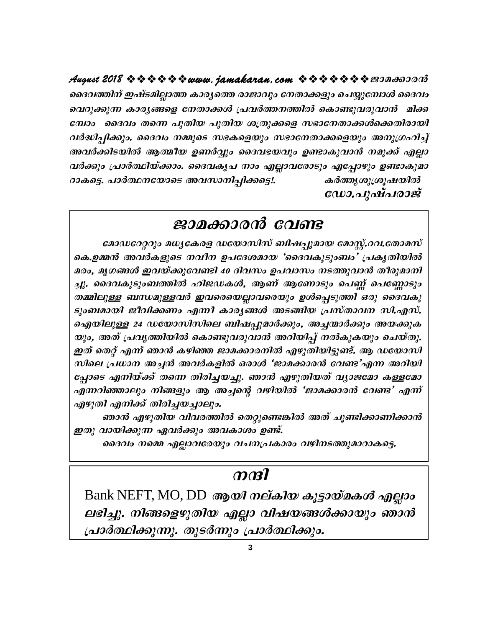ദൈവത്തിന് ഇഷ്ടമില്ലാത്ത കാര്യത്തെ രാജാവും നേതാക്കളും ചെയ്യുമ്പോൾ ദൈവം വെറുക്കുന്ന കാര്യങ്ങളെ നേതാക്കൾ പ്രവർത്തനത്തിൽ കൊണ്ടുവരുവാൻ മിക്ക മ്പോം ദൈവം തന്നെ പുതിയ പുതിയ ശത്രുക്കളെ സഭാനേതാക്കൾക്കെതിരായി വർദ്ധിപ്പിക്കും. ദൈവം നമ്മുടെ സഭകളെയും സഭാനേതാക്കളെയും അനുഗ്രഹിച്ച് അവർക്കിടയിൽ ആത്മീയ ഉണർവ്വും ദൈവഭയവും ഉണ്ടാകുവാൻ നമുക്ക് എല്ലാ വർക്കും പ്രാർത്ഥിയ്ക്കാം. ദൈവകൃപ നാം എല്ലാവരോടും എപ്പോഴും ഉണ്ടാകുമാ റാകട്ടെ. പാർത്ഥനയോടെ അവസാനിപ്പിക്കട്ടെ!. കർത്തുശുശൂഷയിൽ ഡോ.പുഷ്പരാജ്

### ജാമക്കാരൻ വേണ്ട

മോഡറേറ്ററും മധ്യകേരള ഡയോസിസ് ബിഷപ്പുമായ മോസ്റ്റ്.റവ.തോമസ് കെ.ഉമ്മൻ അവർകളുടെ നവീന ഉപദേശമായ 'ദൈവകുടുംബം' പ്രകൃതിയിൽ മരം, മൃഗങ്ങൾ ഇവയ്ക്കുവേണ്ടി 40 ദിവസം ഉപവാസം നടത്തുവാൻ തീരുമാനി ച്ചു. ദൈവകുടുംബത്തിൽ ഹിജഡകൾ, ആണ് ആണോടും പെണ്ണ് പെണ്ണോടും തമ്മിലുള്ള ബന്ധമുള്ളവർ ഇവരെയെല്ലാവരെയും ഉൾപ്പെടുത്തി ഒരു ദൈവകു ടുംബമായി ജീവിക്കണം എന്നീ കാരൃങ്ങൾ അടങ്ങിയ പ്രസ്താവന സി.എസ്. ഐയിലുള്ള 24 ഡയോസിസിലെ ബിഷപ്പുമാർക്കും, അച്ചന്മാർക്കും അയക്കുക യും, അത് പ്രവൃത്തിയിൽ കൊണ്ടുവരുവാൻ അറിയിപ്പ് നൽകുകയും ചെയ്തു. ഇത് തെറ്റ് എന്ന് ഞാൻ കഴിഞ്ഞ ജാമക്കാരനിൽ എഴുതിയിട്ടുണ്ട്. ആ ഡയോസി സിലെ പ്രധാന അച്ചൻ അവർകളിൽ ഒരാൾ 'ജാമക്കാരൻ വേണ്ട'എന്ന അറിയി പ്പോടെ എനിയ്ക്ക് തന്നെ തിരിച്ചയച്ചു. ഞാൻ എഴുതിയത് വ്യാജമോ കള്ളമോ എന്നറിഞ്ഞാലും നിങ്ങളും ആ അച്ചന്റെ വഴിയിൽ 'ജാമക്കാരൻ വേണ്ട' എന്ന് എഴുതി എനിക്ക് തിരിച്ചയച്ചാലും.

ഞാൻ എഴുതിയ വിവരത്തിൽ തെറ്റുണ്ടെങ്കിൽ അത് ചൂണ്ടിക്കാണിക്കാൻ ഇതു വായിക്കുന്ന ഏവർക്കും അവകാശം ഉണ്ട്.

ദൈവം നമ്മെ എല്ലാവരേയും വചനപ്രകാരം വഴിനടത്തുമാറാകട്ടെ.

### $m$  $n$

Bank NEFT, MO, DD ആയി നല്കിയ കൂട്ടായ്മകൾ എല്ലാം ലഭിച്ചു. നിങ്ങളെഴുതിയ എല്ലാ വിഷയങ്ങൾക്കായും ഞാൻ പ്രാർത്ഥിക്കുന്നു. തുടർന്നും പ്രാർത്ഥിക്കും.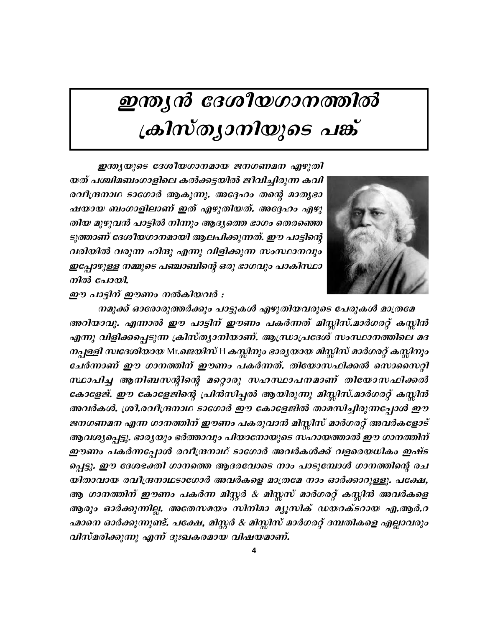# ഇന്ത്യൻ ദേശീയഗാനത്തിൽ ക്രിസ്ത്യാനിയുടെ പങ്ക്



ഇന്ത്യയുടെ ദേശീയഗാനമായ ജനഗണമന എഴുതി യത് പശ്ചിമബംഗാളിലെ കൽക്കട്ടയിൽ ജീവിച്ചിരുന്ന കവി രവീന്ദ്രനാഥ ടാഗോർ ആകുന്നു. അദ്ദേഹം തന്റെ മാതൃഭാ ഷയായ ബംഗാളിലാണ് ഇത് എഴുതിയത്. അദ്ദേഹം എഴു തിയ മുഴുവൻ പാട്ടിൽ നിന്നും ആദ്യത്തെ ഭാഗം തെരഞ്ഞെ ടുത്താണ് ദേശീയഗാനമായി ആലപിക്കുന്നത്. ഈ പാട്ടിന്റെ വരിയിൽ വരുന്ന ഹിന്ദു എന്നു വിളിക്കുന്ന സംസ്ഥാനവും ഇപ്പോഴുള്ള നമ്മുടെ പഞ്ചാബിന്റെ ഒരു ഭാഗവും പാകിസ്ഥാ നിൽ പോയി.

ഈ പാട്ടിന് ഈണം നൽകിയവർ :

നമുക്ക് ഓരോരുത്തർക്കും പാട്ടുകൾ എഴുതിയവരുടെ പേരുകൾ മാത്രമേ അറിയാവൂ. എന്നാൽ ഈ പാട്ടിന് ഈണം പകർന്നത് മിസ്സിസ്.മാർഗരറ്റ് കസ്സിൻ എന്നു വിളിക്കപ്പെടുന്ന ക്രിസ്ത്യാനിയാണ്. ആന്ധ്രാപ്രദേശ് സംസ്ഥാനത്തിലെ മദ നപ്പള്ളി സ്ഥദേശിയായ Mr.ജെയിസ് H കസ്സിനും ഭാര്യയായ മിസ്സിസ് മാർഗരറ്റ് കസ്സിനും ചേർന്നാണ് ഈ ഗാനത്തിന് ഈണം പകർന്നത്. തിയോസഫിക്കൽ സൊസൈറ്റി സ്ഥാപിച്ച ആനിബസന്റിന്റെ മറ്റൊരു സഹസ്ഥാപനമാണ് തിയോസഫിക്കൽ കോളേജ്. ഈ കോളേജിന്റെ പ്രിൻസിപ്പൽ ആയിരുന്നു മിസ്സിസ്.മാർഗരറ്റ് കസ്സിൻ അവർകൾ. ശ്രീ.രവീന്ദ്രനാഥ ടാഗോർ ഈ കോളേജിൽ താമസിച്ചിരുന്നപ്പോൾ ഈ ജനഗണമന എന്ന ഗാനത്തിന് ഈണം പകരുവാൻ മിസ്സിസ് മാർഗരറ്റ് അവർകളോട് ആവശ്യപ്പെട്ടു. ഭാരൃയും ഭർത്താവും പിയാനോയുടെ സഹായത്താൽ ഈ ഗാനത്തിന് ഈണം പകർന്നപ്പോൾ രവീന്ദ്രനാഥ് ടാഗോർ അവർകൾക്ക് വളരെയധികം ഇഷ്ട പ്പെട്ടു. ഈ ദേശഭക്തി ഗാനത്തെ ആദരവോടെ നാം പാടുമ്പോൾ ഗാനത്തിന്റെ രച യിതാവായ രവീന്ദ്രനാഥടാഗോർ അവർകളെ മാത്രമേ നാം ഓർക്കാറുള്ളൂ. പക്ഷേ, ആ ഗാനത്തിന് ഈണം പകർന്ന മിസ്റ്റർ & മിസ്സസ് മാർഗരറ്റ് കസ്സിൻ അവർകളെ ആരും ഓർക്കുന്നില്ല. അതേസമയം സിനിമാ മ്യൂസിക് ഡയറക്ടറായ എ.ആർ.റ ഹ്മാനെ ഓർക്കുന്നുണ്ട്. പക്ഷേ, മിസ്റ്റർ & മിസ്സിസ് മാർഗരറ്റ് ദമ്പതികളെ എല്ലാവരും വിസ്മരിക്കുന്നു എന്ന് ദുഃഖകരമായ വിഷയമാണ്.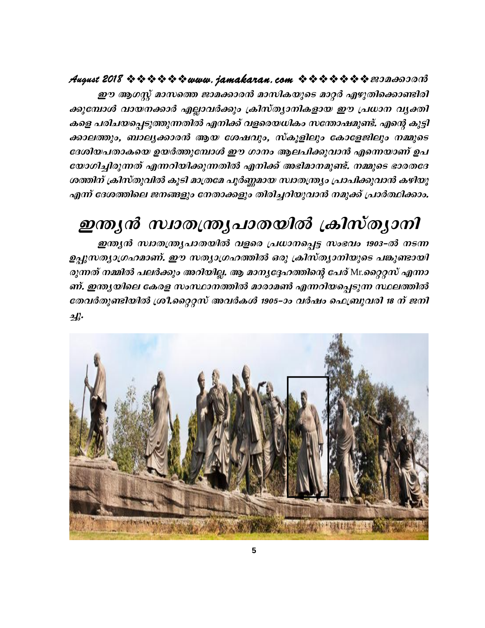### 

ഈ ആഗസ്റ്റ് മാസത്തെ ജാമക്കാരൻ മാസികയുടെ മാറ്റർ എഴുതിക്കൊണ്ടിരി ക്കുമ്പോൾ വായനക്കാർ എല്ലാവർക്കും ക്രിസ്ത്യാനികളായ ഈ പ്രധാന വൃക്തി കളെ പരിചയപ്പെടുത്തുന്നതിൽ എനിക്ക് വളരെയധികം സന്തോഷമുണ്ട്. എന്റെ കുട്ടി ക്കാലത്തും, ബാല്യക്കാരൻ ആയ ശേഷവും, സ്കൂളിലും കോളേജിലും നമ്മുടെ ദേശിയപതാകയെ ഉയർത്തുമ്പോൾ ഈ ഗാനം ആലപിക്കുവാൻ എന്നെയാണ് ഉപ യോഗിച്ചിരുന്നത് എന്നറിയിക്കുന്നതിൽ എനിക്ക് അഭിമാനമുണ്ട്. നമ്മുടെ ഭാരതദേ ശത്തിന് ക്രിസ്തുവിൽ കൂടി മാത്രമേ പൂർണ്ണമായ സ്വാതന്ത്ര്യം പ്രാപിക്കുവാൻ കഴിയൂ എന്ന് ദേശത്തിലെ ജനങ്ങളും നേതാക്കളും തിരിച്ചറിയുവാൻ നമുക്ക് പ്രാർത്ഥിക്കാം.

# ഇന്ത്യൻ സ്വാതന്ത്ര്യപാതയിൽ ക്രിസ്ത്യാനി

ഇന്ത്യൻ സ്വാതന്ത്ര്യപാതയിൽ വളരെ പ്രധാനപ്പെട്ട സംഭവം 1903-ൽ നടന്ന ഉപ്പുസത്യാഗ്രഹമാണ്. ഈ സത്യാഗ്രഹത്തിൽ ഒരു ക്രിസ്ത്യാനിയുടെ പങ്കുണ്ടായി *രുന്നത് നമ്മിൽ പലർക്കും അറിയില്ല. ആ മാന്യദ്ദേഹത്തിന്റെ പേര്* Mr.*റ്റൈറ്റസ് എന്നാ* ണ്. ഇന്ത്യയിലെ കേരള സംസ്ഥാനത്തിൽ മാരാമൺ എന്നറിയപ്പെടുന്ന സ്ഥലത്തിൽ തേവർതുണ്ടിയിൽ ശ്രീ.റ്റൈറ്റസ് അവർകൾ 1905–ാം വർഷം ഫെബ്രുവരി 18 ന് ജനി  $\mathcal{A}$ 

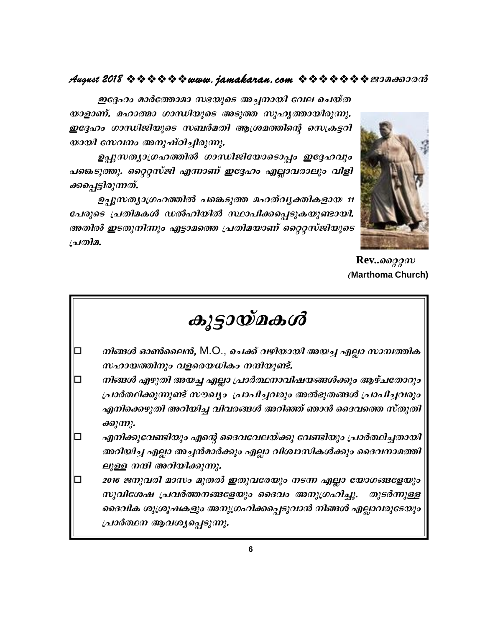### 

ഇദ്ദേഹം മാർത്തോമാ സഭയുടെ അച്ചനായി വേല ചെയ്ത യാളാണ്. മഹാത്മാ ഗാന്ധിയുടെ അടുത്ത സുഹൃത്തായിരുന്നു. ഇദ്ദേഹം ഗാന്ധിജിയുടെ സബർമതി ആശ്രമത്തിന്റെ സെക്രട്ടറി യായി സേവനം അനുഷ്ഠിച്ചിരുന്നു.

ഉപ്പുസത്യാഗ്രഹത്തിൽ ഗാന്ധിജിയോടൊപ്പം ഇദ്ദേഹവും പങ്കെടുത്തു. റ്റൈറ്റസ്ജി എന്നാണ് ഇദ്ദേഹം എല്ലാവരാലും വിളി ക്കപ്പെട്ടിരുന്നത്.

ഉപ്പുസത്യാഗ്രഹത്തിൽ പങ്കെടുത്ത മഹത്വ്യക്തികളായ 11 പേരുടെ പ്രതിമകൾ ഡൽഹിയിൽ സ്ഥാപിക്കപ്പെടുകയുണ്ടായി. അതിൽ ഇടതുനിന്നും എട്ടാമത്തെ പ്രതിമയാണ് റ്റൈറ്റസ്ജിയുടെ പ്രതിമ.



 $Rev.$ *ssggm* (Marthoma Church)

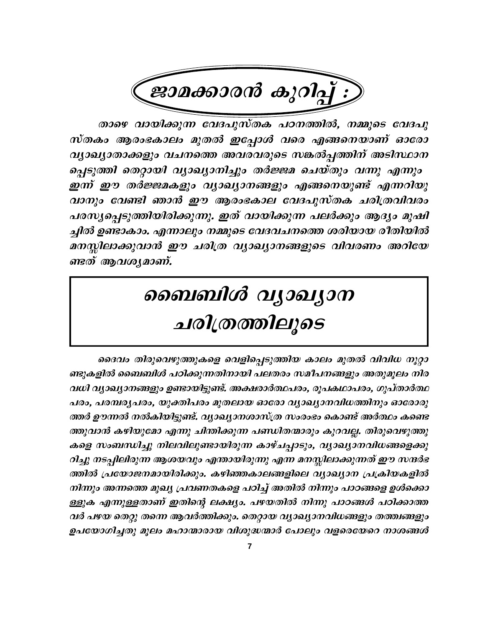

താഴെ വായിക്കുന്ന വേദപുസ്തക പഠനത്തിൽ, നമ്മുടെ വേദപു സ്തകം ആരംഭകാലം മുതൽ ഇപ്പോൾ വരെ എങ്ങനെയാണ് ഓരോ വ്യാഖ്യാതാക്കളും വചനത്തെ അവരവരുടെ സങ്കൽപ്പത്തിന് അടിസ്ഥാന പ്പെടുത്തി തെറ്റായി വ്യാഖ്യാനിച്ചും തർജ്ജമ ചെയ്തും വന്നു എന്നും ഇന്ന് ഈ തർജ്ജമകളും വ്യാഖ്യാനങ്ങളും എങ്ങനെയുണ്ട് എന്നറിയു വാനും വേണ്ടി ഞാൻ ഈ ആരംഭകാല വേദപുസ്തക ചരിത്രവിവരം പരസൃപ്പെടുത്തിയിരിക്കുന്നു. ഇത് വായിക്കുന്ന പലർക്കും ആദ്യം മുഷി ച്ചിൽ ഉണ്ടാകാം. എന്നാലും നമ്മുടെ വേദവചനത്തെ ശരിയായ രീതിയിൽ മനസ്സിലാക്കുവാൻ ഈ ചരിത്ര വ്യാഖ്യാനങ്ങളുടെ വിവരണം അറിയേ ണ്ടത് ആവശ്യമാണ്.

# ബൈബിൾ വ്യാഖ്യാന ചരിത്രത്തിലൂടെ

ദൈവം തിരുവെഴുത്തുകളെ വെളിപ്പെടുത്തിയ കാലം മുതൽ വിവിധ നൂറ്റാ ണ്ടുകളിൽ ബൈബിൾ പഠിക്കുന്നതിനായി പലതരം സമീപനങ്ങളും അതുമൂലം നിര വധി വ്യാഖ്യാനങ്ങളും ഉണ്ടായിട്ടുണ്ട്. അക്ഷരാർത്ഥപരം, രൂപകഥാപരം, ഗുപ്താർത്ഥ പരം, പരമ്പരുപരം, യുക്തിപരം മുതലായ ഓരോ വ്യാഖ്യാനവിധത്തിനും ഓരോരു ത്തർ ഊന്നൽ നൽകിയിട്ടുണ്ട്. വ്യാഖ്യാനശാസ്ത്ര സംരാഭം കൊണ്ട് അർത്ഥം കണ്ടെ ത്തുവാൻ കഴിയുമോ എന്നു ചിന്തിക്കുന്ന പണ്ഡിതന്മാരും കുറവല്ല. തിരുവെഴുത്തു കളെ സംബന്ധിച്ചു നിലവിലുണ്ടായിരുന്ന കാഴ്ചപ്പാടും, വ്യാഖ്യാനവിധങ്ങളെക്കു റിച്ചു നടപ്പിലിരുന്ന ആശയവും എന്തായിരുന്നു എന്ന മനസ്സിലാക്കുന്നത് ഈ സന്ദർഭ ത്തിൽ പ്രയോജനമായിരിക്കും. കഴിഞ്ഞകാലങ്ങളിലെ വ്യാഖ്യാന പ്രക്രിയകളിൽ നിന്നും അന്നത്തെ മുഖ്യ പ്രവണതകളെ പഠിച്ച് അതിൽ നിന്നും പാഠങ്ങളെ ഉൾക്കൊ ള്ളുക എന്നുള്ളതാണ് ഇതിന്റെ ലക്ഷ്യം. പഴയതിൽ നിന്നു പാഠങ്ങൾ പഠിക്കാത്ത വർ പഴയ തെറ്റു തന്നെ ആവർത്തിക്കും. തെറ്റായ വ്യാഖ്യാനവിധങ്ങളും തത്ത്വങ്ങളും ഉപയോഗിച്ചതു മൂലം മഹാന്മാരായ വിശുദ്ധന്മാർ പോലും വളരെയേറെ നാശങ്ങൾ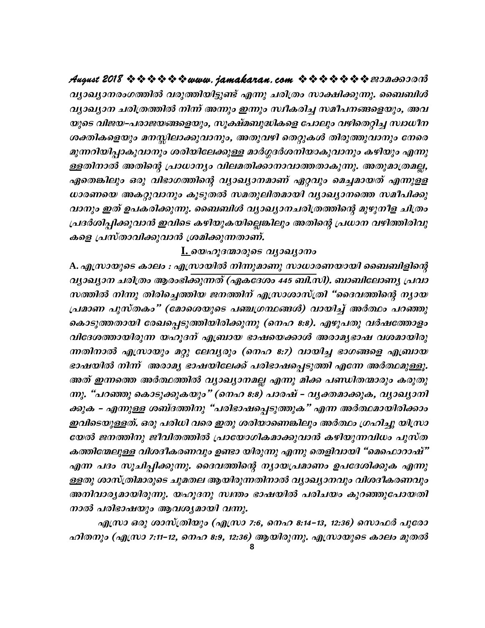വ്യാഖ്യാനരംഗത്തിൽ വരുത്തിയിട്ടുണ്ട് എന്നു ചരിത്രം സാക്ഷിക്കുന്നു. ബൈബിൾ വ്യാഖ്യാന ചരിത്രത്തിൽ നിന്ന് അന്നും ഇന്നും സ്ഥീകരിച്ച സമീപനങ്ങളെയും, അവ യുടെ വിജയ–പരാജയങ്ങളെയും, സൂക്ഷ്മബുദ്ധികളെ പോലും വഴിതെറ്റിച്ച സ്വാധീന ശക്തികളെയും മനസ്സിലാക്കുവാനും, അതുവഴി തെറ്റുകൾ തിരുത്തുവാനും നേരെ മുന്നറിയിപ്പാകുവാനും ശരിയിലേക്കുള്ള മാർഗ്ഗദർശനിയാകുവാനും കഴിയും എന്നു ള്ളതിനാൽ അതിന്റെ പ്രാധാന്യം വിലമതിക്കാനാവാത്തതാകുന്നു. അതുമാത്രമല്ല, ഏതെങ്കിലും ഒരു വിഭാഗത്തിന്റെ വ്യാഖ്യാനമാണ് ഏറ്റവും മെച്ചമായത് എന്നുളള ധാരണയെ അകറ്റുവാനും കൂടുതൽ സമതുലിതമായി വ്യാഖ്യാനത്തെ സമീപിക്കു വാനും ഇത് ഉപകരിക്കുന്നു. ബൈബിൾ വ്യാഖ്യാനചരിത്രത്തിന്റെ മുഴുനീള ചിത്രം പ്രദർശിപ്പിക്കുവാൻ ഇവിടെ കഴിയുകയില്ലെങ്കിലും അതിന്റെ പ്രധാന വഴിത്തിരിവു കളെ പ്രസ്താവിക്കുവാൻ ശ്രമിക്കുന്നതാണ്.

### <u> I. യെഹൂദന്മാരുടെ വ്യാഖ്യാനം</u>

A. എസ്രായുടെ കാലം : എസ്രായിൽ നിന്നുമാണു സാധാരണയായി ബൈബിളിന്റെ വ്യാഖ്യാന ചരിത്രം ആരംഭിക്കുന്നത് (ഏകദേശം 445 ബി.സി). ബാബിലോണ്യ പ്രവാ സത്തിൽ നിന്നു തിരിച്ചെത്തിയ ജനത്തിന് എസ്രാശാസ്ത്രി "ദൈവത്തിന്റെ ന്യായ പ്രമാണ പുസ്തകം" (മോശെയുടെ പഞ്ചഗ്രന്ഥങ്ങൾ) വായിച്ച് അർത്ഥം പറഞ്ഞു കൊടുത്തതായി രേഖപ്പെടുത്തിയിരിക്കുന്നു (നെഹ 8:8). എഴുപതു വർഷത്തോളം വിദേശത്തായിരുന്ന യഹൂദന് എബ്രായ ഭാഷയെക്കാൾ അരാമൃഭാഷ വശമായിരു ന്നതിനാൽ എസ്രായും മറ്റു ലേവൃരും (നെഹ 8:7) വായിച്ച ഭാഗങ്ങളെ എബ്രായ ഭാഷയിൽ നിന്ന് അരാമൃ ഭാഷയിലേക്ക് പരിഭാഷപ്പെടുത്തി എന്നേ അർത്ഥമുള്ളൂ. അത് ഇന്നത്തെ അർത്ഥത്തിൽ വ്യാഖ്യാനമല്ല എന്നു മിക്ക പണ്ഡിതന്മാരും കരുതു ന്നു. "പറഞ്ഞു കൊടുക്കുകയും" (നെഹ 8:8) പാരഷ് - വൃക്തമാക്കുക, വൃാഖ്യാനി ക്കുക - എന്നുള്ള ശബ്ദത്തിനു "പരിഭാഷപ്പെടുത്തുക" എന്ന അർത്ഥമായിരിക്കാം ഇവിടെയുള്ളത്. ഒരു പരിധി വരെ ഇതു ശരിയാണെങ്കിലും അർത്ഥം ഗ്രഹിച്ചു യിസ്രാ യേൽ ജനത്തിനു ജീവിതത്തിൽ പ്രായോഗികമാക്കുവാൻ കഴിയുന്നവിധം പുസ്ത കത്തിന്മേലുള്ള വിശദീകരണവും ഉണ്ടാ യിരുന്നു എന്നു തെളിവായി "മെഫൊറാഷ്" എന്ന പദം സൂചിപ്പിക്കുന്നു. ദൈവത്തിന്റെ ന്യായപ്രമാണം ഉപദേശിക്കുക എന്നു ള്ളതു ശാസ്ത്രിമാരുടെ ചുമതല ആയിരുന്നതിനാൽ വ്യാഖ്യാനവും വിശദീകരണവും അനിവാര്യമായിരുന്നു. യഹൂദനു സ്ഥതം ഭാഷയിൽ പരിചയം കുറഞ്ഞുപോയതി നാൽ പരിഭാഷയും ആവശ്യമായി വന്നു.

എസ്രാ ഒരു ശാസ്ത്രിയും (എസ്രാ 7:6, നെഹ 8:14–13, 12:36) സൊഫർ പുരോ ഹിതനും (എസ്രാ 7:11-12, നെഹ 8:9, 12:36) ആയിരുന്നു. എസ്രായുടെ കാലം മുതൽ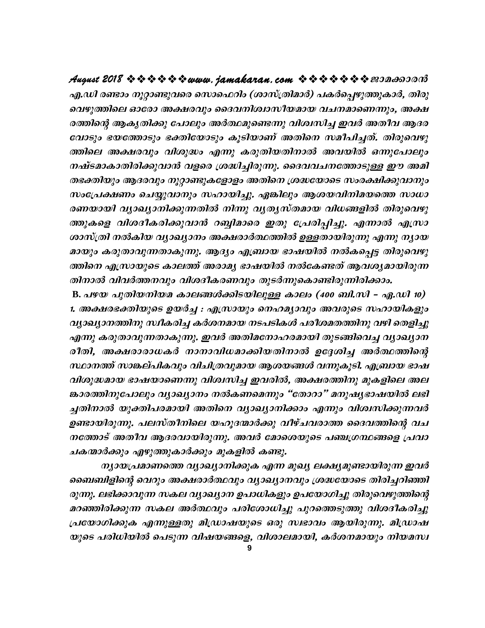എ.ഡി രണ്ടാം നൂറ്റാണ്ടുവരെ സൊഫെറിം (ശാസ്ത്രിമാർ) പകർപ്പെഴുത്തുകാർ, തിരു വെഴുത്തിലെ ഓരോ അക്ഷരവും ദൈവനിശ്വാസീയമായ വചനമാണെന്നും, അക്ഷ രത്തിന്റെ ആകൃതിക്കു പോലും അർത്ഥമുണ്ടെന്നു വിശ്വസിച്ച ഇവർ അതീവ ആദര വോടും ഭയത്തോടും ഭക്തിയോടും കൂടിയാണ് അതിനെ സമീപിച്ചത്. തിരുവെഴു ത്തിലെ അക്ഷരവും വിശുദ്ധം എന്നു കരുതിയതിനാൽ അവയിൽ ഒന്നുപോലും നഷ്ടമാകാതിരിക്കുവാൻ വളരെ ശ്രദ്ധിച്ചിരുന്നു. ദൈവവചനത്തോടുള്ള ഈ അമി തഭക്തിയും ആദരവും നൂറ്റാണ്ടുകളോളം അതിനെ ശ്രദ്ധയോടെ സംരക്ഷിക്കുവാനും സംപ്രേക്ഷണം ചെയ്യുവാനും സഹായിച്ചു. ഏങ്കിലും ആശയവിനിമയത്തെ സാധാ രണയായി വ്യാഖ്യാനിക്കുന്നതിൽ നിന്നു വ്യത്യസ്തമായ വിധങ്ങളിൽ തിരുവെഴു ത്തുകളെ വിശദീകരിക്കുവാൻ റബ്ബിമാരെ ഇതു പ്രേരിപ്പിച്ചു. എന്നാൽ എസ്രാ ശാസ്ത്രി നൽകിയ വ്യാഖ്യാനം അക്ഷരാർത്ഥത്തിൽ ഉള്ളതായിരുന്നു എന്നു ന്യായ മായും കരുതാവുന്നതാകുന്നു. ആദ്യം എബ്രായ ഭാഷയിൽ നൽകപ്പെട്ട തിരുവെഴു ത്തിനെ എസ്രായുടെ കാലത്ത് അരാമൃ ഭാഷയിൽ നൽകേണ്ടത് ആവശ്യമായിരുന്ന തിനാൽ വിവർത്തനവും വിശദീകരണവും തുടർന്നുകൊണ്ടിരുന്നിരിക്കാം.

B. പഴയ പുതിയനിയമ കാലങ്ങൾക്കിടയിലുള്ള കാലം (400 ബി.സി - ഏ.ഡി 10) 1. അക്ഷരഭക്തിയുടെ ഉയർച്ച : എസ്രായും നെഹമൃാവും അവരുടെ സഹായികളും വ്യാഖ്യാനത്തിനു സ്ഥീകരിച്ച കർശനമായ നടപടികൾ പരീശമതത്തിനു വഴി തെളിച്ചു എന്നു കരുതാവുന്നതാകുന്നു. ഇവർ അതിമനോഹരമായി തുടങ്ങിവെച്ച വ്യാഖ്യാന രീതി, അക്ഷരാരാധകർ നാനാവിധമാക്കിയതിനാൽ ഉദ്ദേശിച്ച അർത്ഥത്തിന്റെ സ്ഥാനത്ത് സാങ്കല്പികവും വിചിത്രവുമായ ആശയങ്ങൾ വന്നുകൂടി. എബ്രായ ഭാഷ വിശുദ്ധമായ ഭാഷയാണെന്നു വിശ്വസിച്ച ഇവരിൽ, അക്ഷരത്തിനു മുകളിലെ അല ങ്കാരത്തിനുപോലും വ്യാഖ്യാനം നൽകണമെന്നും "തോറാ" മനുഷ്യഭാഷയിൽ ലഭി ച്ചതിനാൽ യുക്തിപരമായി അതിനെ വ്യാഖ്യാനിക്കാം എന്നും വിശ്വസിക്കുന്നവർ ഉണ്ടായിരുന്നു. പലസ്തീനിലെ യഹൂദന്മാർക്കു വീഴ്ചവരാത്ത ദൈവത്തിന്റെ വച നത്തോട് അതീവ ആദരവായിരുന്നു. അവർ മോശെയുടെ പഞ്ചഗ്രന്ഥങ്ങളെ പ്രവാ ചകന്മാർക്കും എഴുത്തുകാർക്കും മുകളിൽ കണ്ടു.

നൃായപ്രമാണത്തെ വ്യാഖ്യാനിക്കുക എന്ന മുഖ്യ ലക്ഷ്യമുണ്ടായിരുന്ന ഇവർ ബൈബിളിന്റെ വെറും അക്ഷരാർത്ഥവും വ്യാഖ്യാനവും ശ്രദ്ധയോടെ തിരിച്ചറിഞ്ഞി രുന്നു. ലഭിക്കാവുന്ന സകല വ്യാഖ്യാന ഉപാധികളും ഉപയോഗിച്ചു തിരുവെഴുത്തിന്റെ മറഞ്ഞിരിക്കുന്ന സകല അർത്ഥവും പരിശോധിച്ചു പുറത്തെടുത്തു വിശദീകരിച്ചു പ്രയോഗിക്കുക എന്നുള്ളതു മിഡ്രാഷയുടെ ഒരു സ്വഭാവം ആയിരുന്നു. മിഡ്രാഷ യുടെ പരിധിയിൽ പെടുന്ന വിഷയങ്ങളെ, വിശാലമായി, കർശനമായും നിയമസ്വ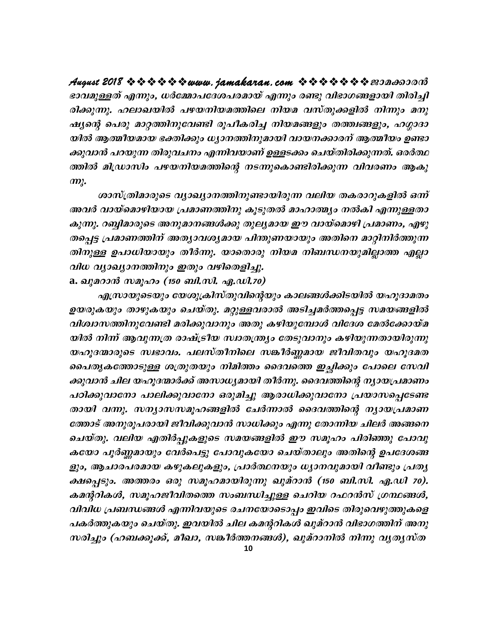ഭാവമുള്ളത് എന്നും, ധർമ്മോപദേശപരമായ് എന്നും രണ്ടു വിഭാഗങ്ങളായി തിരിച്ചി രിക്കുന്നു. ഹലാഖയിൽ പഴയനിയമത്തിലെ നിയമ വസ്തുക്കളിൽ നിന്നും മനു ഷ്യന്റെ പെരു മാറ്റത്തിനുവേണ്ടി രൂപീകരിച്ച നിയമങ്ങളും തത്ത്വങ്ങളും, ഹഗ്ഗാദാ യിൽ ആത്മീയമായ ഭക്തിക്കും ധ്യാനത്തിനുമായി വായനക്കാരന് ആത്മീയം ഉണ്ടാ ക്കുവാൻ പറയുന്ന തിരുവചനം എന്നിവയാണ് ഉള്ളടക്കം ചെയ്തിരിക്കുന്നത്. ഒരർത്ഥ ത്തിൽ മിഡ്രാസിം പഴയനിയമത്തിന്റെ നടന്നുകൊണ്ടിരിക്കുന്ന വിവരണം ആകു  $m$ .

ശാസ്ത്രിമാരുടെ വ്യാഖ്യാനത്തിനുണ്ടായിരുന്ന വലിയ തകരാറുകളിൽ ഒന്ന് അവർ വായ്മൊഴിയായ പ്രമാണത്തിനു കൂടുതൽ മാഹാത്മ്യം നൽകി എന്നുള്ളതാ കുന്നു. റബ്ബിമാരുടെ അനുമാനങ്ങൾക്കു തുല്യമായ ഈ വായ്മൊഴി പ്രമാണം, എഴു തപ്പെട്ട പ്രമാണത്തിന് അത്യാവശ്യമായ പിന്തുണയായും അതിനെ മാറ്റിനിർത്തുന്ന തിനുള്ള ഉപാധിയായും തീർന്നു. യാതൊരു നിയമ നിബന്ധനയുമില്ലാത്ത എല്ലാ വിധ വ്യാഖ്യാനത്തിനും ഇതും വഴിതെളിച്ചു.

a. ഖുമറാൻ സമൂഹം (150 ബി.സി. ഏ.ഡി.70)

എസ്രായുടെയും യേശുക്രിസ്തുവിന്റെയും കാലങ്ങൾക്കിടയിൽ യഹൂദാമതം ഉയരുകയും താഴുകയും ചെയ്തു. മറ്റുള്ളവരാൽ അടിച്ചമർത്തപ്പെട്ട സമയങ്ങളിൽ വിശ്വാസത്തിനുവേണ്ടി മരിക്കുവാനും അതു കഴിയുമ്പോൾ വിദേശ മേൽക്കോയ്മ യിൽ നിന്ന് ആവുന്നത്ര രാഷ്ട്രീയ സ്ഥതന്ത്ര്യം തേടുവാനും കഴിയുന്നതായിരുന്നു യഹൂദന്മാരുടെ സ്വഭാവം. പലസ്തീനിലെ സങ്കീർണ്ണമായ ജീവിതവും യഹൂദമത പൈതൃകത്തോടുള്ള ശത്രുതയും നിമിത്തം ദൈവത്തെ ഇച്ഛിക്കും പോലെ സേവി ക്കുവാൻ ചില യഹൂദന്മാർക്ക് അസാധ്യമായി തീർന്നു. ദൈവത്തിന്റെ ന്യായപ്രമാണം പഠിക്കുവാനോ പാലിക്കുവാനോ ഒരുമിച്ചു ആരാധിക്കുവാനോ പ്രയാസപ്പെടേണ്ട തായി വന്നു. സന്യാസസമൂഹങ്ങളിൽ ചേർന്നാൽ ദൈവത്തിന്റെ ന്യായപ്രമാണ ത്തോട് അനുരൂപരായി ജീവിക്കുവാൻ സാധിക്കും എന്നു തോന്നിയ ചിലർ അങ്ങനെ ചെയ്തു. വലിയ എതിർപ്പുകളുടെ സമയങ്ങളിൽ ഈ സമൂഹം പിരിഞ്ഞു പോവു കയോ പൂർണ്ണമായും വേർപെട്ടു പോവുകയോ ചെയ്താലും അതിന്റെ ഉപദേശങ്ങ ളും, ആചാരപരമായ കഴുകലുകളും, പ്രാർത്ഥനയും ധ്യാനവുമായി വീണ്ടും പ്രത്യ ക്ഷപ്പെടും. അത്തരം ഒരു സമൂഹമായിരുന്നു ഖുമ്റാൻ (150 ബി.സി. ഏ.ഡി 70). കമന്ററികൾ, സമൂഹജീവിതത്തെ സംബന്ധിച്ചുള്ള ചെറിയ റഫറൻസ് ഗ്രന്ഥങ്ങൾ, വിവിധ പ്രബന്ധങ്ങൾ എന്നിവയുടെ രചനയോടൊപ്പം ഇവിടെ തിരുവെഴുത്തുകളെ പകർത്തുകയും ചെയ്തു. ഇവയിൽ ചില കമന്ററികൾ ഖുമ്റാൻ വിഭാഗത്തിന് അനു സരിച്ചും (ഹബക്കുക്ക്, മീഖാ, സങ്കീർത്തനങ്ങൾ), ഖുമ്റാനിൽ നിന്നു വൃതൃസ്ത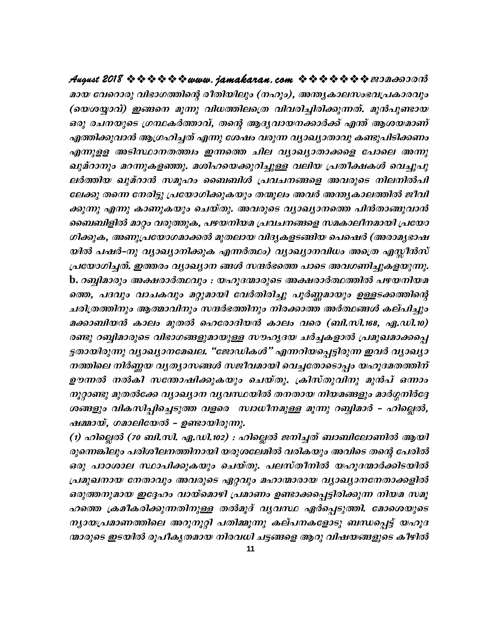മായ വേറൊരു വിഭാഗത്തിന്റെ രീതിയിലും (നഹൂം), അന്ത്യകാലസംഭവപ്രകാരവും (യെശയ്യാവ്) ഇങ്ങനെ മൂന്നു വിധത്തിലത്രെ വിവരിച്ചിരിക്കുന്നത്. മുൻപുണ്ടായ ഒരു രചനയുടെ ഗ്രന്ഥകർത്താവ്, തന്റെ ആദ്യവായനക്കാർക്ക് എന്ത് ആശയമാണ് എത്തിക്കുവാൻ ആഗ്രഹിച്ചത് എന്നു ശേഷം വരുന്ന വ്യാഖ്യാതാവു കണ്ടുപിടിക്കണം എന്നുളള അടിസ്ഥാനതത്ത്വം ഇന്നത്തെ ചില വ്യാഖ്യാതാക്കളെ പോലെ അന്നു ഖുമ്റാനും മറന്നുകളഞ്ഞു. മശിഹയെക്കുറിച്ചുള്ള വലിയ പ്രതീക്ഷകൾ വെച്ചുപു ലർത്തിയ ഖുമ്റാൻ സമൂഹം ബൈബിൾ പ്രവചനങ്ങളെ അവരുടെ നിലനിൽപി ലേക്കു തന്നെ നേരിട്ടു പ്രയോഗിക്കുകയും തന്മൂലം അവർ അന്ത്യകാലത്തിൽ ജീവി ക്കുന്നു എന്നു കാണുകയും ചെയ്തു. അവരുടെ വ്യാഖ്യാനത്തെ പിൻതാങ്ങുവാൻ ബൈബിളിൽ മാറ്റം വരുത്തുക, പഴയനിയമ പ്രവചനങ്ങളെ സമകാലീനമായി പ്രയോ ഗിക്കുക, അണുപ്രയോഗമാക്കൽ മുതലായ വിദൃകളടങ്ങിയ പെഷെർ (അരാമൃഭാഷ യിൽ പഷർ–നു വ്യാഖ്യാനിക്കുക എന്നർത്ഥം) വ്യാഖ്യാനവിധം അത്രെ എസ്സീൻസ് പ്രയോഗിച്ചത്. ഇത്തരം വ്യാഖ്യാന ങ്ങൾ സന്ദർഭത്തെ പാടെ അവഗണിച്ചുകളയുന്നു. b. റബ്ബിമാരും അക്ഷരാർത്ഥവും : യഹൂദന്മാരുടെ അക്ഷരാർത്ഥത്തിൽ പഴയനിയമ ത്തെ, പദവും വാചകവും മറ്റുമായി വേർതിരിച്ചു പൂർണ്ണമായും ഉള്ളടക്കത്തിന്റെ ചരിത്രത്തിനും ആത്മാവിനും സന്ദർഭത്തിനും നിരക്കാത്ത അർത്ഥങ്ങൾ കല്പിച്ചും മക്കാബിയൻ കാലം മുതൽ ഹെരോദിയൻ കാലം വരെ (ബി.സി.168, ഏ.ഡി.10) രണ്ടു റബ്ബിമാരുടെ വിഭാഗങ്ങളുമായുള്ള സൗഹൃദയ ചർച്ചകളാൽ പ്രമുഖമാക്കപ്പെ ട്ടതായിരുന്നു വ്യാഖ്യാനമേഖല. "ജോഡികൾ" എന്നറിയപ്പെട്ടിരുന്ന ഇവർ വ്യാഖ്യാ നത്തിലെ നിർണ്ണയ വൃത്യാസങ്ങൾ സജീവമായി വെച്ചതോടൊപ്പം യഹൂദമതത്തിന് ഊന്നൽ നൽകി സന്തോഷിക്കുകയും ചെയ്തു. ക്രിസ്തുവിനു മുൻപ് ഒന്നാം നൂറ്റാണ്ടു മുതൽക്കേ വ്യാഖ്യാന വ്യവസ്ഥയിൽ തനതായ നിയമങ്ങളും മാർഗ്ഗനിർദ്ദേ ശങ്ങളും വികസിപ്പിച്ചെടുത്ത വളരെ സ്വാധീനമുള്ള മൂന്നു റബ്ബിമാർ – ഹില്ലെൽ, ഷമ്മായ്, ഗമാലിയേൽ - ഉണ്ടായിരുന്നു.

(1) ഹില്ലെൽ (70 ബി.സി. ഏ.ഡി.102) : ഹില്ലെൽ ജനിച്ചത് ബാബിലോണിൽ ആയി രുന്നെങ്കിലും പരിശീലനത്തിനായി യരുശലേമിൽ വരികയും അവിടെ തന്റെ പേരിൽ ഒരു പാഠശാല സ്ഥാപിക്കുകയും ചെയ്തു. പലസ്തീനിൽ യഹൂദന്മാർക്കിടയിൽ പ്രമുഖനായ നേതാവും അവരുടെ ഏറ്റവും മഹാന്മാരായ വ്യാഖ്യാനനേതാക്കളിൽ ഒരുത്തനുമായ ഇദ്ദേഹം വായ്മൊഴി പ്രമാണം ഉണ്ടാക്കപ്പെട്ടിരിക്കുന്ന നിയമ സമൂ ഹത്തെ ക്രമീകരിക്കുന്നതിനുള്ള തൽമൂദ് വ്യവസ്ഥ ഏർപ്പെടുത്തി. മോശെയുടെ ന്യായപ്രമാണത്തിലെ അറുനൂറ്റി പതിമ്മൂന്നു കല്പനകളോടു ബന്ധപ്പെട്ട് യഹൂദ ന്മാരുടെ ഇടയിൽ രൂപീകൃതമായ നിരവധി ചട്ടങ്ങളെ ആറു വിഷയങ്ങളുടെ കീഴിൽ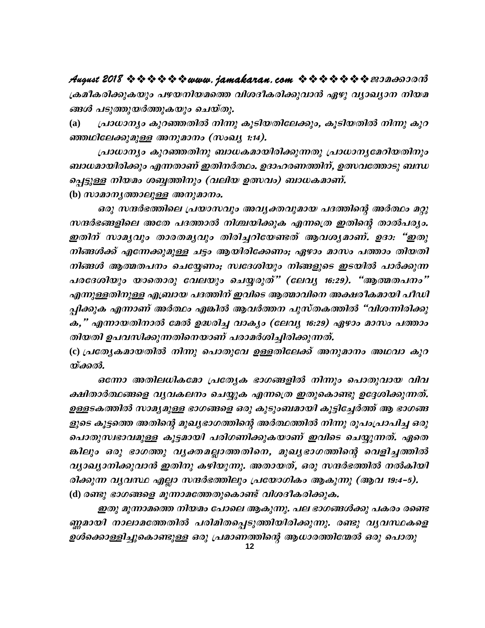ക്രമീകരിക്കുകയും പഴയനിയമത്തെ വിശദീകരിക്കുവാൻ ഏഴു വ്യാഖ്യാന നിയമ ങ്ങൾ പടുത്തുയർത്തുകയും ചെയ്തു.

പ്രാധാന്യം കുറഞ്ഞതിൽ നിന്നു കൂടിയതിലേക്കും, കൂടിയതിൽ നിന്നു കുറ **(a)** ഞ്ഞഥിലേക്കുമുള്ള അനുമാനം (സംഖൃ 1:14).

പ്രാധാന്യം കുറഞ്ഞതിനു ബാധകമായിരിക്കുന്നതു പ്രാധാനൃമേറിയതിനും ബാധമായിരിക്കും എന്നതാണ് ഇതിനർത്ഥം. ഉദാഹരണത്തിന്, ഉത്സവത്തോടു ബന്ധ പ്പെട്ടുള്ള നിയമം ശബ്ബത്തിനും (വലിയ ഉത്സവം) ബാധകമാണ്.

(b) *സാമാനൃത്താലുള്ള അനുമാനം.* 

ഒരു സന്ദർഭത്തിലെ പ്രയാസവും അവൃക്തവുമായ പദത്തിന്റെ അർത്ഥം മറ്റു സന്ദർഭങ്ങളിലെ അതേ പദത്താൽ നിശ്ചയിക്കുക എന്നത്രെ ഇതിന്റെ താൽപര്യം. ഇതിന് സാമൃവും താരതമൃവും തിരിച്ചറിയേണ്ടത് ആവശൃമാണ്. ഉദാ: "ഇതു നിങ്ങൾക്ക് എന്നേക്കുമുള്ള ചട്ടം ആയിരിക്കേണം; ഏഴാം മാസം പത്താം തിയതി നിങ്ങൾ ആത്മതപനം ചെയ്യേണം; സ്വദേശിയും നിങ്ങളുടെ ഇടയിൽ പാർക്കുന്ന പരദേശിയും യാതൊരു വേലയും ചെയ്യരുത്" (ലേവൃ 16:29). "ആത്മതപനം" എന്നുള്ളതിനുള്ള എബ്രായ പദത്തിന് ഇവിടെ ആത്മാവിനെ അക്ഷരീകമായി പീഡി പ്പിക്കുക എന്നാണ് അർത്ഥം എങ്കിൽ ആവർത്തന പുസ്തകത്തിൽ "വിശന്നിരിക്കു ക," എന്നായതിനാൽ മേൽ ഉദ്ധരിച്ച വാക്യം (ലേവ്യ 16:29) ഏഴാം മാസം പത്താം തിയതി ഉപവസിക്കുന്നതിനെയാണ് പരാമർശിച്ചിരിക്കുന്നത്.

(c) പ്രത്യേകമായതിൽ നിന്നു പൊതുവേ ഉള്ളതിലേക്ക് അനുമാനം അഥവാ കുറ യ്ക്കൽ.

ഒന്നോ അതിലധികമോ പ്രത്യേക ഭാഗങ്ങളിൽ നിന്നും പൊതുവായ വിവ ക്ഷിതാർത്ഥങ്ങളെ വൃവകലനം ചെയ്യുക എന്നത്രെ ഇതുകൊണ്ടു ഉദ്ദേശിക്കുന്നത്. ഉള്ളടകത്തിൽ സാമൃമുള്ള ഭാഗങ്ങളെ ഒരു കുടുംബമായി കൂട്ടിച്ചേർത്ത് ആ ഭാഗങ്ങ ളുടെ കൂട്ടത്തെ അതിന്റെ മുഖ്യഭാഗത്തിന്റെ അർത്ഥത്തിൽ നിന്നു രൂപംപ്രാപിച്ച ഒരു പൊതുസ്വഭാവമുള്ള കൂട്ടമായി പരിഗണിക്കുകയാണ് ഇവിടെ ചെയ്യുന്നത്. ഏതെ ങ്കിലും ഒരു ഭാഗത്തു വൃക്തമല്ലാത്തതിനെ, മുഖൃഭാഗത്തിന്റെ വെളിച്ചത്തിൽ വ്യാഖ്യാനിക്കുവാൻ ഇതിനു കഴിയുന്നു. അതായത്, ഒരു സന്ദർഭത്തിൽ നൽകിയി രിക്കുന്ന വൃവസ്ഥ എല്ലാ സന്ദർഭത്തിലും പ്രയോഗികം ആകുന്നു (ആവ 19:4–5). (d) രണ്ടു ഭാഗങ്ങളെ മൂന്നാമത്തേതുകൊണ്ട് വിശദീകരിക്കുക.

ഇതു മൂന്നാമത്തെ നിയമം പോലെ ആകുന്നു. പല ഭാഗങ്ങൾക്കു പകരം രണ്ടെ ണ്ണമായി നാലാമത്തേതിൽ പരിമിതപ്പെടുത്തിയിരിക്കുന്നു. രണ്ടു വൃവസ്ഥകളെ ഉൾക്കൊള്ളിച്ചുകൊണ്ടുള്ള ഒരു പ്രമാണത്തിന്റെ ആധാരത്തിന്മേൽ ഒരു പൊതു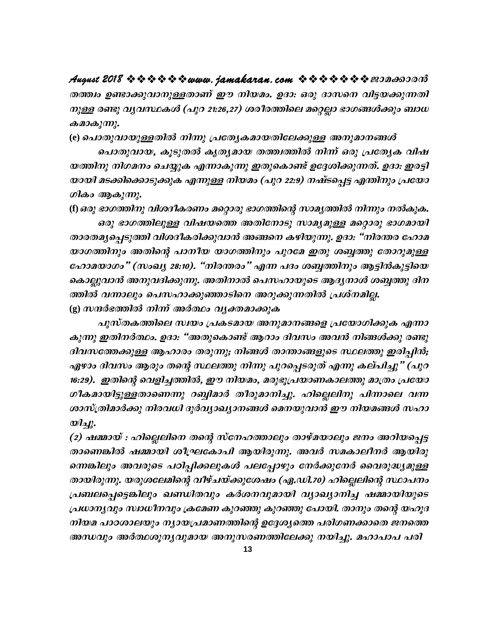തത്ത്വം ഉണ്ടാക്കുവാനുള്ളതാണ് ഈ നിയമം. ഉദാ: ഒരു ദാസനെ വിട്ടയക്കുന്നതി നുള്ള രണ്ടു വ്യവസ്ഥകൾ (പുറ 21:26,27) ശരീരത്തിലെ മറ്റെല്ലാ ഭാഗങ്ങൾക്കും ബാധ കമാകുന്നു.

(e) പൊതുവായുള്ളതിൽ നിന്നു പ്രത്യേകമായതിലേക്കുള്ള അനുമാനങ്ങൾ

പൊതുവായ, കൂടുതൽ കൃതൃമായ തത്ത്വത്തിൽ നിന്ന് ഒരു പ്രത്യേക വിഷ യത്തിനു നിഗമനം ചെയ്യുക എന്നാകുന്നു ഇതുകൊണ്ട് ഉദ്ദേശിക്കുന്നത്. ഉദാ: ഇരട്ടി യായി മടക്കിക്കൊടുക്കുക എന്നുള്ള നിയമം (പുറ 22:9) നഷ്ടപ്പെട്ട എന്തിനും പ്രയോ ഗികം ആകുന്നു.

(f) ഒരു ഭാഗത്തിനു വിശദീകരണം മറ്റൊരു ഭാഗത്തിന്റെ സാമൃത്തിൽ നിന്നും നൽകുക. ഒരു ഭാഗത്തിലുള്ള വിഷയത്തെ അതിനോടു സാമൃമുള്ള മറ്റൊരു ഭാഗമായി താരതമൃപ്പെടുത്തി വിശദീകരിക്കുവാൻ അങ്ങനെ കഴിയുന്നു. ഉദാ: "നിരന്തര ഹോമ യാഗത്തിനും അതിന്റെ പാനീയ യാഗത്തിനും പുറമേ ഇതു ശബ്ബത്തു തോറുമുള്ള ഹോമയാഗം" (സംഖ്യ 28:10). "നിരന്തരം" എന്ന പദം ശബ്ബത്തിനും ആട്ടിൻകുട്ടിയെ കൊല്ലുവാൻ അനുവദിക്കുന്നു. അതിനാൽ പെസഹായുടെ ആദൃനാൾ ശബ്ബത്തു ദിന ത്തിൽ വന്നാലും പെസഹാക്കുഞ്ഞാടിനെ അറുക്കുന്നതിൽ പ്രശ്നമില്ല. (g) സന്ദർഭത്തിൽ നിന്ന് അർത്ഥം വൃക്തമാക്കുക

പുസ്തകത്തിലെ സ്വയം പ്രകടമായ അനുമാനങ്ങളെ പ്രയോഗിക്കുക എന്നാ കുന്നു ഇതിനർത്ഥം. ഉദാ: "അതുകൊണ്ട് ആറാം ദിവസം അവൻ നിങ്ങൾക്കു രണ്ടു ദിവസത്തേക്കുള്ള ആഹാരം തരുന്നു; നിങ്ങൾ താന്താങ്ങളുടെ സ്ഥലത്തു ഇരിപ്പിൻ; ഏഴാം ദിവസം ആരും തന്റെ സ്ഥലത്തു നിന്നു പുറപ്പെടരുത് എന്നു കല്പിച്ചു" (പുറ 16:29). ഇതിന്റെ വെളിച്ചത്തിൽ, ഈ നിയമം, മരുഭൂപ്രയാണകാലത്തു മാത്രം പ്രയോ ഗീകമായിട്ടുള്ളതാണെന്നു റബ്ബിമാർ തീരുമാനിച്ചു. ഹില്ലെലിനു പിന്നാലെ വന്ന ശാസ്ത്രിമാർക്കു നിരവധി ദുർവ്യാഖ്യാനങ്ങൾ മെനയുവാൻ ഈ നിയമങ്ങൾ സഹാ  $\mathcal{D}$ 

(2) ഷമ്മായ് : ഹില്ലെലിനെ തന്റെ സ്നേഹത്താലും താഴ്മയാലും ജനം അറിയപ്പെട്ട താണെങ്കിൽ ഷമ്മായി ശീഘകോപി ആയിരുന്നു. അവർ സമകാലീനർ ആയിരു ന്നെങ്കിലും അവരുടെ പഠിപ്പിക്കലുകൾ പലപ്പോഴും നേർക്കുനേർ വൈരുദ്ധ്യമുള്ള തായിരുന്നു. യരുശലേമിന്റെ വീഴ്ചയ്ക്കുശേഷം (ഏ.ഡി.70) ഹില്ലെലിന്റെ സ്ഥാപനം പ്രബലപ്പെട്ടെങ്കിലും ഖണ്ഡിതവും കർശനവുമായി വ്യാഖ്യാനിച്ച ഷമ്മായിയുടെ പ്രധാനൃവും സ്വാധീനവും ക്രമേണ കുറഞ്ഞു കുറഞ്ഞു പോയി. താനും തന്റെ യഹൂദ നിയമ പാഠശാലയും ന്യായപ്രമാണത്തിന്റെ ഉദ്ദേശ്യത്തെ പരിഗണക്കാതെ ജനത്തെ അന്ധവും അർത്ഥശൂനൃവുമായ അനുസരണത്തിലേക്കു നയിച്ചു. മഹാപാപ പരി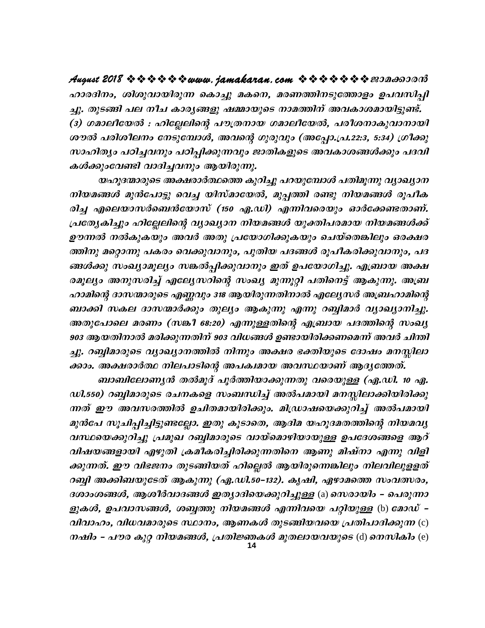ഹാരദിനം, ശിശുവായിരുന്ന കൊച്ചു മകനെ, മരണത്തിനടുത്തോളം ഉപവസിപ്പി ച്ചു. തുടങ്ങി പല നീച കാരൃങ്ങളു ഷമ്മായുടെ നാമത്തിന് അവകാശമായിട്ടുണ്ട്. (3) ഗമാലിയേൽ : ഹില്ലേലിന്റെ പൗത്രനായ ഗമാലിയേൽ, പരീശനാകുവാനായി ശൗൽ പരിശീലനം നേടുമ്പോൾ, അവന്റെ ഗുരുവും (അപ്പോ.പ്ര.22:3, 5:34) ഗ്രീക്കു സാഹിത്യം പഠിച്ചവനും പഠിപ്പിക്കുന്നവും ജാതികളുടെ അവകാശങ്ങൾക്കും പദവി കൾക്കുംവേണ്ടി വാദിച്ചവനും ആയിരുന്നു.

യഹൂദന്മാരുടെ അക്ഷരാർത്ഥത്തെ കുറിച്ചു പറയുമ്പോൾ പതിമൂന്നു വ്യാഖ്യാന നിയമങ്ങൾ മുൻപോട്ടു വെച്ച യിസ്മായേൽ, മുപ്പത്തി രണ്ടു നിയമങ്ങൾ രൂപീക രിച്ച എലെയാസർബെൻയോസ് (150 ഏ.ഡി) എന്നിവരെയും ഓർക്കേണ്ടതാണ്. പ്രത്യേകിച്ചും ഹില്ലേലിന്റെ വ്യാഖ്യാന നിയമങ്ങൾ യുക്തിപരമായ നിയമങ്ങൾക്ക് ഊന്നൽ നൽകുകയും അവർ അതു പ്രയോഗിക്കുകയും ചെയ്തെങ്കിലും ഒരക്ഷര ത്തിനു മറ്റൊന്നു പകരം വെക്കുവാനും, പുതിയ പദങ്ങൾ രൂപീകരിക്കുവാനും, പദ ങ്ങൾക്കു സംഖ്യാമൂല്യം സങ്കൽപ്പിക്കുവാനും ഇത് ഉപയോഗിച്ചു. എബ്രായ അക്ഷ രമൂല്യം അനുസരിച്ച് എല്യേസറിന്റെ സംഖ്യ മുന്നൂറ്റി പതിനെട്ട് ആകുന്നു. അബ്ര ഹാമിന്റെ ദാസന്മാരുടെ എണ്ണവും 318 ആയിരുന്നതിനാൽ എല്യേസർ അബ്രഹാമിന്റെ ബാക്കി സകല ദാസന്മാർക്കും തുല്യം ആകുന്നു എന്നു റബ്ബിമാർ വ്യാഖ്യാനിച്ചു. അതുപോലെ മരണം (സങ്കീ 68:20) എന്നുള്ളതിന്റെ എബ്രായ പദത്തിന്റെ സംഖ്യ 903 ആയതിനാൽ മരിക്കുന്നതിന് 903 വിധങ്ങൾ ഉണ്ടായിരിക്കണമെന്ന് അവർ ചിന്തി ച്ചു. റബ്ബിമാരുടെ വ്യാഖ്യാനത്തിൽ നിന്നും അക്ഷര ഭക്തിയുടെ ദോഷം മനസ്സിലാ ക്കാം. അക്ഷരാർത്ഥ നിലപാടിന്റെ അപക്വമായ അവസ്ഥയാണ് ആദൃത്തേത്.

ബാബിലോണ്യൻ തൽമൂദ് പൂർത്തിയാക്കുന്നതു വരെയുള്ള (ഏ.ഡി. 10 ഏ. ഡി.550) റബ്ബിമാരുടെ രചനകളെ സംബന്ധിച്ച് അൽപമായി മനസ്സിലാക്കിയിരിക്കു ന്നത് ഈ അവസരത്തിൽ ഉചിതമായിരിക്കും. മിഡ്രാഷയെക്കുറിച്ച് അൽപമായി മുൻപേ സൂചിപ്പിച്ചിട്ടുണ്ടല്ലോ. ഇതു കൂടാതെ, ആദിമ യഹൂദമതത്തിന്റെ നിയമവൃ വസ്ഥയെക്കുറിച്ചു പ്രമുഖ റബ്ബിമാരുടെ വായ്മൊഴിയായുള്ള ഉപദേശങ്ങളെ ആറ് വിഷയങ്ങളായി എഴുതി ക്രമീകരിച്ചിരിക്കുന്നതിനെ ആണു മിഷ്നാ എന്നു വിളി ക്കുന്നത്. ഈ വിഭജനം തുടങ്ങിയത് ഹില്ലെൽ ആയിരുന്നെങ്കിലും നിലവിലുളളത് റബ്ബി അക്കിബയുടേത് ആകുന്നു (ഏ.ഡി.50–132). കൃഷി, ഏഴാമത്തെ സംവത്സരം, ദശാംശങ്ങൾ, ആശീർവാദങ്ങൾ ഇത്യാദിയെക്കുറിച്ചുള്ള (a) സെരായിം - പെരുന്നാ ളുകൾ, ഉപവാസങ്ങൾ, ശബ്ബത്തു നിയമങ്ങൾ എന്നിവയെ പറ്റിയുള്ള (b) മോഡ് *–* വിവാഹം, വിധവമാരുടെ സ്ഥാനം, ആണകൾ തുടങ്ങിയവയെ പ്രതിപാദിക്കുന്ന (c) നഷിം - പൗര കുറ്റ നിയമങ്ങൾ, പ്രതിജ്ഞകൾ മുതലായവയുടെ (d) നെസികിം (e)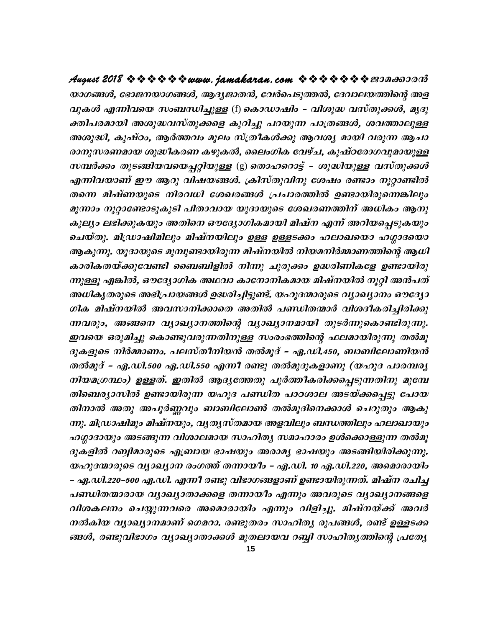യാഗങ്ങൾ, ഭോജനയാഗങ്ങൾ, ആദ്യജാതൻ, വേർപെടുത്തൽ, ദേവാലയത്തിന്റെ അള *വുകൾ എന്നിവയെ സംബന്ധിച്ചുള്ള* (f) കൊഡാഷിം – വിശുദ്ധ വസ്തുക്കൾ, മൃദു ക്തിപരമായി അശുദ്ധവസ്തുക്കളെ കുറിച്ചു പറയുന്ന പാത്രങ്ങൾ, ശവത്താലുള്ള അശുദ്ധി, കുഷ്ഠം, ആർത്തവം മൂലം സ്ത്രീകൾക്കു ആവശ്യ മായി വരുന്ന ആചാ രാനുസരണമായ ശുദ്ധീകരണ കഴുകൽ, ലൈംഗിക വേഴ്ച, കുഷ്ഠരോഗവുമായുള്ള സമ്പർക്കം തുടങ്ങിയവയെപ്പറ്റിയുള്ള (g) തൊഹറൊട്ട് - ശുദ്ധിയുള്ള വസ്തുക്കൾ എന്നിവയാണ് ഈ ആറു വിഷയങ്ങൾ. ക്രിസ്തുവിനു ശേഷം രണ്ടാം നൂറ്റാണ്ടിൽ തന്നെ മിഷ്ണയുടെ നിരവധി ശേഖരങ്ങൾ പ്രചാരത്തിൽ ഉണ്ടായിരുന്നെങ്കിലും മൂന്നാം നൂറ്റാണ്ടോടുകൂടി പിതാവായ യൂദായുടെ ശേഖരണത്തിന് അധികം ആനു കൂല്യം ലഭിക്കുകയും അതിനെ ഔദ്യോഗികമായി മിഷ്ന എന്ന് അറിയപ്പെടുകയും ചെയ്തു. മിഡ്രാഷിമിലും മിഷ്നയിലും ഉള്ള ഉള്ളടക്കം ഹലാഖയൊ ഹഗ്ഗാദയൊ ആകുന്നു. യൂദായുടെ മുമ്പുണ്ടായിരുന്ന മിഷ്നയിൽ നിയമനിർമ്മാണത്തിന്റെ ആധി കാരികതയ്ക്കുവേണ്ടി ബൈബിളിൽ നിന്നു ചുരുക്കം ഉദ്ധരിണികളേ ഉണ്ടായിരു ന്നുള്ളൂ എങ്കിൽ, ഔദ്യോഗിക അഥവാ കാനോനികമായ മിഷ്നയിൽ നൂറ്റി അൻപത് അധികൃതരുടെ അഭിപ്രായങ്ങൾ ഉദ്ധരിച്ചിട്ടുണ്ട്. യഹൂദന്മാരുടെ വ്യാഖ്യാനം ഔദ്യോ ഗിക മിഷ്നയിൽ അവസാനിക്കാതെ അതിൽ പണ്ഡിതന്മാർ വിശദീകരിച്ചിരിക്കു ന്നവരും, അങ്ങനെ വ്യാഖ്യാനത്തിന്റെ വ്യാഖ്യാനമായി തുടർന്നുകൊണ്ടിരുന്നു. ഇവയെ ഒരുമിച്ചു കൊണ്ടുവരുന്നതിനുള്ള സംരംഭത്തിന്റെ ഫലമായിരുന്നു തൽമൂ ദുകളുടെ നിർമ്മാണം. പലസ്തീനിയൻ തൽമൂദ് – ഏ.ഡി.450, ബാബിലോണിയൻ തൽമൂദ് – ഏ.ഡി.500 ഏ.ഡി.550 എന്നീ രണ്ടു തൽമുദുകളാണു (യഹൂദ പാരമ്പര്യ നിയമഗ്രന്ഥം) ഉള്ളത്. ഇതിൽ ആദ്യത്തേതു പൂർത്തീകരിക്കപ്പെടുന്നതിനു മുമ്പേ തിബെര്യാസിൽ ഉണ്ടായിരുന്ന യഹൂദ പണ്ഡിത പാഠശാല അടയ്ക്കപ്പെട്ടു പോയ തിനാൽ അതു അപൂർണ്ണവും ബാബിലോൺ തൽമൂദിനെക്കാൾ ചെറുതും ആകു ന്നു. മിഡ്രാഷിമും മിഷ്നയും, വൃതൃസ്തമായ അളവിലും ബന്ധത്തിലും ഹലാഖായും ഹഗ്ഗാദായും അടങ്ങുന്ന വിശാലമായ സാഹിത്യ സമാഹാരം ഉൾക്കൊള്ളുന്ന തൽമൂ ദുകളിൽ റബ്ബിമാരുടെ എബ്രായ ഭാഷയും അരാമൃ ഭാഷയും അടങ്ങിയിരിക്കുന്നു. യഹൂദന്മാരുടെ വ്യാഖ്യാന രംഗത്ത് തന്നായിം – ഏ.ഡി. 10 ഏ.ഡി.220, അമൊരായിം – ഏ.ഡി.220–500 ഏ.ഡി. എന്നീ രണ്ടു വിഭാഗങ്ങളാണ് ഉണ്ടായിരുന്നത്. മിഷ്ന രചിച്ച പണ്ഡിതന്മാരായ വ്യാഖ്യാതാക്കളെ തന്നായിം എന്നും അവരുടെ വ്യാഖ്യാനങ്ങളെ വിശകലനം ചെയ്യുന്നവരെ അമൊരായിം എന്നും വിളിച്ചു. മിഷ്നയ്ക്ക് അവർ നൽകിയ വ്യാഖ്യാനമാണ് ഗെമറാ. രണ്ടുതരം സാഹിത്യ രൂപങ്ങൾ, രണ്ട് ഉള്ളടക്ക ങ്ങൾ, രണ്ടുവിഭാഗം വ്യാഖ്യാതാക്കൾ മുതലായവ റബ്ബി സാഹിത്യത്തിന്റെ പ്രത്യേ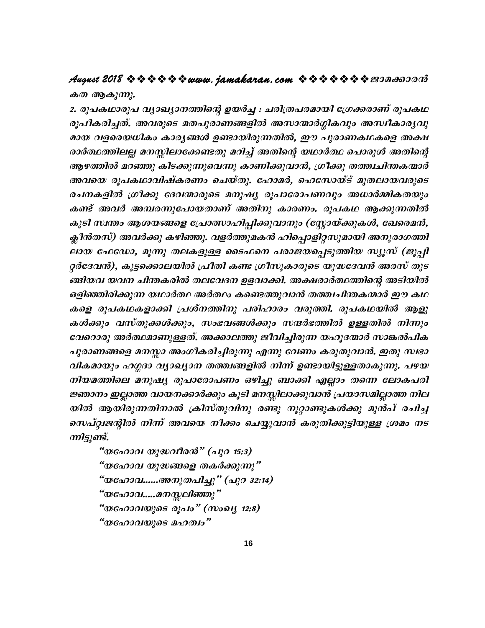### August 2018 \* \* \* \* \* \* www. jamakaran.com \* \* \* \* \* \* \* \* 200000000 കത ആകുന്നു.

2. രൂപകഥാരൂപ വ്യാഖ്യാനത്തിന്റെ ഉയർച്ച : ചരിത്രപരമായി ശ്രേക്കരാണ് രൂപകഥ രൂപീകരിച്ചത്. അവരുടെ മതപുരാണങ്ങളിൽ അസാന്മാർഗ്ഗികവും അസ്വീകാരൃവു മായ വളരെയധികം കാരൃങ്ങൾ ഉണ്ടായിരുന്നതിൽ, ഈ പുരാണകഥകളെ അക്ഷ രാർത്ഥത്തിലല്ല മനസ്സിലാക്കേണ്ടതു മറിച്ച് അതിന്റെ യഥാർത്ഥ പൊരുൾ അതിന്റെ ആഴത്തിൽ മറഞ്ഞു കിടക്കുന്നുവെന്നു കാണിക്കുവാൻ, ഗ്രീക്കു തത്ത്വചിന്തകന്മാർ അവയെ രൂപകഥാവിഷ്കരണം ചെയ്തു. ഹോമർ, ഹെസോയ്ട് മുതലായവരുടെ രചനകളിൽ ഗ്രീക്കു ദേവന്മാരുടെ മനുഷ്യ രൂപാരോപണവും അധാർമ്മികതയും കണ്ട് അവർ അമ്പരന്നുപോയതാണ് അതിനു കാരണം. രൂപകഥ ആക്കുന്നതിൽ കൂടി സ്ഥതം ആശയങ്ങളെ പ്രോത്സാഹിപ്പിക്കുവാനും (സ്റ്റോയ്ക്കുകൾ, ഖേരെമൻ, ക്ലീൻതസ്) അവർക്കു കഴിഞ്ഞു. വളർത്തുമകൻ ഹിപ്പൊളിറ്റസുമായി അനുരാഗത്തി ലായ ഫേഡോ, മൂന്നു തലകളുള്ള ടൈഫനെ പരാജയപ്പെടുത്തിയ സ്യൂസ് (ജൂപ്പി റ്റർദേവൻ), കൂട്ടക്കൊലയിൽ പ്രീതി കണ്ട ഗ്രീസുകാരുടെ യുദ്ധദേവൻ അരസ് തുട ങ്ങിയവ യവന ചിന്തകരിൽ തലവേദന ഉളവാക്കി. അക്ഷരാർത്ഥത്തിന്റെ അടിയിൽ ഒളിഞ്ഞിരിക്കുന്ന യഥാർത്ഥ അർത്ഥം കണ്ടെത്തുവാൻ തത്ത്വചിന്തകന്മാർ ഈ കഥ കളെ രൂപകഥകളാക്കി പ്രശ്നത്തിനു പരിഹാരം വരുത്തി. രൂപകഥയിൽ ആളു കൾക്കും വസ്തുക്കൾക്കും, സംഭവങ്ങൾക്കും സന്ദർഭത്തിൽ ഉള്ളതിൽ നിന്നും വേറൊരു അർത്ഥമാണുള്ളത്. അക്കാലത്തു ജീവിച്ചിരുന്ന യഹൂദന്മാർ സാങ്കൽപിക പുരാണങ്ങളെ മനസ്സാ അംഗീകരിച്ചിരുന്നു എന്നു വേണം കരുതുവാൻ. ഇതു സ്വഭാ വികമായും ഹഗ്ഗദാ വ്യാഖ്യാന തത്ത്വങ്ങളിൽ നിന്ന് ഉണ്ടായിട്ടുള്ളതാകുന്നു. പഴയ നിയമത്തിലെ മനുഷ്യ രൂപാരോപണം ഒഴിച്ചു ബാക്കി എല്ലാം തന്നെ ലോകപരി ജ്ഞാനം ഇല്ലാത്ത വായനക്കാർക്കും കൂടി മനസ്സിലാക്കുവാൻ പ്രയാസമില്ലാത്ത നില യിൽ ആയിരുന്നതിനാൽ ക്രിസ്തുവിനു രണ്ടു നൂറ്റാണ്ടുകൾക്കു മുൻപ് രചിച്ച സെപ്റ്റ്വജന്റിൽ നിന്ന് അവയെ നീക്കം ചെയ്യുവാൻ കരുതിക്കൂട്ടിയുള്ള ശ്രമം നട ന്നിട്ടുണ്ട്.

"യഹോവ യുദ്ധവീരൻ" (പുറ 15:3) "യഹോവ യുദ്ധങ്ങളെ തകർക്കുന്നു" "യഹോവ......അനുതപിച്ചു" (പുറ 32:14) "യഹോവ.....മനസ്സലിഞ്ഞു" "യഹോവയുടെ രൂപം" (സംഖ്യ 12:8) "യഹോവയുടെ മഹത്വം"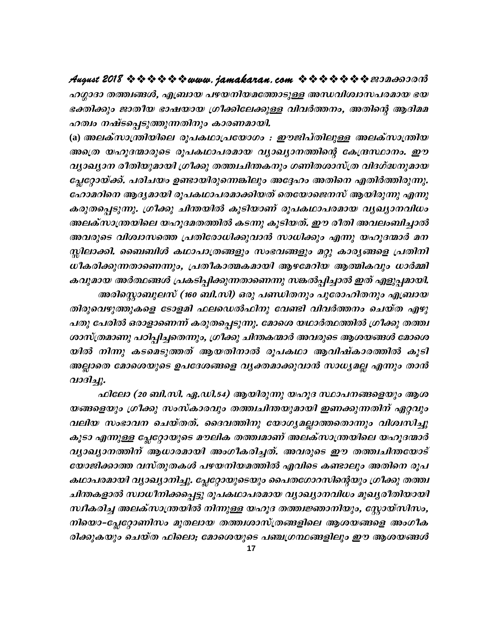ഹഗ്ഗാദാ തത്ത്വങ്ങൾ, എബ്രായ പഴയനിയമത്തോടുള്ള അന്ധവിശ്വാസപരമായ ഭയ ഭക്തിക്കും ജാതീയ ഭാഷയായ ഗ്രീക്കിലേക്കുള്ള വിവർത്തനം, അതിന്റെ ആദിമമ ഹത്വം നഷ്ടപ്പെടുത്തുന്നതിനും കാരണമായി.

(a) അലക്സാന്ത്രിയിലെ രൂപകഥാപ്രയോഗം *: ഈജിപ്തിലുള്ള അലക്സാ*ന്ത്രിയ അത്രെ യഹൂദന്മാരുടെ രൂപകഥാപരമായ വ്യാഖ്യാനത്തിന്റെ കേന്ദ്രസ്ഥാനം. ഈ വ്യാഖ്യാന രീതിയുമായി ഗ്രീക്കു തത്ത്വചിന്തകനും ഗണിതശാസ്ത്ര വിദഗ്ദ്ധനുമായ പ്ലേറ്റോയ്ക്ക്. പരിചയം ഉണ്ടായിരുന്നെങ്കിലും അദ്ദേഹം അതിനെ എതിർത്തിരുന്നു. ഹോമറിനെ ആദ്യമായി രൂപകഥാപരമാക്കിയത് തെയോജെനസ് ആയിരുന്നു എന്നു കരുതപ്പെടുന്നു. ഗ്രീക്കു ചിന്തയിൽ കൂടിയാണ് രൂപകഥാപരമായ വൃഖ്യാനവിധം അലക്സാന്ത്രയിലെ യഹൂദമതത്തിൽ കടന്നു കൂടിയത്. ഈ രീതി അവലംബിച്ചാൽ അവരുടെ വിശ്വാസത്തെ പ്രതിരോധിക്കുവാൻ സാധിക്കും എന്നു യഹൂദന്മാർ മന സ്തിലാക്കി. ബൈബിൾ കഥാപാത്രങ്ങളും സംഭവങ്ങളും മറ്റു കാര്യങ്ങളെ പ്രതിനി ധീകരിക്കുന്നതാണെന്നും, പ്രതീകാത്മകമായി ആഴമേറിയ ആത്മികവും ധാർമ്മി കവുമായ അർത്ഥങ്ങൾ പ്രകടിപ്പിക്കുന്നതാണെന്നു സങ്കൽപ്പിച്ചാൽ ഇത് എളുപ്പമായി. അരിസ്റ്റൊബുലസ് (160 ബി.സി) ഒരു പണ്ഡിതനും പുരോഹിതനും എബ്രായ

തിരുവെഴുത്തുകളെ ടോളമി ഫലഡെൽഫിനു വേണ്ടി വിവർത്തനം ചെയ്ത എഴു പതു പേരിൽ ഒരാളാണെന്ന് കരുതപ്പെടുന്നു. മോശെ യഥാർത്ഥത്തിൽ ഗ്രീക്കു തത്ത്വ ശാസ്ത്രമാണു പഠിപ്പിച്ചതെന്നും, ഗ്രീക്കു ചിന്തകന്മാർ അവരുടെ ആശയങ്ങൾ മോശെ യിൽ നിന്നു കടമെടുത്തത് ആയതിനാൽ രൂപകഥാ ആവിഷ്കാരത്തിൽ കൂടി അല്ലാതെ മോശെയുടെ ഉപദേശങ്ങളെ വൃക്തമാക്കുവാൻ സാധ്യമല്ല എന്നും താൻ വാദിച്ചു.

ഫിലോ (20 ബി.സി. ഏ.ഡി.54) ആയിരുന്നു യഹൂദ സ്ഥാപനങ്ങളെയും ആശ യങ്ങളെയും ഗ്രീക്കു സംസ്കാരവും തത്ത്വചിന്തയുമായി ഇണക്കുന്നതിന് ഏറ്റവും വലിയ സംഭാവന ചെയ്തത്. ദൈവത്തിനു യോഗ്യമല്ലാത്തതൊന്നും വിശ്വസിച്ചു കൂടാ എന്നുള്ള പ്ലേറ്റോയുടെ മൗലിക തത്ത്വമാണ് അലക്സാന്ത്രയിലെ യഹൂദന്മാർ വ്യാഖ്യാനത്തിന് ആധാരമായി അംഗീകരിച്ചത്. അവരുടെ ഈ തത്ത്വചിന്തയോട് യോജിക്കാത്ത വസ്തുതകൾ പഴയനിയമത്തിൽ എവിടെ കണ്ടാലും അതിനെ രൂപ കഥാപരമായി വ്യാഖ്യാനിച്ചു. പ്ലേറ്റോയുടെയും പൈതഗോറസിന്റെയും ഗ്രീക്കു തത്ത്വ ചിന്തകളാൽ സ്വാധീനിക്കപ്പെട്ടു രൂപകഥാപരമായ വ്യാഖ്യാനവിധം മുഖ്യരീതിയായി സ്ഥീകരിച്ച അലക്സാന്ത്രയിൽ നിന്നുള്ള യഹൂദ തത്ത്വജ്ഞാനിയും, സ്റ്റോയ്സിസം, നിയൊ-പ്ലേറ്റോണിസം മുതലായ തത്ത്വശാസ്ത്രങ്ങളിലെ ആശയങ്ങളെ അംഗീക രിക്കുകയും ചെയ്ത ഫിലൊ; മോശെയുടെ പഞ്ചഗ്രന്ഥങ്ങളിലും ഈ ആശയങ്ങൾ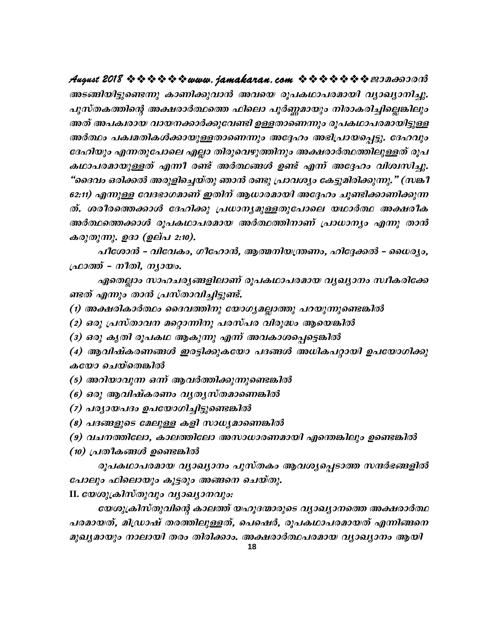അടങ്ങിയിട്ടുണ്ടെന്നു കാണിക്കുവാൻ അവയെ രൂപകഥാപരമായി വ്യാഖ്യാനിച്ചു. പുസ്തകത്തിന്റെ അക്ഷരാർത്ഥത്തെ ഫിലൊ പൂർണ്ണമായും നിരാകരിച്ചില്ലെങ്കിലും അത് അപക്വരായ വായനക്കാർക്കുവേണ്ടി ഉള്ളതാണെന്നും രൂപകഥാപരമായിട്ടുള്ള അർത്ഥം പക്വമതികൾക്കായുള്ളതാണെന്നും അദ്ദേഹം അഭിപ്രായപ്പെട്ടു. ദേഹവും ദേഹിയും എന്നതുപോലെ എല്ലാ തിരുവെഴുത്തിനും അക്ഷരാർത്ഥത്തിലുള്ളത് രൂപ കഥാപരമായുള്ളത് എന്നീ രണ്ട് അർത്ഥങ്ങൾ ഉണ്ട് എന്ന് അദ്ദേഹം വിശ്വസിച്ചു. "ദൈവം ഒരിക്കൽ അരുളിച്ചെയ്തു ഞാൻ രണ്ടു പ്രാവശ്യം കേട്ടുമിരിക്കുന്നു." (സങ്ക1 62:11) എന്നുള്ള വേദഭാഗമാണ് ഇതിന് ആധാരമായി അദ്ദേഹം ചൂണ്ടിക്കാണിക്കുന്ന ത്. ശരീരത്തെക്കാൾ ദേഹിക്കു പ്രധാനൃമുള്ളതുപോലെ യഥാർത്ഥ അക്ഷരീക അർത്ഥത്തെക്കാൾ രൂപകഥാപരമായ അർത്ഥത്തിനാണ് പ്രാധാനൃം എന്നു താൻ കരുതുന്നു. ഉദാ (ഉല്പ 2:10).

പീശോൻ – വിവേകം, ഗീഹോൻ, ആത്മനിയന്ത്രണം, ഹിദ്ദേക്കൽ – ധൈര്യം, ഫ്രാത്ത് – നീതി, നൃായം.

ഏതെല്ലാം സാഹചര്യങ്ങളിലാണ് രൂപകഥാപരമായ വ്യഖ്യാനം സ്ഥീകരിക്കേ ണ്ടത് എന്നും താൻ പ്രസ്താവിച്ചിട്ടുണ്ട്.

(1) അക്ഷരികാർത്ഥം ദൈവത്തിനു യോഗ്യമല്ലാത്തു പറയുന്നുണ്ടെങ്കിൽ

(2) ഒരു പ്രസ്താവന മറ്റൊന്നിനു പരസ്പര വിരുദ്ധം ആയെങ്കിൽ

(3) ഒരു കൃതി രൂപകഥ ആകുന്നു എന്ന് അവകാശപ്പെട്ടെങ്കിൽ

(4) ആവിഷ്കരണങ്ങൾ ഇരട്ടിക്കുകയോ പദങ്ങൾ അധികപറ്റായി ഉപയോഗിക്കു കയോ ചെയ്തെങ്കിൽ

(5) അറിയാവുന്ന ഒന്ന് ആവർത്തിക്കുന്നുണ്ടെങ്കിൽ

- (6) ഒരു ആവിഷ്കരണം വൃതൃസ്തമാണെങ്കിൽ
- (7) പര്യായപദം ഉപയോഗിച്ചിട്ടുണ്ടെങ്കിൽ
- (8) പദങ്ങളുടെ മേലുള്ള കളി സാധ്യമാണെങ്കിൽ
- (9) വചനത്തിലോ, കാലത്തിലോ അസാധാരണമായി എന്തെങ്കിലും ഉണ്ടെങ്കിൽ
- (10) പ്രതീകങ്ങൾ ഉണ്ടെങ്കിൽ

രൂപകഥാപരമായ വ്യാഖ്യാനം പുസ്തകം ആവശ്യപ്പെടാത്ത സന്ദർഭങ്ങളിൽ പോലും ഫിലൊയും കൂട്ടരും അങ്ങനെ ചെയ്തു.

II. woogaaladayayo ayooyomayo:

യേശുക്രിസ്തുവിന്റെ കാലത്ത് യഹൂദന്മാരുടെ വ്യാഖ്യാനത്തെ അക്ഷരാർത്ഥ പരമായത്, മിഡ്രാഷ് തരത്തിലുള്ളത്, പെഷെർ, രൂപകഥാപരമായത് എന്നിങ്ങനെ മുഖ്യമായും നാലായി തരം തിരിക്കാം. അക്ഷരാർത്ഥപരമായ വ്യാഖ്യാനം ആയി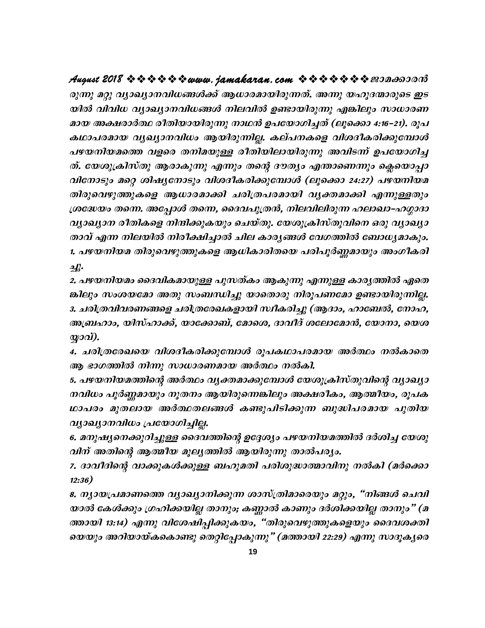രുന്നു മറ്റു വ്യാഖ്യാനവിധങ്ങൾക്ക് ആധാരമായിരുന്നത്. അന്നു യഹൂദന്മാരുടെ ഇട യിൽ വിവിധ വ്യാഖ്യാനവിധങ്ങൾ നിലവിൽ ഉണ്ടായിരുന്നു എങ്കിലും സാധാരണ മായ അക്ഷരാർത്ഥ രീതിയായിരുന്നു നാഥൻ ഉപയോഗിച്ചത് (ലൂക്കൊ 4:16–21). രൂപ കഥാപരമായ വൃഖ്യാനവിധം ആയിരുന്നില്ല. കല്പനകളെ വിശദീകരിക്കുമ്പോൾ പഴയനിയമത്തെ വളരെ തനിമയുള്ള രീതിയിലായിരുന്നു അവിടന്ന് ഉപയോഗിച്ച ത്. യേശുക്രിസ്തു ആരാകുന്നു എന്നും തന്റെ ദൗത്യം എന്താണെന്നും ക്ലെയൊപ്പാ വിനോടും മറ്റെ ശിഷ്യനോടും വിശദീകരിക്കുമ്പോൾ (ലൂക്കൊ 24:27) പഴയനിയമ തിരുവെഴുത്തുകളെ ആധാരമാക്കി ചരിത്രപരമായി വൃക്തമാക്കി എന്നുള്ളതും ശ്രദ്ധേയം തന്നെ. അപ്പോൾ തന്നെ, ദൈവപുത്രൻ, നിലവിലിരുന്ന ഹലാഖാ–ഹഗ്ഗാദാ വ്യാഖ്യാന രീതികളെ നിന്ദിക്കുകയും ചെയ്തു. യേശുക്രിസ്തുവിനെ ഒരു വ്യാഖ്യാ താവ് എന്ന നിലയിൽ നിരീക്ഷിച്ചാൽ ചില കാരൃങ്ങൾ വേഗത്തിൽ ബോധൃമാകും. 1. പഴയനിയമ തിരുവെഴുത്തുകളെ ആധികാരിതയെ പരിപൂർണ്ണമായും അംഗീകരി

 $2k$ 

2. പഴയനിയമം ദൈവികമായുള്ള പുസത്കം ആകുന്നു എന്നുള്ള കാര്യത്തിൽ ഏതെ ങ്കിലും സംശയമോ അതു സംബന്ധിച്ചു യാതൊരു നിരൂപണമോ ഉണ്ടായിരുന്നില്ല. 3. ചരിത്രവിവരണങ്ങളെ ചരിത്രരേഖകളായി സ്ഥികരിച്ചു (ആദാം, ഹാബേൽ, നോഹ, അബ്രഹാം, യിസ്ഹാക്ക്, യാക്കോബ്, മോശെ, ദാവീദ് ശലോമോൻ, യോനാ, യെശ  $Q20Q$ 

4. ചരിത്രരേഖയെ വിശദീകരിക്കുമ്പോൾ രൂപകഥാപരമായ അർത്ഥം നൽകാതെ ആ ഭാഗത്തിൽ നിന്നു സാധാരണമായ അർത്ഥം നൽകി.

5. പഴയനിയമത്തിന്റെ അർത്ഥം വൃക്തമാക്കുമ്പോൾ യേശുക്രിസ്തുവിന്റെ വ്യാഖ്യാ നവിധം പൂർണ്ണമായും നൂതനം ആയിരുന്നെങ്കിലും അക്ഷരീകം, ആത്മീയം, രൂപക ഥാപരം മുതലായ അർത്ഥതലങ്ങൾ കണ്ടുപിടിക്കുന്ന ബുദ്ധിപരമായ പുതിയ വ്യാഖ്യാനവിധം പ്രയോഗിച്ചില്ല.

6. മനുഷ്യനെക്കുറിച്ചുള്ള ദൈവത്തിന്റെ ഉദ്ദേശ്യം പഴയനിയമത്തിൽ ദർശിച്ച യേശു വിന് അതിന്റെ ആത്മീയ മൂല്യത്തിൽ ആയിരുന്നു താൽപര്യം.

7. ദാവീദിന്റെ വാക്കുകൾക്കുള്ള ബഹുമതി പരിശുദ്ധാത്മാവിനു നൽകി (മർക്കൊ  $12:36)$ 

8. നൃായപ്രമാണത്തെ വൃാഖ്യാനിക്കുന്ന ശാസ്ത്രിമാരെയും മറ്റും, "നിങ്ങൾ ചെവി യാൽ കേൾക്കും ഗ്രഹിക്കയില്ല താനും; കണ്ണാൽ കാണും ദർശിക്കയില്ല താനും" (മ ത്തായി 13:14) എന്നു വിശേഷിപ്പിക്കുകയം, "തിരുവെഴുത്തുകളെയും ദൈവശക്തി യെയും അറിയായ്കകൊണ്ടു തെറ്റിപ്പോകുന്നു" (മത്തായി 22:29) എന്നു സാദൂകൃരെ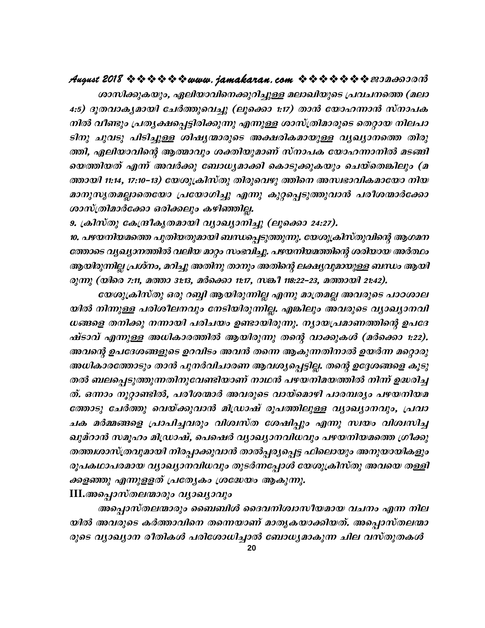### 

ശാസിക്കുകയും, ഏലിയാവിനെക്കുറിച്ചുള്ള മലാഖിയുടെ പ്രവചനത്തെ (മലാ 4:5) ദുതവാകൃമായി ചേർത്തുവെച്ചു (ലുക്കൊ 1:17) താൻ യോഹന്നാൻ സ്നാപക നിൽ വീണ്ടും പ്രതൃക്ഷപ്പെട്ടിരിക്കുന്നു എന്നുള്ള ശാസ്ത്രിമാരുടെ തെറ്റായ നിലപാ ടിനു ചുവടു പിടിച്ചുള്ള ശിഷ്യന്മാരുടെ അക്ഷരികമായുള്ള വ്യഖ്യാനത്തെ തിരു ത്തി, ഏലിയാവിന്റെ ആത്മാവും ശക്തിയുമാണ് സ്നാപക യോഹന്നാനിൽ മടങ്ങി യെത്തിയത് എന്ന് അവർക്കു ബോധൃമാക്കി കൊടുക്കുകയും ചെയ്തെങ്കിലും (മ ത്തായി 11:14, 17:10–13) യേശുക്രിസ്തു തിരുവെഴു ത്തിനെ അസ്വഭാവികമായോ നിയ മാനുസൃതമല്ലാതെയോ പ്രയോഗിച്ചു എന്നു കുറ്റപ്പെടുത്തുവാൻ പരീശന്മാർക്കോ ശാസ്ത്രിമാർക്കോ ഒരിക്കലും കഴിഞ്ഞില്ല.

9. ക്രിസ്തു കേന്ദ്രീകൃതമായി വ്യാഖ്യാനിച്ചു (ലൂക്കൊ 24:27).

10. പഴയനിയമത്തെ പുതിയതുമായി ബന്ധപ്പെടുത്തുന്നു. യേശുക്രിസ്തുവിന്റെ ആഗമന ത്തോടെ വ്യഖ്യാനത്തിൽ വലിയ മാറ്റം സംഭവിച്ചു. പഴയനിയമത്തിന്റെ ശരിയായ അർത്ഥം ആയിരുന്നില്ല പ്രശ്നം, മറിച്ചു അതിനു താനും അതിന്റെ ലക്ഷ്യവുമായുള്ള ബന്ധം ആയി രുന്നു (യിരെ 7:11, മത്താ 31:13, മർക്കൊ 11:17, സങ്കീ 118:22–23, മത്തായി 21:42).

യേശുക്രിസ്തു ഒരു റബ്ബി ആയിരുന്നില്ല എന്നു മാത്രമല്ല അവരുടെ പാഠശാല യിൽ നിന്നുള്ള പരിശീലനവും നേടിയിരുന്നില്ല. എങ്കിലും അവരുടെ വ്യാഖ്യാനവി ധങ്ങളെ തനിക്കു നന്നായി പരിചയം ഉണ്ടായിരുന്നു. ന്യായപ്രമാണത്തിന്റെ ഉപദേ ഷ്ടാവ് എന്നുള്ള അധികാരത്തിൽ ആയിരുന്നു തന്റെ വാക്കുകൾ (മർക്കൊ 1:22). അവന്റെ ഉപദേശങ്ങളുടെ ഉറവിടം അവൻ തന്നെ ആകുന്നതിനാൽ ഉയർന്ന മറ്റൊരു അധികാരത്തോടും താൻ പുനർവിചാരണ ആവശ്യപ്പെട്ടില്ല. തന്റെ ഉദ്ദേശങ്ങളെ കൂടു തൽ ബലപ്പെടുത്തുന്നതിനുവേണ്ടിയാണ് നാഥൻ പഴയനിമയത്തിൽ നിന്ന് ഉദ്ധരിച്ച ത്. ഒന്നാം നൂറ്റാണ്ടിൽ, പരീശന്മാർ അവരുടെ വായ്മൊഴി പാരമ്പര്യം പഴയനിയമ ത്തോടു ചേർത്തു വെയ്ക്കുവാൻ മിഡ്രാഷ് രൂപത്തിലുള്ള വ്യാഖ്യാനവും, പ്രവാ ചക മർമ്മങ്ങളെ പ്രാപിച്ചവരും വിശ്വസ്ത ശേഷിപ്പും എന്നു സ്വയം വിശ്വസിച്ച ഖുമ്റാൻ സമൂഹം മിഡ്രാഷ്, പെഷെർ വ്യാഖ്യാനവിധവും പഴയനിയമത്തെ ഗ്രീക്കു തത്തശാസ്ത്രവുമായി നിരപ്പാക്കുവാൻ താൽപ്പര്യപ്പെട്ട ഫിലൊയും അനുയായികളും രൂപകഥാപരമായ വ്യാഖ്യാനവിധവും തുടർന്നപ്പോൾ യേശുക്രിസ്തു അവയെ തള്ളി ക്കളഞ്ഞു എന്നുള്ളത് പ്രത്യേകം ശ്രദ്ധേയം ആകുന്നു.

 $III.$ അപ്പൊസ്തലന്മാരും വ്യാഖ്യാവും

അപ്പൊസ്തലന്മാരും ബൈബിൾ ദൈവനിശ്വാസീയമായ വചനം എന്ന നില യിൽ അവരുടെ കർത്താവിനെ തന്നെയാണ് മാതൃകയാക്കിയത്. അപ്പൊസ്തലന്മാ രുടെ വ്യാഖ്യാന രീതികൾ പരിശോധിച്ചാൽ ബോധ്യമാകുന്ന ചില വസ്തുതകൾ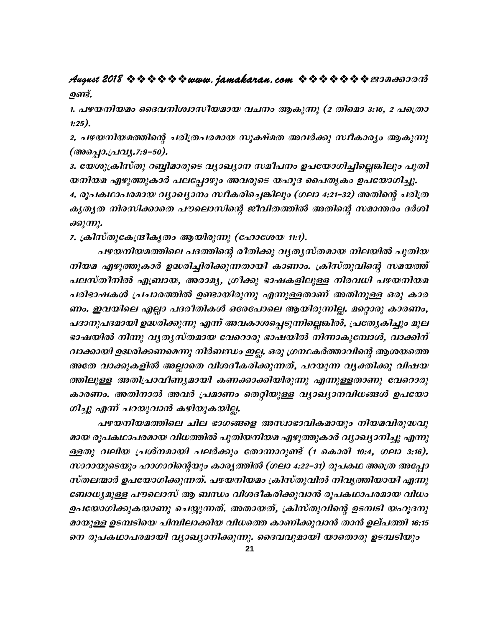### August 2018 \* \* \* \* \* \* www. jamakaran.com \* \* \* \* \* \* \* \* 200000000 ഉണ്ട്.

1. പഴയനിയമം ദൈവനിശ്വാസീയമായ വചനം ആകുന്നു (2 തിമൊ 3:16, 2 പത്രൊ  $1:25$ ).

2. പഴയനിയമത്തിന്റെ ചരിത്രപരമായ സൂക്ഷ്മത അവർക്കു സ്ഥീകാര്യം ആകുന്നു (അപ്പൊ.പ്രവ്യ.7:9-50).

3. യേശുക്രിസ്തു റബ്ബിമാരുടെ വ്യാഖ്യാന സമീപനം ഉപയോഗിച്ചില്ലെങ്കിലും പുതി യനിയമ എഴുത്തുകാർ പലപ്പോഴും അവരുടെ യഹൂദ പൈതൃകം ഉപയോഗിച്ചു.

4. രൂപകഥാപരമായ വ്യാഖ്യാനം സ്ഥീകരിച്ചെങ്കിലും (ഗലാ 4:21–32) അതിന്റെ ചരിത്ര കൃതൃത നിരസിക്കാതെ പൗലൊസിന്റെ ജീവിതത്തിൽ അതിന്റെ സമാന്തരം ദർശി ക്കുന്നു.

7. ക്രിസ്തുകേന്ദ്രീകൃതം ആയിരുന്നു (ഹോശേയ 11:1).

പഴയനിയമത്തിലെ പദത്തിന്റെ രീതിക്കു വൃതൃസ്തമായ നിലയിൽ പുതിയ നിയമ എഴുത്തുകാർ ഉദ്ധരിച്ചിരിക്കുന്നതായി കാണാം. ക്രിസ്തുവിന്റെ സമയത്ത് പലസ്തീനിൽ എബ്രായ, അരാമൃ, ഗ്രീക്കു ഭാഷകളിലുള്ള നിരവധി പഴയനിയമ പരിഭാഷകൾ പ്രചാരത്തിൽ ഉണ്ടായിരുന്നു എന്നുള്ളതാണ് അതിനുള്ള ഒരു കാര ണം. ഇവയിലെ എല്ലാ പദരീതികൾ ഒരേപോലെ ആയിരുന്നില്ല. മറ്റൊരു കാരണം, പദാനുപദമായി ഉദ്ധരിക്കുന്നു എന്ന് അവകാശപ്പെടുന്നില്ലെങ്കിൽ, പ്രത്യേകിച്ചും മൂല ഭാഷയിൽ നിന്നു വൃതൃസ്തമായ വേറൊരു ഭാഷയിൽ നിന്നാകുമ്പോൾ, വാക്കിന് വാക്കായി ഉദ്ധരിക്കണമെന്നു നിർബന്ധം ഇല്ല. ഒരു ഗ്രന്ഥകർത്താവിന്റെ ആശയത്തെ അതേ വാക്കുകളിൽ അല്ലാതെ വിശദീകരിക്കുന്നത്, പറയുന്ന വൃക്തിക്കു വിഷയ ത്തിലുള്ള അതിപ്രാവീണ്യമായി കണക്കാക്കിയിരുന്നു എന്നുള്ളതാണു വേറൊരു കാരണം. അതിനാൽ അവർ പ്രമാണം തെറ്റിയുള്ള വ്യാഖ്യാനവിധങ്ങൾ ഉപയോ ഗിച്ചു എന്ന് പറയുവാൻ കഴിയുകയില്ല.

പഴയനിയമത്തിലെ ചില ഭാഗങ്ങളെ അസ്ഥഭാവികമായും നിയമവിരുദ്ധവു മായ രൂപകഥാപരമായ വിധത്തിൽ പുതിയനിയമ എഴുത്തുകാർ വ്യാഖ്യാനിച്ചു എന്നു ള്ളതു വലിയ പ്രശ്നമായി പലർക്കും തോന്നാറുണ്ട് (1 കൊരി 10:4, ഗലാ 3:16). സാറായുടെയും ഹാഗാറിന്റെയും കാര്യത്തിൽ (ഗലാ 4:22–31) രൂപകഥ അത്രെ അപ്പോ സ്തലന്മാർ ഉപയോഗിക്കുന്നത്. പഴയനിയമം ക്രിസ്തുവിൽ നിവൃത്തിയായി എന്നു ബോധ്യമുള്ള പൗലൊസ് ആ ബന്ധം വിശദീകരിക്കുവാൻ രൂപകഥാപരമായ വിധം ഉപയോഗിക്കുകയാണു ചെയ്യുന്നത്. അതായത്, ക്രിസ്തുവിന്റെ ഉടമ്പടി യഹൂദനു മായുള്ള ഉടമ്പടിയെ പിമ്പിലാക്കിയ വിധത്തെ കാണിക്കുവാൻ താൻ ഉല്പത്തി 16:15 നെ രൂപകഥാപരമായി വ്യാഖ്യാനിക്കുന്നു. ദൈവവുമായി യാതൊരു ഉടമ്പടിയും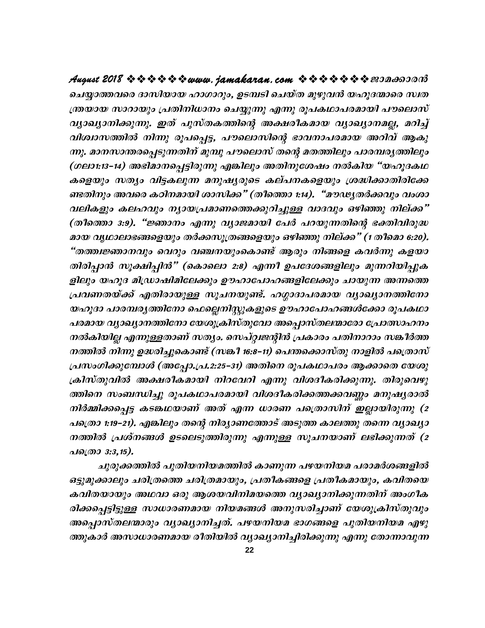ചെയ്യാത്തവരെ ദാസിയായ ഹാഗാറും, ഉടമ്പടി ചെയ്ത മുഴുവൻ യഹൂദന്മാരെ സ്വത ന്ത്രയായ സാറായും പ്രതിനിധാനം ചെയ്യുന്നു എന്നു രൂപകഥാപരമായി പൗലൊസ് വ്യാഖ്യാനിക്കുന്നു. ഇത് പുസ്തകത്തിന്റെ അക്ഷരീകമായ വ്യാഖ്യാനമല്ല, മറിച്ച് വിശ്വാസത്തിൽ നിന്നു രൂപപ്പെട്ട, പൗലൊസിന്റെ ഭാവനാപരമായ അറിവ് ആകു ന്നു. മാനസാന്തരപ്പെടുന്നതിന് മുമ്പു പൗലൊസ് തന്റെ മതത്തിലും പാരമ്പര്യത്തിലും (ഗലാ1:13-14) അഭിമാനപ്പെട്ടിരുന്നു എങ്കിലും അതിനുശേഷം നൽകിയ "യഹൂദകഥ കളെയും സത്യം വിട്ടകലുന്ന മനുഷ്യരുടെ കല്പനകളെയും ശ്രദ്ധിക്കാതിരിക്കേ ണ്ടതിനും അവരെ കഠിനമായി ശാസിക്ക" (തീത്തൊ 1:14). "മൗഢ്യതർക്കവും വംശാ വലികളും കലഹവും ന്യായപ്രമാണത്തെക്കുറിച്ചുള്ള വാദവും ഒഴിഞ്ഞു നില്ക്ക" (തീത്തൊ 3:9). "ജ്ഞാനം എന്നു വ്യാജമായി പേർ പറയുന്നതിന്റെ ഭക്തിവിരുദ്ധ മായ വൃഥാലാഭങ്ങളെയും തർക്കസൂത്രങ്ങളെയും ഒഴിഞ്ഞു നില്ക്ക" (1 തീമൊ 6:20). "തത്ത്വജ്ഞാനവും വെറും വഞ്ചനയുംകൊണ്ട് ആരും നിങ്ങളെ കവർന്നു കളയാ തിരിപ്പാൻ സൂക്ഷിപ്പിൻ" (കൊലൊ 2:8) എന്നീ ഉപദേശങ്ങളിലും മുന്നറിയിപ്പുക ളിലും യഹൂദ മിഡ്രാഷിമിലേക്കും ഊഹാപോഹങ്ങളിലേക്കും ചായുന്ന അന്നത്തെ പ്രവണതയ്ക്ക് എതിരായുള്ള സൂചനയുണ്ട്. ഹഗ്ഗാദാപരമായ വ്യാഖ്യാനത്തിനോ യഹൂദാ പാരമ്പര്യത്തിനോ ഫെല്ലെനിസ്റ്റുകളുടെ ഊഹാപോഹങ്ങൾക്കോ രൂപകഥാ പരമായ വ്യാഖ്യാനത്തിനോ യേശുക്രിസ്തുവോ അപ്പൊസ്തലന്മാരോ പ്രോത്സാഹനം നൽകിയില്ല എന്നുള്ളതാണ് സത്യം. സെപ്റ്റ്വജന്റിൻ പ്രകാരം പതിനാറാം സങ്കീർത്ത നത്തിൽ നിന്നു ഉദ്ധരിച്ചുകൊണ്ട് (സങ്കീ 16:8–11) പെന്തക്കൊസ്തു നാളിൽ പത്രൊസ് പ്രസംഗിക്കുമ്പോൾ (അപ്പോ.പ്ര.2:25-31) അതിനെ രൂപകഥാപരം ആക്കാതെ യേശു ക്രിസ്തുവിൽ അക്ഷരീകമായി നിറവേറി എന്നു വിശദീകരിക്കുന്നു. തിരുവെഴു ത്തിനെ സംബന്ധിച്ചു രൂപകഥാപരമായി വിശദീകരിക്കത്തക്കവണ്ണം മനുഷ്യരാൽ നിർമ്മിക്കപ്പെട്ട കടങ്കഥയാണ് അത് എന്ന ധാരണ പത്രൊസിന് ഇല്ലായിരുന്നു (2 പത്രൊ 1:19–21). എങ്കിലും തന്റെ നിര്യാണത്തോട് അടുത്ത കാലത്തു തന്നെ വ്യാഖ്യാ നത്തിൽ പ്രശ്നങ്ങൾ ഉടലെടുത്തിരുന്നു എന്നുള്ള സൂചനയാണ് ലഭിക്കുന്നത് (2 പത്രൊ 3:3,15).

ചുരുക്കത്തിൽ പുതിയനിയമത്തിൽ കാണുന്ന പഴയനിയമ പരാമർശങ്ങളിൽ ഒട്ടുമുക്കാലും ചരിത്രത്തെ ചരിത്രമായും, പ്രതീകങ്ങളെ പ്രതീകമായും, കവിതയെ കവിതയായും അഥവാ ഒരു ആശയവിനിമയത്തെ വ്യാഖ്യാനിക്കുന്നതിന് അംഗീക രിക്കപ്പെട്ടിട്ടുള്ള സാധാരണമായ നിയമങ്ങൾ അനുസരിച്ചാണ് യേശുക്രിസ്തുവും അപ്പൊസ്തലന്മാരും വ്യാഖ്യാനിച്ചത്. പഴയനിയമ ഭാഗങ്ങളെ പുതിയനിയമ എഴു ത്തുകാർ അസാധാരണമായ രീതിയിൽ വ്യാഖ്യാനിച്ചിരിക്കുന്നു എന്നു തോന്നാവുന്ന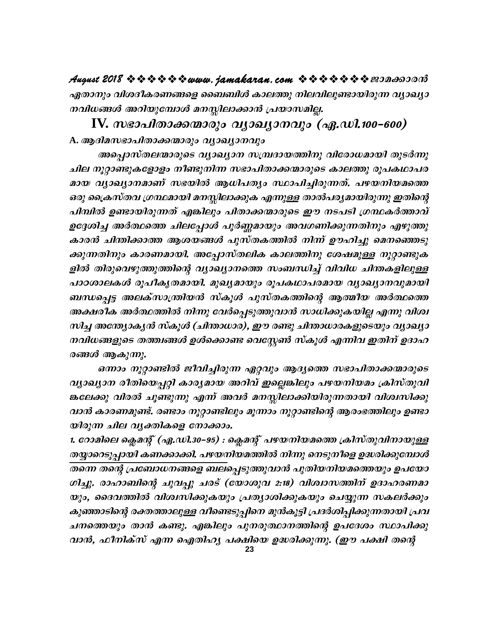ഏതാനും വിശദീകരണങ്ങളെ ബൈബിൾ കാലത്തു നിലവിലുണ്ടായിരുന്ന വ്യാഖ്യാ നവിധങ്ങൾ അറിയുമ്പോൾ മനസ്സിലാക്കാൻ പ്രയാസമില്ല.

IV. സഭാപിതാക്കന്മാരും വൃാഖ്യാനവും (ഏ.ഡി.100-600) A. ആദിമസഭാപിതാക്കന്മാരും വ്യാഖ്യാനവും

അപ്പൊസ്തലന്മാരുടെ വ്യാഖ്യാന സമ്പ്രദായത്തിനു വിരോധമായി തുടർന്നു ചില നൂറ്റാണ്ടുകളോളം നീണ്ടുനിന്ന സഭാപിതാക്കന്മാരുടെ കാലത്തു രൂപകഥാപര മായ വ്യാഖ്യാനമാണ് സഭയിൽ ആധിപത്യം സ്ഥാപിച്ചിരുന്നത്. പഴയനിയമത്തെ ഒരു ക്രൈസ്തവ ഗ്രന്ഥമായി മനസ്സിലാക്കുക എന്നുള്ള താൽപര്യമായിരുന്നു ഇതിന്റെ പിമ്പിൽ ഉണ്ടായിരുന്നത് എങ്കിലും പിതാക്കന്മാരുടെ ഈ നടപടി ഗ്രന്ഥകർത്താവ് ഉദ്ദേശിച്ച അർത്ഥത്തെ ചിലപ്പോൾ പൂർണ്ണമായും അവഗണിക്കുന്നതിനും എഴുത്തു കാരൻ ചിന്തിക്കാത്ത ആശയങ്ങൾ പുസ്തകത്തിൽ നിന്ന് ഊഹിച്ചു മെനഞ്ഞെടു ക്കുന്നതിനും കാരണമായി. അപ്പോസ്തലിക കാലത്തിനു ശേഷമുള്ള നൂറ്റാണ്ടുക ളിൽ തിരുവെഴുത്തുത്തിന്റെ വ്യാഖ്യാനത്തെ സംബന്ധിച്ച് വിവിധ ചിന്തകളിലുള്ള പാഠശാലകൾ രൂപീകൃതമായി. മുഖ്യമായും രൂപകഥാപരമായ വ്യാഖ്യാനവുമായി ബന്ധപ്പെട്ട അലക്സാന്ത്രിയൻ സ്കൂൾ പുസ്തകത്തിന്റെ ആത്മീയ അർത്ഥത്തെ അക്ഷരീക അർത്ഥത്തിൽ നിന്നു വേർപ്പെടുത്തുവാൻ സാധിക്കുകയില്ല എന്നു വിശ്വ സിച്ച അന്ത്യാകൃൻ സ്കൂൾ (ചിന്താധാര), ഈ രണ്ടു ചിന്താധാരകളുടെയും വ്യാഖ്യാ നവിധങ്ങളുടെ തത്ത്വങ്ങൾ ഉൾക്കൊണ്ട വെസ്റ്റേൺ സ്കൂൾ എന്നിവ ഇതിന് ഉദാഹ രങ്ങൾ ആകുന്നു.

ഒന്നാം നൂറ്റാണ്ടിൽ ജീവിച്ചിരുന്ന ഏറ്റവും ആദ്യത്തെ സഭാപിതാക്കന്മാരുടെ വ്യാഖ്യാന രീതിയെപ്പറ്റി കാര്യമായ അറിവ് ഇല്ലെങ്കിലും പഴയനിയമം ക്രിസ്തുവി ങ്കലേക്കു വിരൽ ചൂണ്ടുന്നു എന്ന് അവർ മനസ്സിലാക്കിയിരുന്നതായി വിശ്വസിക്കു വാൻ കാരണമുണ്ട്. രണ്ടാം നൂറ്റാണ്ടിലും മൂന്നാം നൂറ്റാണ്ടിന്റെ ആരംഭത്തിലും ഉണ്ടാ യിരുന്ന ചില വൃക്തികളെ നോക്കാം.

1. റോമിലെ ക്ലെമന്റ് (ഏ.ഡി.30–95) : ക്ലെമന്റ് പഴയനിയമത്തെ ക്രിസ്തുവിനായുള്ള തയ്യാറെടുപ്പായി കണക്കാക്കി. പഴയനിയമത്തിൽ നിന്നു നെടുനീളെ ഉദ്ധരിക്കുമ്പോൾ തന്നെ തന്റെ പ്രബോധനങ്ങളെ ബലപ്പെടുത്തുവാൻ പുതിയനിയമത്തെയും ഉപയോ ഗിച്ചു. രാഹാബിന്റെ ചുവപ്പു ചരട് (യോശുവ 2:18) വിശ്വാസത്തിന് ഉദാഹരണമാ യും, ദൈവത്തിൽ വിശ്വസിക്കുകയും പ്രത്യാശിക്കുകയും ചെയ്യുന്ന സകലർക്കും കുഞ്ഞാടിന്റെ രക്തത്താലുള്ള വീണ്ടെടുപ്പിനെ മുൻകൂട്ടി പ്രദർശിപ്പിക്കുന്നതായി പ്രവ ചനത്തെയും താൻ കണ്ടു. എങ്കിലും പുനരുത്ഥാനത്തിന്റെ ഉപദേശം സ്ഥാപിക്കു വാൻ, ഫീനിക്സ് എന്ന ഐതിഹ്യ പക്ഷിയെ ഉദ്ധരിക്കുന്നു. (ഈ പക്ഷി തന്റെ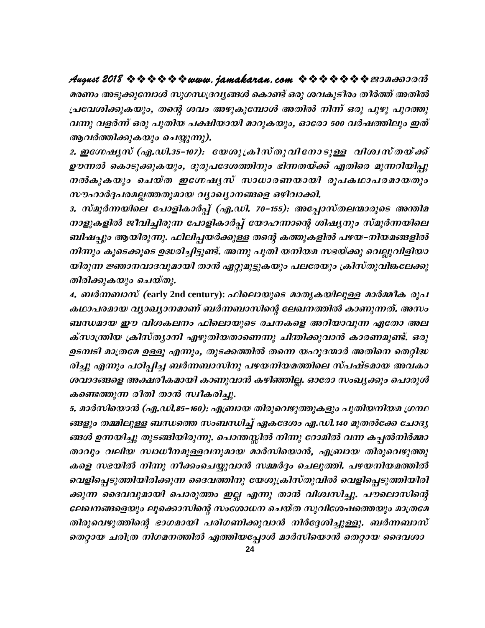### 

മരണം അടുക്കുമ്പോൾ സുഗന്ധദ്രവ്യങ്ങൾ കൊണ്ട് ഒരു ശവകുടീരം തീർത്ത് അതിൽ പ്രവേശിക്കുകയും, തന്റെ ശവം അഴുകുമ്പോൾ അതിൽ നിന്ന് ഒരു പുഴു പുറത്തു വന്നു വളർന്ന് ഒരു പുതിയ പക്ഷിയായി മാറുകയും, ഓരോ 500 വർഷത്തിലും ഇത് ആവർത്തിക്കുകയും ചെയ്യുന്നു).

2. ഇഗ്നേഷ്യസ് (ഏ.ഡി.35-107): യേശുക്രിസ്തുവിനോടുള്ള വിശ്വസ്തയ്ക്ക് ഊന്നൽ കൊടുക്കുകയും, ദുരുപദേശത്തിനും ഭിന്നതയ്ക്ക് എതിരെ മുന്നറിയിപ്പു നൽകുകയും ചെയ്ത ഇഗ്നേഷ്യസ് സാധാരണയായി രൂപകഥാപരമായതും സൗഹാർദ്ദപരമല്ലത്തതുമായ വ്യാഖ്യാനങ്ങളെ ഒഴിവാക്കി.

3. സ്മുർന്നയിലെ പോളികാർപ്പ് (ഏ.ഡി. 70–155): അപ്പോസ്തലന്മാരുടെ അന്തിമ നാളുകളിൽ ജീവിച്ചിരുന്ന പോളികാർപ്പ് യോഹന്നാന്റെ ശിഷ്യനും സ്മുർന്നയിലെ ബിഷപ്പും ആയിരുന്നു. ഫിലിപ്പയർക്കുള്ള തന്റെ കത്തുകളിൽ പഴയ–നിയമങ്ങളിൽ നിന്നും കൂടെക്കൂടെ ഉദ്ധരിച്ചിട്ടുണ്ട്. അന്നു പുതി യനിയമ സഭയ്ക്കു വെല്ലുവിളിയാ യിരുന്ന ജ്ഞാനവാദവുമായി താൻ ഏറ്റുമുട്ടുകയും പലരേയും ക്രിസ്തുവിങ്കലേക്കു തിരിക്കുകയും ചെയ്തു.

4. ബർന്നബാസ് (early 2nd century): ഫിലൊയുടെ മാതൃകയിലുള്ള മാർമ്മീക രൂപ കഥാപരമായ വ്യാഖ്യാനമാണ് ബർന്നബാസിന്റെ ലേഖനത്തിൽ കാണുന്നത്. അസം ബന്ധമായ ഈ വിശകലനം ഫിലൊയുടെ രചനകളെ അറിയാവുന്ന ഏതോ അല ക്സാന്ത്രിയ ക്രിസ്ത്യാനി എഴുതിയതാണെന്നു ചിന്തിക്കുവാൻ കാരണമുണ്ട്. ഒരു ഉടമ്പടി മാത്രമേ ഉള്ളൂ എന്നും, തുടക്കത്തിൽ തന്നെ യഹൂദന്മാർ അതിനെ തെറ്റിദ്ധ രിച്ചു എന്നും പഠിപ്പിച്ച ബർന്നബാസിനു പഴയനിയമത്തിലെ സ്പഷ്ടമായ അവകാ ശവാദങ്ങളെ അക്ഷരീകമായി കാണുവാൻ കഴിഞ്ഞില്ല. ഓരോ സംഖ്യക്കും പൊരുൾ കണ്ടെത്തുന്ന രീതി താൻ സ്ഥീകരിച്ചു.

5. മാർസിയൊൻ (ഏ.ഡി.85–160): എബ്രായ തിരുവെഴുത്തുകളും പുതിയനിയമ ഗ്രന്ഥ ങ്ങളും തമ്മിലുള്ള ബന്ധത്തെ സംബന്ധിച്ച് ഏകദേശം ഏ.ഡി.140 മുതൽക്കേ ചോദ്യ ങ്ങൾ ഉന്നയിച്ചു തുടങ്ങിയിരുന്നു. പൊന്തസ്സിൽ നിന്നു റോമിൽ വന്ന കപ്പൽനിർമ്മാ താവും വലിയ സ്വാധീനമുള്ളവനുമായ മാർസിയൊൻ, എബ്രായ തിരുവെഴുത്തു കളെ സഭയിൽ നിന്നു നീക്കംചെയ്യുവാൻ സമ്മർദ്ദം ചെലുത്തി. പഴയനിയമത്തിൽ വെളിപ്പെടുത്തിയിരിക്കുന്ന ദൈവത്തിനു യേശുക്രിസ്തുവിൽ വെളിപ്പെടുത്തിയിരി ക്കുന്ന ദൈവവുമായി പൊരുത്തം ഇല്ല എന്നു താൻ വിശ്വസിച്ചു. പൗലൊസിന്റെ ലേഖനങ്ങളെയും ലൂക്കൊസിന്റെ സംശോധന ചെയ്ത സുവിശേഷത്തെയും മാത്രമേ തിരുവെഴുത്തിന്റെ ഭാഗമായി പരിഗണിക്കുവാൻ നിർദ്ദേശിച്ചുള്ളൂ. ബർന്നബാസ് തെറ്റായ ചരിത്ര നിഗമനത്തിൽ എത്തിയപ്പോൾ മാർസിയൊൻ തെറ്റായ ദൈവശാ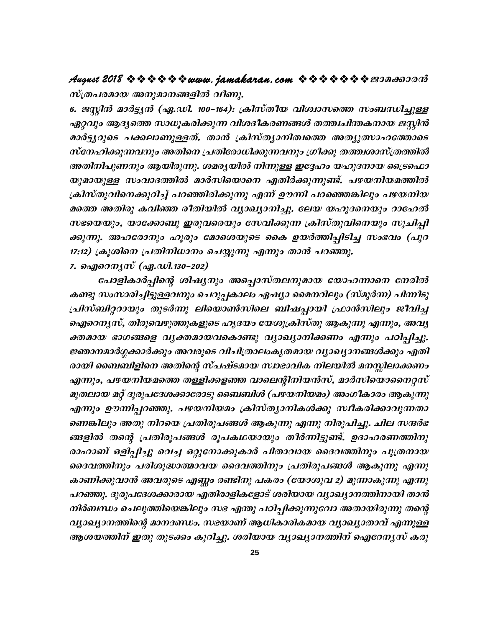സ്ത്രപരമായ അനുമാനങ്ങളിൽ വീണു.

6. ജസ്റ്റിൻ മാർട്ട്യൻ (ഏ.ഡി. 100–164): ക്രിസ്തീയ വിശ്വാസത്തെ സംബന്ധിച്ചുള്ള ഏറ്റവും ആദ്യത്തെ സാധൂകരിക്കുന്ന വിശദീകരണങ്ങൾ തത്ത്വചിന്തകനായ ജസ്റ്റിൻ മാർട്ടുറുടെ പക്കലാണുള്ളത്. താൻ ക്രിസ്ത്യാനിത്വത്തെ അത്യുത്സാഹത്തോടെ സ്നേഹിക്കുന്നവനും അതിനെ പ്രതിരോധിക്കുന്നവനും ഗ്രീക്കു തത്ത്ഥരാസ്ത്രത്തിൽ അതിനിപുണനും ആയിരുന്നു. ശമരൃയിൽ നിന്നുള്ള ഇദ്ദേഹം യഹൂദനായ ട്രൈഫൊ യുമായുള്ള സംവാദത്തിൽ മാർസിയൊനെ എതിർക്കുന്നുണ്ട്. പഴയനിയമത്തിൽ ക്രിസ്തുവിനെക്കുറിച്ച് പറഞ്ഞിരിക്കുന്നു എന്ന് ഊന്നി പറഞ്ഞെങ്കിലും പഴയനിയ മത്തെ അതിരു കവിഞ്ഞ രീതിയിൽ വ്യാഖ്യാനിച്ചു. ലേയ യഹൂദനെയും റാഹേൽ സഭയെയും, യാക്കോബു ഇരുവരെയും സേവിക്കുന്ന ക്രിസ്തുവിനെയും സൂചിപ്പി ക്കുന്നു. അഹരോനും ഹൂരും മോശെയുടെ കൈ ഉയർത്തിപ്പിടിച്ച സംഭവം (പുറ 17:12) ക്രൂശിനെ പ്രതിനിധാനം ചെയ്യുന്നു എന്നും താൻ പറഞ്ഞു. 7. ഐറെനൃസ് (ഏ.ഡി.130–202)

പോളികാർപ്പിന്റെ ശിഷ്യനും അപ്പൊസ്തലനുമായ യോഹന്നാനെ നേരിൽ കണ്ടു സംസാരിച്ചിട്ടുള്ളവനും ചെറുപ്പകാലം ഏഷ്യാ മൈനറിലും (സ്മുർന്ന) പിന്നീടു പ്രിസ്ബിറ്ററായും തുടർന്നു ലിയൊൺസിലെ ബിഷപ്പായി ഫ്രാൻസിലും ജീവിച്ച ഐറെന്യസ്, തിരുവെഴുത്തുകളുടെ ഹൃദയം യേശുക്രിസ്തു ആകുന്നു എന്നും, അവൃ ക്തമായ ഭാഗങ്ങളെ വൃക്തമായവകൊണ്ടു വ്യാഖ്യാനിക്കണം എന്നും പഠിപ്പിച്ചു. ജ്ഞാനമാർഗ്ഗക്കാർക്കും അവരുടെ വിചിത്രാലംകൃതമായ വ്യാഖ്യാനങ്ങൾക്കും എതി രായി ബൈബിളിനെ അതിന്റെ സ്പഷ്ടമായ സ്വാഭാവിക നിലയിൽ മനസ്സിലാക്കണം എന്നും, പഴയനിയമത്തെ തള്ളിക്കളഞ്ഞ വാലെന്റിനിയൻസ്, മാർസിയൊനൈറ്റസ് മുതലായ മറ്റ് ദുരുപദേശക്കാരോടു ബൈബിൾ (പഴയനിയമം) അംഗീകാരം ആകുന്നു എന്നും ഊന്നിപ്പറഞ്ഞു. പഴയനിയമം ക്രിസ്ത്യാനികൾക്കു സ്ഥീകരിക്കാവുന്നതാ ണെങ്കിലും അതു നിറയെ പ്രതിരൂപങ്ങൾ ആകുന്നു എന്നു നിരൂപിച്ചു. ചില സന്ദർഭ ങ്ങളിൽ തന്റെ പ്രതിരൂപങ്ങൾ രൂപകഥയായും തീർന്നിട്ടുണ്ട്. ഉദാഹരണത്തിനു രാഹാബ് ഒളിപ്പിച്ചു വെച്ച ഒറ്റുനോക്കുകാർ പിതാവായ ദൈവത്തിനും പുത്രനായ ദൈവത്തിനും പരിശുദ്ധാത്മാവയ ദൈവത്തിനും പ്രതിരൂപങ്ങൾ ആകുന്നു എന്നു കാണിക്കുവാൻ അവരുടെ എണ്ണം രണ്ടിനു പകരം (യോശുവ 2) മൂന്നാകുന്നു എന്നു പറഞ്ഞു. ദുരുപദേശക്കാരായ എതിരാളികളോട് ശരിയായ വ്യാഖ്യാനത്തിനായി താൻ നിർബന്ധം ചെലുത്തിയെങ്കിലും സഭ എന്തു പഠിപ്പിക്കുന്നുവോ അതായിരുന്നു തന്റെ വ്യാഖ്യാനത്തിന്റെ മാനദണ്ഡം. സഭയാണ് ആധികാരികമായ വ്യാഖ്യാതാവ് എന്നുള്ള ആശയത്തിന് ഇതു തുടക്കം കുറിച്ചു. ശരിയായ വ്യാഖ്യാനത്തിന് ഐറേന്യസ് കരു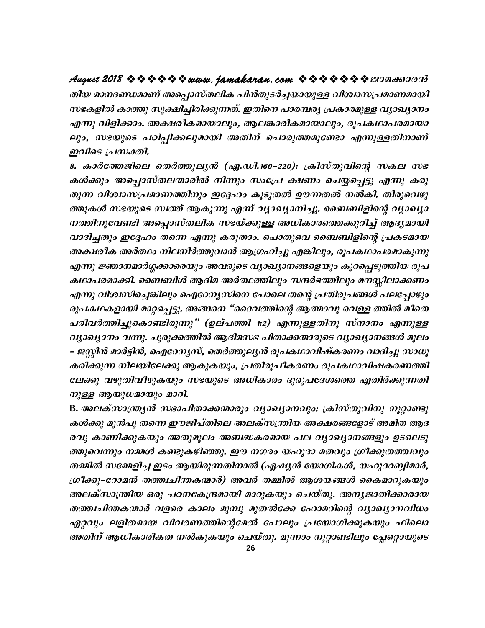### തിയ മാനദണ്ഡമാണ് അപ്പൊസ്തലിക പിൻതുടർച്ചയായുള്ള വിശ്വാസപ്രമാണമായി സഭകളിൽ കാത്തു സൂക്ഷിച്ചിരിക്കുന്നത്. ഇതിനെ പാരമ്പര്യ പ്രകാരമുള്ള വ്യാഖ്യാനം എന്നു വിളിക്കാം. അക്ഷരീകമായാലും, ആലങ്കാരികമായാലും, രൂപകഥാപരമായാ ലും, സഭയുടെ പഠിപ്പിക്കലുമായി അതിന് പൊരുത്തമുണ്ടോ എന്നുള്ളതിനാണ് ഇവിടെ പ്രസക്തി.

8. കാർത്തേജിലെ തെർത്തുലൃൻ (ഏ.ഡി.160–220): ക്രിസ്തുവിന്റെ സകല സഭ കൾക്കും അപ്പൊസ്തലന്മാരിൽ നിന്നും സംപ്രേ ക്ഷണം ചെയ്യപ്പെട്ടു എന്നു കരു തുന്ന വിശ്വാസപ്രമാണത്തിനും ഇദ്ദേഹം കൂടുതൽ ഊന്നതൽ നൽകി. തിരുവെഴു ത്തുകൾ സഭയുടെ സ്ഥത്ത് ആകുന്നു എന്ന് വ്യാഖ്യാനിച്ചു. ബൈബിളിന്റെ വ്യാഖ്യാ നത്തിനുവേണ്ടി അപ്പൊസ്തലിക സഭയ്ക്കുള്ള അധികാരത്തെക്കുറിച്ച് ആദ്യമായി വാദിച്ചതും ഇദ്ദേഹം തന്നെ എന്നു കരുതാം. പൊതുവെ ബൈബിളിന്റെ പ്രകടമായ അക്ഷരീക അർത്ഥം നിലനിർത്തുവാൻ ആഗ്രഹിച്ചു എങ്കിലും, രൂപകഥാപരമാകുന്നു എന്നു ജ്ഞാനമാർഗ്ഗക്കാരെയും അവരുടെ വ്യാഖ്യാനങ്ങളെയും കുറപ്പെടുത്തിയ രൂപ കഥാപരമാക്കി. ബൈബിൾ ആദിമ അർത്ഥത്തിലും സന്ദർഭത്തിലും മനസ്സിലാക്കണം എന്നു വിശ്വസിച്ചെങ്കിലും ഐറേന്യസിനെ പോലെ തന്റെ പ്രതിരൂപങ്ങൾ പലപ്പോഴും രൂപകഥകളായി മാറ്റപ്പെട്ടു. അങ്ങനെ "ദൈവത്തിന്റെ ആത്മാവു വെള്ള ത്തിൽ മീതെ പരിവർത്തിച്ചുകൊണ്ടിരുന്നു" (ഉല്പത്തി 1:2) എന്നുള്ളതിനു സ്നാനം എന്നുള്ള വ്യാഖ്യാനം വന്നു. ചുരുക്കത്തിൽ ആദിമസഭ പിതാക്കന്മാരുടെ വ്യാഖ്യാനങ്ങൾ മൂലം – ജസ്റ്റിൻ മാർട്ടിൻ, ഐറേന്യസ്, തെർത്തുല്യൻ രൂപകഥാവിഷ്കരണം വാദിച്ചു സാധൂ കരിക്കുന്ന നിലയിലേക്കു ആകുകയും, പ്രതിരൂപീകരണം രൂപകഥാവിഷകരണത്തി ലേക്കു വഴുതിവീഴുകയും സഭയുടെ അധികാരം ദുരുപദേശത്തെ എതിർക്കുന്നതി നുള്ള ആയുധമായും മാറി.

B. അലക്സാന്ത്ര്യൻ സഭാപിതാക്കന്മാരും വ്യാഖ്യാനവും: ക്രിസ്തുവിനു നൂറ്റാണ്ടു കൾക്കു മുൻപു തന്നെ ഈജിപ്തിലെ അലക്സന്ത്രിയ അക്ഷരങ്ങളോട് അമിത ആദ രവു കാണിക്കുകയും അതുമൂലം അബദ്ധകരമായ പല വ്യാഖ്യാനങ്ങളും ഉടലെടു ത്തുവെന്നും നമ്മൾ കണ്ടുകഴിഞ്ഞു. ഈ നഗരം യഹൂദാ മതവും ഗ്രീക്കുതത്ത്വവും തമ്മിൽ സമ്മേളിച്ച ഇടം ആയിരുന്നതിനാൽ (ഏഷ്യൻ യോഗികൾ, യഹൂദറബ്ബിമാർ, ഗ്രീക്കു–റോമൻ തത്ത്വചിന്തകന്മാർ) അവർ തമ്മിൽ ആശയങ്ങൾ കൈമാറുകയും അലക്സാന്ത്രിയ ഒരു പഠനകേന്ദ്രമായി മാറുകയും ചെയ്തു. അനൃജാതിക്കാരായ തത്ത്വചിന്തകന്മാർ വളരെ കാലം മുമ്പു മുതൽക്കേ ഹോമറിന്റെ വ്യാഖ്യാനവിധം ഏറ്റവും ലളിതമായ വിവരണത്തിന്റെമേൽ പോലും പ്രയോഗിക്കുകയും ഫിലൊ അതിന് ആധികാരികത നൽകുകയും ചെയ്തു. മൂന്നാം നൂറ്റാണ്ടിലും പ്ലേറ്റൊയുടെ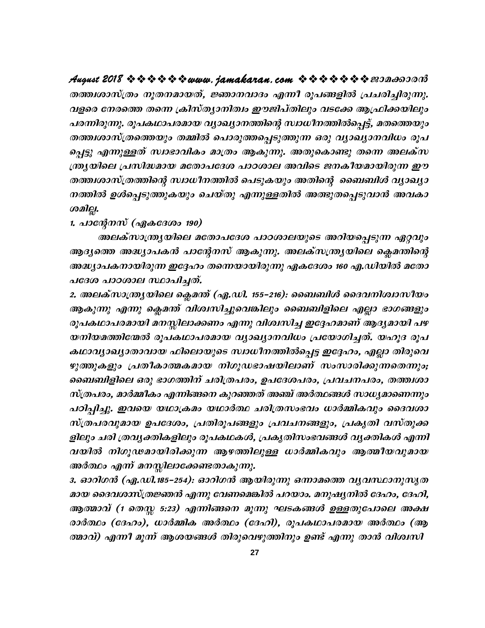August 2018 \* \* \* \* \* \* www. jamakaran.com \* \* \* \* \* \* \* \* 200000000 തത്ത്വശാസ്ത്രം നൂതനമായത്, ജ്ഞാനവാദം എന്നീ രൂപങ്ങളിൽ പ്രചരിച്ചിരുന്നു. വളരെ നേരത്തെ തന്നെ ക്രിസ്ത്യാനിത്വം ഈജിപ്തിലും വടക്കേ ആഫ്രിക്കയിലും പരന്നിരുന്നു. രൂപകഥാപരമായ വ്യാഖ്യാനത്തിന്റെ സ്ഥധീനത്തിൽപ്പെട്ട്, മതത്തെയും തത്ത്വശാസ്ത്രത്തെയും തമ്മിൽ പൊരുത്തപ്പെടുത്തുന്ന ഒരു വ്യാഖ്യാനവിധം രൂപ പ്പെട്ടു എന്നുള്ളത് സ്വാഭാവികം മാത്രം ആകുന്നു. അതുകൊണ്ടു തന്നെ അലക്സ ന്ത്ര്യയിലെ പ്രസിദ്ധമായ മതോപദേശ പാഠശാല അവിടെ ജനകീയമായിരുന്ന ഈ തത്ത്വശാസ്ത്രത്തിന്റെ സ്വാധീനത്തിൽ പെടുകയും അതിന്റെ ബൈബിൾ വ്യാഖ്യാ നത്തിൽ ഉൾപ്പെടുത്തുകയും ചെയ്തു എന്നുള്ളതിൽ അത്ഭുതപ്പെടുവാൻ അവകാ முவிது.

1. പാന്റേനസ് (ഏകദേശം 190)

അലക്സാന്ത്ര്യയിലെ മതോപദേശ പാഠശാലയുടെ അറിയപ്പെടുന്ന ഏറ്റവും ആദ്യത്തെ അദ്ധ്യാപകൻ പാന്റേനസ് ആകുന്നു. അലക്സന്ത്ര്യയിലെ ക്ലെമന്തിന്റെ അദ്ധ്യാപകനായിരുന്ന ഇദ്ദേഹം തന്നെയായിരുന്നു ഏകദേശം 160 എ.ഡിയിൽ മതോ പദേശ പാഠശാല സ്ഥാപിച്ചത്.

2. അലക്സാന്ത്ര്യയിലെ ക്ലെമന്ത് (ഏ.ഡി. 155–216): ബൈബിൾ ദൈവനിശ്വാസീയം ആകുന്നു എന്നു ക്ലെമന്ത് വിശ്വസിച്ചുവെങ്കിലും ബൈബിളിലെ എല്ലാ ഭാഗങ്ങളും രൂപകഥാപരമായി മനസ്സിലാക്കണം എന്നു വിശ്വസിച്ച ഇദ്ദേഹമാണ് ആദ്യമായി പഴ യനിയമത്തിന്മേൽ രൂപകഥാപരമായ വ്യാഖ്യാനവിധം പ്രയോഗിച്ചത്. യഹൂദ രൂപ കഥാവൃാഖ്യാതാവായ ഫിലൊയുടെ സ്വാധീനത്തിൽപ്പെട്ട ഇദ്ദേഹം, എല്ലാ തിരുവെ ഴുത്തുകളും പ്രതീകാത്മകമായ നിഗൂഡഭാഷയിലാണ് സംസാരിക്കുന്നതെന്നും; ബൈബിളിലെ ഒരു ഭാഗത്തിന് ചരിത്രപരം, ഉപദേശപരം, പ്രവചനപരം, തത്ത്വശാ സ്ത്രപരം, മാർമ്മീകം എന്നിങ്ങനെ കുറഞ്ഞത് അഞ്ച് അർത്ഥങ്ങൾ സാധ്യമാണെന്നും പഠിപ്പിച്ചു. ഇവയെ യഥാക്രമം യഥാർത്ഥ ചരിത്രസംഭവം ധാർമ്മികവും ദൈവശാ സ്ത്രപരവുമായ ഉപദേശം, പ്രതിരൂപങ്ങളും പ്രവചനങ്ങളും, പ്രകൃതി വസ്തുക്ക ളിലും ചരി ത്രവൃക്തികളിലും രൂപകഥകൾ, പ്രകൃതിസംഭവങ്ങൾ വൃക്തികൾ എന്നി വയിൽ നിഗൂഢമായിരിക്കുന്ന ആഴത്തിലുള്ള ധാർമ്മികവും ആത്മീയവുമായ അർത്ഥം എന്ന് മനസ്സിലാക്കേണ്ടതാകുന്നു.

3. ഓറിഗൻ (ഏ.ഡി.185–254): ഓറിഗൻ ആയിരുന്നു ഒന്നാമത്തെ വ്യവസ്ഥാനുസൃത മായ ദൈവശാസ്ത്രജ്ഞൻ എന്നു വേണമെങ്കിൽ പറയാം. മനുഷ്യനിൽ ദേഹം, ദേഹി, ആത്മാവ് (1 തെസ്സ 5:23) എന്നിങ്ങനെ മൂന്നു ഘടകങ്ങൾ ഉള്ളതുപോലെ അക്ഷ രാർത്ഥം (ദേഹം), ധാർമ്മിക അർത്ഥം (ദേഹി), രൂപകഥാപരമായ അർത്ഥം (ആ ത്മാവ്) എന്നീ മൂന്ന് ആശയങ്ങൾ തിരുവെഴുത്തിനും ഉണ്ട് എന്നു താൻ വിശ്വസി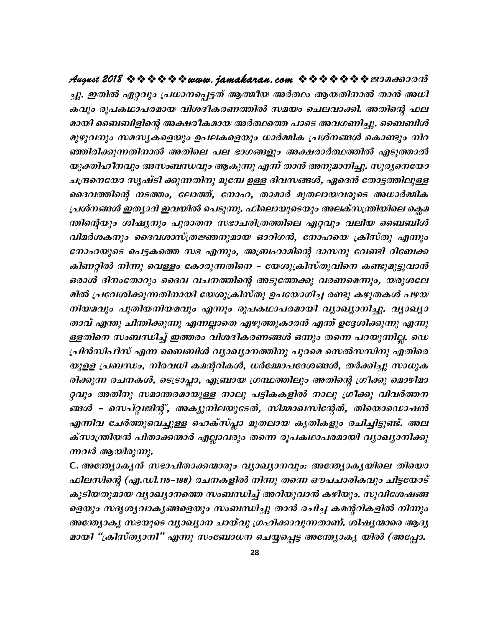ച്ചു. ഇതിൽ ഏറ്റവും പ്രധാനപ്പെട്ടത് ആത്മീയ അർത്ഥം ആയതിനാൽ താൻ അധി കവും രൂപകഥാപരമായ വിശദീകരണത്തിൽ സമയം ചെലവാക്കി. അതിന്റെ ഫല മായി ബൈബിളിന്റെ അക്ഷരീകമായ അർത്ഥത്തെ പാടെ അവഗണിച്ചു. ബൈബിൾ മുഴുവനും സമസൃകളെയും ഉപലകളെയും ധാർമ്മിക പ്രശ്നങ്ങൾ കൊണ്ടും നിറ ഞ്ഞിരിക്കുന്നതിനാൽ അതിലെ പല ഭാഗങ്ങളും അക്ഷരാർത്ഥത്തിൽ എടുത്താൽ യുക്തിഹീനവും അസംബന്ധവും ആകുന്നു എന്ന് താൻ അനുമാനിച്ചു. സൂര്യനെയോ ചന്ദ്രനെയോ സൃഷ്ടി ക്കുന്നതിനു മുമ്പേ ഉള്ള ദിവസങ്ങൾ, ഏദെൻ തോട്ടത്തിലുള്ള ദൈവത്തിന്റെ നടത്തം, ലോത്ത്, നോഹ, താമാർ മുതലായവരുടെ അധാർമ്മിക പ്രശ്നങ്ങൾ ഇത്യാദി ഇവയിൽ പെടുന്നു. ഫിലൊയുടെയും അലക്സന്ത്രിയിലെ ക്ലെമ ന്തിന്റെയും ശിഷ്യനും പുരാതന സഭാചരിത്രത്തിലെ ഏറ്റവും വലിയ ബൈബിൾ വിമർശകനും ദൈവശാസ്ത്രജ്ഞനുമായ ഓറിഗൻ, നോഹയെ ക്രിസ്തു എന്നും നോഹയുടെ പെട്ടകത്തെ സഭ എന്നും, അബ്രഹാമിന്റെ ദാസനു വേണ്ടി റിബേക്ക കിണറ്റിൽ നിന്നു വെള്ളം കോരുന്നതിനെ – യേശുക്രിസ്തുവിനെ കണ്ടുമുട്ടുവാൻ ഒരാൾ ദിനംതോറും ദൈവ വചനത്തിന്റെ അടുത്തേക്കു വരണമെന്നും, യരുശലേ മിൽ പ്രവേശിക്കുന്നതിനായി യേശുക്രിസ്തു ഉപയോഗിച്ച രണ്ടു കഴുതകൾ പഴയ നിയമവും പുതിയനിയമവും എന്നും രൂപകഥാപരമായി വ്യാഖ്യാനിച്ചു. വ്യാഖ്യാ താവ് എന്തു ചിന്തിക്കുന്നു എന്നല്ലാതെ എഴുത്തുകാരൻ എന്ത് ഉദ്ദേശിക്കുന്നു എന്നു ള്ളതിനെ സംബന്ധിച്ച് ഇത്തരം വിശദീകരണങ്ങൾ ഒന്നും തന്നെ പറയുന്നില്ല. ഡെ പ്രിൻസിപീസ് എന്ന ബൈബിൾ വ്യാഖ്യാനത്തിനു പുറമെ സെൽസസിനു എതിരെ യുളള പ്രബന്ധം, നിരവധി കമന്ററികൾ, ധർമ്മോപദേശങ്ങൾ, തർക്കിച്ചു സാധൂക രിക്കുന്ന രചനകൾ, ടെട്രാപ്പാ, എബ്രായ ഗ്രന്ഥത്തിലും അതിന്റെ ഗ്രീക്കു മൊഴിമാ റ്റവും അതിനു സമാന്തരമായുള്ള നാലു പട്ടികകളിൽ നാലു ഗ്രീക്കു വിവർത്തന ങ്ങൾ - സെപ്റ്റ്വജിന്റ്, അക്യുനിലയുടേത്, സിമ്മാഖസിന്റേത്, തിയൊഡൊഷൻ എന്നിവ ചേർത്തുവെച്ചുള്ള ഹെക്സ്പ്ലാ മുതലായ കൃതികളും രചിച്ചിട്ടുണ്ട്. അല ക്സാന്ത്രിയൻ പിതാക്കന്മാർ എല്ലാവരും തന്നെ രൂപകഥാപരമായി വ്യാഖ്യാനിക്കു ന്നവർ ആയിരുന്നു.

C. അത്യോകൃൻ സഭാപിതാക്കന്മാരും വ്യാഖ്യാനവും: അന്ത്യാകൃയിലെ തിയൊ ഫിലസിന്റെ (ഏ.ഡി.115–188) രചനകളിൽ നിന്നു തന്നെ ഔപചാരികവും ചിട്ടയോട് കൂടിയതുമായ വ്യാഖ്യാനത്തെ സംബന്ധിച്ച് അറിയുവാൻ കഴിയും. സുവിശേഷങ്ങ ളെയും സദൃശൃവാകൃങ്ങളെയും സംബന്ധിച്ചു താൻ രചിച്ച കമന്ററികളിൽ നിന്നും അന്ത്യോകൃ സഭയുടെ വ്യാഖ്യാന ചായ്വു ഗ്രഹിക്കാവുന്നതാണ്. ശിഷ്യന്മാരെ ആദ്യ മായി "ക്രിസ്ത്യാനി" എന്നു സംബോധന ചെയ്യപ്പെട്ട അന്ത്യോക്യ യിൽ (അപ്പോ.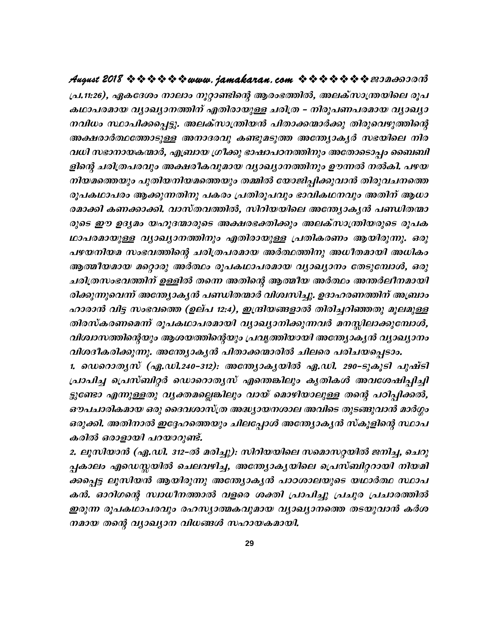പ്ര.11:26), ഏകദേശം നാലാം നൂറ്റാണ്ടിന്റെ ആരംഭത്തിൽ, അലക്സാന്ത്രയിലെ രൂപ കഥാപരമായ വൃാഖ്യാനത്തിന് എതിരായുള്ള ചരിത്ര – നിരൂപണപരമായ വ്യാഖ്യാ നവിധം സ്ഥാപിക്കപ്പെട്ടു. അലക്സാന്ത്രിയൻ പിതാക്കന്മാർക്കു തിരുവെഴുത്തിന്റെ അക്ഷരാർത്ഥത്തോടുള്ള അനാദരവു കണ്ടുമടുത്ത അന്ത്യോകൃർ സഭയിലെ നിര വധി സഭാനായകന്മാർ, എബ്രായ ഗ്രീക്കു ഭാഷാപഠനത്തിനും അതോടൊപ്പം ബൈബി ളിന്റെ ചരിത്രപരവും അക്ഷരികവുമായ വ്യാഖ്യാനത്തിനും ഊന്നൽ നൽകി. പഴയ നിയമത്തെയും പുതിയനിയമത്തെയും തമ്മിൽ യോജിപ്പിക്കുവാൻ തിരുവചനത്തെ രൂപകഥാപരം ആക്കുന്നതിനു പകരം പ്രതിരൂപവും ഭാവികഥനവും അതിന് ആധാ രമാക്കി കണക്കാക്കി. വാസ്തവത്തിൽ, സിറിയയിലെ അന്ത്യോകൃൻ പണ്ഡിതന്മാ രുടെ ഈ ഉദ്യമം യഹൂദന്മാരുടെ അക്ഷരഭക്തിക്കും അലക്സാന്ത്രിയരുടെ രൂപക ഥാപരമായുള്ള വൃാഖ്യാനത്തിനും എതിരായുള്ള പ്രതികരണം ആയിരുന്നു. ഒരു പഴയനിയമ സംഭവത്തിന്റെ ചരിത്രപരമായ അർത്ഥത്തിനു അധീതമായി അധികം ആത്മീയമായ മറ്റൊരു അർത്ഥം രൂപകഥാപരമായ വ്യാഖ്യാനം തേടുമ്പോൾ, ഒരു ചരിത്രസംഭവത്തിന് ഉള്ളിൽ തന്നെ അതിന്റെ ആത്മീയ അർത്ഥം അന്തർലീനമായി രിക്കുന്നുവെന്ന് അന്ത്യോകൃൻ പണ്ഡിതന്മാർ വിശ്വസിച്ചു. ഉദാഹരണത്തിന് അബ്രാം ഹാരാൻ വിട്ട സംഭവത്തെ (ഉല്പ 12:4), ഇന്ദ്രിയങ്ങളാൽ തിരിച്ചറിഞ്ഞതു മൂലമുള്ള തിരസ്കരണമെന്ന് രൂപകഥാപരമായി വ്യാഖ്യാനിക്കുന്നവർ മനസ്സിലാക്കുമ്പോൾ, വിശ്വാസത്തിന്റെയും ആശയത്തിന്റെയും പ്രവൃത്തിയായി അന്ത്യോകൃൻ വ്യാഖ്യാനം വിശദീകരിക്കുന്നു. അന്ത്യോകൃൻ പിതാക്കന്മാരിൽ ചിലരെ പരിചയപ്പെടാം.

1. ഡെറൊതൃസ് (ഏ.ഡി.240–312): അന്ത്യോകൃയിൽ ഏ.ഡി. 290–ടുകൂടി പുഷ്ടി പ്രാപിച്ച പ്രെസ്ബിറ്റർ ഡൊറൊതൃസ് എന്തെങ്കിലും കൃതികൾ അവശേഷിപ്പിച്ചി ട്ടുണ്ടോ എന്നുള്ളതു വൃക്തമല്ലെങ്കിലും വായ് മൊഴിയാലുള്ള തന്റെ പഠിപ്പിക്കൽ, ഔപചാരികമായ ഒരു ദൈവശാസ്ത്ര അദ്ധ്യായനശാല അവിടെ തുടങ്ങുവാൻ മാർഗ്ഗം ഒരുക്കി. അതിനാൽ ഇദ്ദേഹത്തെയും ചിലപ്പോൾ അന്ത്യോകൃൻ സ്കൂളിന്റെ സ്ഥാപ കരിൽ ഒരാളായി പറയാറുണ്ട്.

2. ലൂസിയാൻ (ഏ.ഡി. 312–ൽ മരിച്ചു): സിറിയയിലെ സമൊസറ്റയിൽ ജനിച്ച, ചെറു പ്പകാലം എഡെസ്സയിൽ ചെലവഴിച്ച, അന്ത്യോകൃയിലെ പ്രെസ്ബിറ്ററായി നിയമി ക്കപ്പെട്ട ലൂസിയൻ ആയിരുന്നു അന്ത്യോകൃൻ പാഠശാലയുടെ യഥാർത്ഥ സ്ഥാപ കൻ. ഓറിഗന്റെ സ്വാധീനത്താൽ വളരെ ശക്തി പ്രാപിച്ചു പ്രചുര പ്രചാരത്തിൽ ഇരുന്ന രൂപകഥാപരവും രഹസ്യാത്മകവുമായ വ്യാഖ്യാനത്തെ തടയുവാൻ കർശ നമായ തന്റെ വ്യാഖ്യാന വിധങ്ങൾ സഹായകമായി.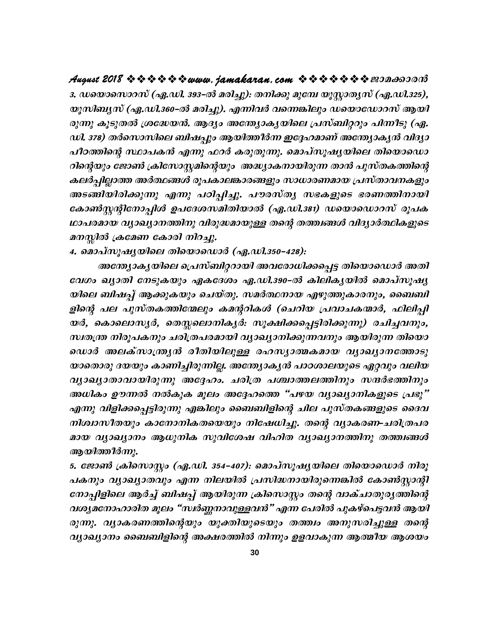3. ഡയൊസൊറസ് (ഏ.ഡി. 393–ൽ മരിച്ചു): തനിക്കു മുമ്പേ യൂസ്റ്റാതൃസ് (ഏ.ഡി.325), യൂസിബൃസ് (ഏ.ഡി.360–ൽ മരിച്ചു). എന്നിവർ വന്നെങ്കിലും ഡയൊഡോറസ് ആയി രുന്നു കൂടുതൽ ശ്രദ്ധേയൻ. ആദ്യം അന്ത്യോക്യയിലെ പ്രസ്ബിറ്ററും പിന്നീടു (ഏ. ഡി. 378) തർസൊസിലെ ബിഷപ്പും ആയിത്തീർന്ന ഇദ്ദേഹമാണ് അന്ത്യോകൃൻ വിദ്യാ പീഠത്തിന്റെ സ്ഥാപകൻ എന്നു ഫറർ കരുതുന്നു. മൊപ്സൂഷ്യയിലെ തിയൊഡൊ റിന്റെയും ജോൺ ക്രിസോസ്റ്റമിന്റെയും അദ്ധ്യാകനായിരുന്ന താൻ പുസ്തകത്തിന്റെ കലർപ്പില്ലാത്ത അർത്ഥങ്ങൾ രൂപകാലങ്കാരങ്ങളും സാധാരണമായ പ്രസ്താവനകളും അടങ്ങിയിരിക്കുന്നു എന്നു പഠിപ്പിച്ചു. പൗരസ്ത്യ സഭകളുടെ ഭരണത്തിനായി കോൺസ്റ്റന്റിനോപ്പിൾ ഉപദേശസമിതിയാൽ (ഏ.ഡി.381) ഡയൊഡൊറസ് രൂപക ഥാപരമായ വ്യാഖ്യാനത്തിനു വിരുദ്ധമായുള്ള തന്റെ തത്ത്വങ്ങൾ വിദ്യാർത്ഥികളുടെ മനസ്സിൽ ക്രമേണ കോരി നിറച്ചു.

4. മൊപ്സൂഷ്യയിലെ തിയൊഡൊർ (ഏ.ഡി.350–428):

അന്ത്യാകൃയിലെ പ്രെസ്ബിറ്ററായി അവരോധിക്കപ്പെട്ട തിയൊഡൊർ അതി വേഗം ഖ്യാതി നേടുകയും ഏകദേശം ഏ.ഡി.390-ൽ കിലികൃയിൽ മൊപ്സൂഷ്യ യിലെ ബിഷപ്പ് ആക്കുകയും ചെയ്തു. സമർത്ഥനായ എഴുത്തുകാരനും, ബൈബി ളിന്റെ പല പുസ്തകത്തിന്മേലും കമന്ററികൾ (ചെറിയ പ്രവാചകന്മാർ, ഫിലിപ്പി യർ, കൊലൊസൃർ, തെസ്സലൊനികൃർ։ സൂക്ഷിക്കപ്പെട്ടിരിക്കുന്നു) രചിച്ചവനും, സ്വതന്ത്ര നിരൂപകനും ചരിത്രപരമായി വ്യാഖ്യാനിക്കുന്നവനും ആയിരുന്ന തിയൊ ഡൊർ അലക്സാന്ത്രൃൻ രീതിയിലുള്ള രഹസ്യാത്മകമായ വ്യാഖ്യാനത്തോടു യാതൊരു ദയയും കാണിച്ചിരുന്നില്ല. അന്ത്യോകൃൻ പാഠശാലയുടെ ഏറ്റവും വലിയ വ്യാഖ്യാതാവായിരുന്നു അദ്ദേഹം. ചരിത്ര പശ്ചാത്തലത്തിനും സന്ദർഭത്തിനും അധികം ഊന്നൽ നൽകുക മൂലം അദ്ദേഹത്തെ "പഴയ വ്യാഖ്യാനികളുടെ പ്രഭു" എന്നു വിളിക്കപ്പെട്ടിരുന്നു എങ്കിലും ബൈബിളിന്റെ ചില പുസ്തകങ്ങളുടെ ദൈവ നിശ്വാസീതയും കാനോനികതയെയും നിഷേധിച്ചു. തന്റെ വ്യാകരണ-ചരിത്രപര മായ വ്യാഖ്യാനം ആധുനിക സുവിശേഷ വിഹിത വ്യാഖ്യാനത്തിനു തത്ത്വങ്ങൾ ആയിത്തീർന്നു.

5. ജോൺ ക്രിസൊസ്റ്റം (ഏ.ഡി. 354–407): മൊപ്സൂഷ്യയിലെ തിയൊഡൊർ നിരൂ പകനും വ്യാഖ്യാതവും എന്ന നിലയിൽ പ്രസിദ്ധനായിരുന്നെങ്കിൽ കോൺസ്റ്റാന്റി നോപ്പിളിലെ ആർച്ച് ബിഷപ്പ് ആയിരുന്ന ക്രിസൊസ്റ്റം തന്റെ വാക്ചാതുരുത്തിന്റെ വശ്യമനോഹാരിത മൂലം "സ്ഥർണ്ണനാവുള്ളവൻ" എന്ന പേരിൽ പുകഴ്പെട്ടവൻ ആയി രുന്നു. വ്യാകരണത്തിന്റെയും യുക്തിയുടെയും തത്ത്വം അനുസരിച്ചുള്ള തന്റെ വ്യാഖ്യാനം ബൈബിളിന്റെ അക്ഷരത്തിൽ നിന്നും ഉളവാകുന്ന ആത്മീയ ആശയം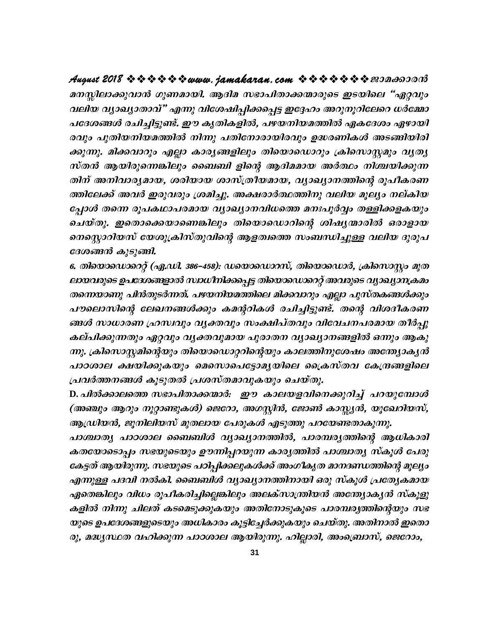മനസ്സിലാക്കുവാൻ ഗുണമായി. ആദിമ സഭാപിതാക്കന്മാരുടെ ഇടയിലെ "ഏറ്റവും വലിയ വ്യാഖ്യാതാവ്" എന്നു വിശേഷിപ്പിക്കപ്പെട്ട ഇദ്ദേഹം അറുനൂറിലേറെ ധർമ്മോ പദേശങ്ങൾ രചിച്ചിട്ടുണ്ട്. ഈ കൃതികളിൽ, പഴയനിയമത്തിൽ ഏകദേശം ഏഴായി രവും പുതിയനിയമത്തിൽ നിന്നു പതിനോരായിരവും ഉദ്ധരണികൾ അടങ്ങിയിരി ക്കുന്നു. മിക്കവാറും എല്ലാ കാര്യങ്ങളിലും തിയൊഡൊറും ക്രിസൊസ്റ്റമും വ്യത്യ സ്തൻ ആയിരുന്നെങ്കിലും ബൈബി ളിന്റെ ആദിമമായ അർത്ഥം നിശ്ചയിക്കുന്ന തിന് അനിവാര്യമായ, ശരിയായ ശാസ്ത്രീയമായ, വ്യാഖ്യാനത്തിന്റെ രൂപീകരണ ത്തിലേക്ക് അവർ ഇരുവരും ശ്രമിച്ചു. അക്ഷരാർത്ഥത്തിനു വലിയ മൂല്യം നല്കിയ പ്പോൾ തന്നെ രൂപകഥാപരമായ വ്യാഖ്യാനവിധത്തെ മനഃപൂർവ്വം തള്ളിക്കളകയും ചെയ്തു. ഇതൊക്കെയാണെങ്കിലും തിയൊഡൊറിന്റെ ശിഷ്യന്മാരിൽ ഒരാളായ നെസ്റ്റൊറിയസ് യേശുക്രിസ്തുവിന്റെ ആളത്വത്തെ സംബന്ധിച്ചുള്ള വലിയ ദുരുപ ദേശങ്ങൻ കുടുങ്ങി.

6. തിയൊഡൊറ്റെ (ഏ.ഡി. 386–458): ഡയൊഡൊറസ്, തിയൊഡൊർ, ക്രിസൊസ്റ്റം മുത ലായവരുടെ ഉപദേശങ്ങളാൽ സ്ഥധീനിക്കപ്പെട്ട തിയൊഡൊറെറ്റ് അവരുടെ വ്യാഖ്യാനക്രമം തന്നെയാണു പിൻതുടർന്നത്. പഴയനിയമത്തിലെ മിക്കവാറും എല്ലാ പുസ്തകങ്ങൾക്കും പൗലൊസിന്റെ ലേഖനങ്ങൾക്കും കമന്ററികൾ രചിച്ചിട്ടുണ്ട്. തന്റെ വിശദീകരണ ങ്ങൾ സാധാരണ ഹ്രസ്ഥ്യാ വൃക്തവും സംക്ഷിപ്തവും വിവേചനപരമായ തീർപ്പു കല്പിക്കുന്നതും ഏറ്റവും വൃക്തവുമായ പുരാതന വ്യാഖ്യാനങ്ങളിൽ ഒന്നും ആകു ന്നു. ക്രിസൊസ്റ്റമിന്റെയും തിയൊഡൊറ്ററിന്റെയും കാലത്തിനുശേഷം അന്ത്യാകൃൻ പാഠശാല ക്ഷയിക്കുകയും മെസൊപെട്ടോമൃയിലെ ക്രൈസ്തവ കേന്ദ്രങ്ങളിലെ പ്രവർത്തനങ്ങൾ കൂടുതൽ പ്രശസ്തമാവുകയും ചെയ്തു.

D. പിൽക്കാലത്തെ സഭാപിതാക്കന്മാർ: ഈ കാലയളവിനെക്കുറിച്ച് പറയുമ്പോൾ (അഞ്ചും ആറും നൂറ്റാണ്ടുകൾ) ജെറോ, അഗസ്റ്റിൻ, ജോൺ കാസ്സ്യൻ, യൂഖേറിയസ്, ആഡ്രിയൻ, ജുനിലിയസ് മുതലായ പേരുകൾ എടുത്തു പറയേണ്ടതാകുന്നു.

പാശ്ചാതൃ പാഠശാല ബൈബിൾ വ്യാഖ്യാനത്തിൽ, പാരമ്പരൃത്തിന്റെ ആധികാരി കതയോടൊപ്പം സഭയുടെയും ഊന്നിപ്പറയുന്ന കാര്യത്തിൽ പാശ്ചാത്യ സ്കൂൾ പേരു കേട്ടത് ആയിരുന്നു. സഭയുടെ പഠിപ്പിക്കലുകൾക്ക് അംഗീകൃത മാനദണ്ഡത്തിന്റെ മൂല്യം എന്നുള്ള പദവി നൽകി. ബൈബിൾ വ്യാഖ്യാനത്തിനായി ഒരു സ്കൂൾ പ്രത്യേകമായ ഏതെങ്കിലും വിധം രൂപീകരിച്ചില്ലെങ്കിലും അലക്സാന്ത്രിയൻ അന്ത്യോകൃൻ സ്കൂളു കളിൽ നിന്നു ചിലത് കടമെടുക്കുകയും അതിനോടുകൂടെ പാരമ്പര്യത്തിന്റെയും സഭ യുടെ ഉപദേശങ്ങളുടെയും അധികാരം കൂട്ടിച്ചേർക്കുകയും ചെയ്തു. അതിനാൽ ഇതൊ രു, മദ്ധ്യസ്ഥത വഹിക്കുന്ന പാഠശാല ആയിരുന്നു. ഹില്ലാരി, അംബ്രൊസ്, ജെറോം,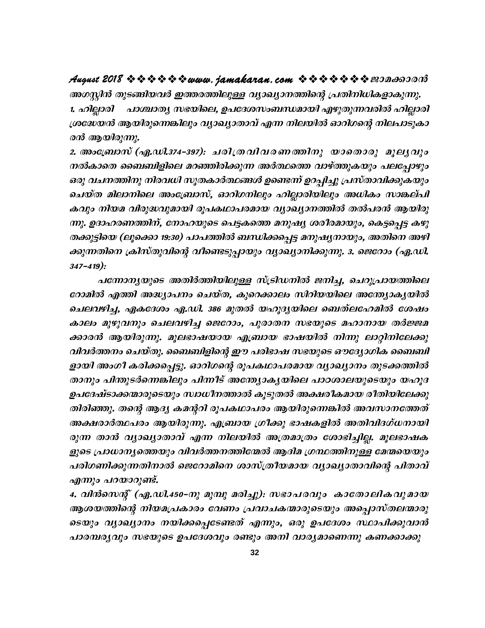### 

അഗസ്റ്റിൻ തുടങ്ങിയവർ ഇത്തരത്തിലുള്ള വ്യാഖ്യാനത്തിന്റെ പ്രതിനിധികളാകുന്നു. പാശ്ചാതൃ സഭയിലെ, ഉപദേശസംബന്ധമായി എഴുതുന്നവരിൽ ഹില്ലാരി 1. ഹില്ലാരി ശ്രദ്ധേയൻ ആയിരുന്നെങ്കിലും വ്യാഖ്യാതാവ് എന്ന നിലയിൽ ഓറിഗന്റെ നിലപാടുകാ രൻ ആയിരുന്നു.

2. അംബ്രോസ് (ഏ.ഡി.374-397): ചരിത്രവിവരണത്തിനു യാതൊരു മൂല്യവും നൽകാതെ ബൈബിളിലെ മറഞ്ഞിരിക്കുന്ന അർത്ഥത്തെ വാഴ്ത്തുകയും പലപ്പോഴും ഒരു വചനത്തിനു നിരവധി സൂതകാർത്ഥങ്ങൾ ഉണ്ടെന്ന് ഉറപ്പിച്ചു പ്രസ്താവിക്കുകയും ചെയ്ത മിലാനിലെ അംബ്രോസ്, ഓറിഗനിലും ഹില്ലാരിയിലും അധികം സാങ്കല്പി കവും നിയമ വിരുദ്ധവുമായി രൂപകഥാപരമായ വ്യാഖ്യാനത്തിൽ തൽപരൻ ആയിരു ന്നു. ഉദാഹരണത്തിന്, നോഹയുടെ പെട്ടകത്തെ മനുഷ്യ ശരീരമായും, കെട്ടപ്പെട്ട കഴു തക്കുട്ടിയെ (ലൂക്കൊ 19:30) പാപത്തിൽ ബന്ധിക്കപ്പെട്ട മനുഷ്യനായും, അതിനെ അഴി ക്കുന്നതിനെ ക്രിസ്തുവിന്റെ വീണ്ടെടുപ്പായും വ്യാഖ്യാനിക്കുന്നു. 3. ജെറോം (ഏ.ഡി.  $347 - 419$ :

പന്നോനൃയുടെ അതിർത്തിയിലുള്ള സ്ട്രിഡനിൽ ജനിച്ച, ചെറുപ്രായത്തിലെ റോമിൽ എത്തി അദ്ധ്യാപനം ചെയ്ത, കുറെക്കാലം സിറിയയിലെ അന്ത്യോകൃയിൽ ചെലവഴിച്ച, ഏകദേശം ഏ.ഡി. 386 മുതൽ യഹൂദ്യയിലെ ബെത്ലഹേമിൽ ശേഷം കാലം മുഴുവനും ചെലവഴിച്ച ജെറോം, പുരാതന സഭയുടെ മഹാനായ തർജ്ജമ ക്കാരൻ ആയിരുന്നു. മൂലഭാഷയായ എബ്രായ ഭാഷയിൽ നിന്നു ലാറ്റിനിലേക്കു വിവർത്തനം ചെയ്തു. ബൈബിളിന്റെ ഈ പരിഭാഷ സഭയുടെ ഔദ്യോഗിക ബൈബി ളായി അംഗീ കരിക്കപ്പെട്ടു. ഓറിഗന്റെ രൂപകഥാപരമായ വ്യാഖ്യാനം തുടക്കത്തിൽ താനും പിന്തുടർന്നെങ്കിലും പിന്നീട് അന്ത്യോകൃയിലെ പാഠശാലയുടെയും യഹൂദ ഉപദേഷ്ടാക്കന്മാരുടെയും സ്വാധീനത്താൽ കൂടുതൽ അക്ഷരീകമായ രീതിയിലേക്കു തിരിഞ്ഞു. തന്റെ ആദ്യ കമന്ററി രൂപകഥാപരം ആയിരുന്നെങ്കിൽ അവസാനത്തേത് അക്ഷരാർത്ഥപരം ആയിരുന്നു. എബ്രായ ഗ്രീക്കു ഭാഷകളിൽ അതിവിദഗ്ധനായി രുന്ന താൻ വ്യാഖ്യാതാവ് എന്ന നിലയിൽ അത്രമാത്രം ശോഭിച്ചില്ല. മൂലഭാഷക ളുടെ പ്രാധാനൃത്തെയും വിവർത്തനത്തിന്മേൽ ആദിമ ഗ്രന്ഥത്തിനുള്ള മേന്മയെയും പരിഗണിക്കുന്നതിനാൽ ജെറോമിനെ ശാസ്ത്രീയമായ വ്യാഖ്യാതാവിന്റെ പിതാവ് എന്നും പറയാറുണ്ട്.

4. വിൻസെന്റ് (ഏ.ഡി.450–നു മുമ്പു മരിച്ചു): സഭാപരവും കാതോലികവുമായ ആശയത്തിന്റെ നിയമപ്രകാരം വേണം പ്രവാചകന്മാരുടെയും അപ്പൊസ്തലന്മാരു ടെയും വ്യാഖ്യാനം നയിക്കപ്പെടേണ്ടത് എന്നും, ഒരു ഉപദേശം സ്ഥാപിക്കുവാൻ പാരമ്പര്യവും സഭയുടെ ഉപദേശവും രണ്ടും അനി വാര്യമാണെന്നു കണക്കാക്കു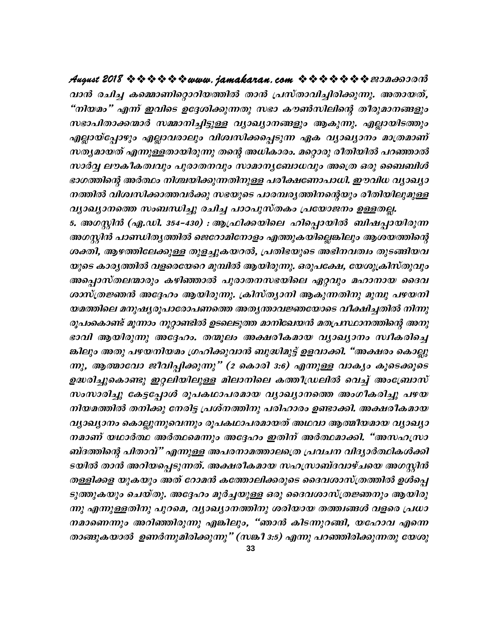വാൻ രചിച്ച കമ്മൊണിറ്റൊറിയത്തിൽ താൻ പ്രസ്താവിച്ചിരിക്കുന്നു. അതായത്, "നിയമം" എന്ന് ഇവിടെ ഉദ്ദേശിക്കുന്നതു സഭാ കൗൺസിലിന്റെ തീരുമാനങ്ങളും സഭാപിതാക്കന്മാർ സമ്മാനിച്ചിട്ടുള്ള വ്യാഖ്യാനങ്ങളും ആകുന്നു. എല്ലായിടത്തും എല്ലായ്പ്പോഴും എല്ലാവരാലും വിശ്വസിക്കപ്പെടുന്ന ഏക വ്യാഖ്യാനം മാത്രമാണ് സത്യമായത് എന്നുള്ളതായിരുന്നു തന്റെ അധികാരം. മറ്റൊരു രീതിയിൽ പറഞ്ഞാൽ സാർവ്വ ലൗകീകത്വവും പുരാതനവും സാമാനൃബോധവും അത്രെ ഒരു ബൈബിൾ ഭാഗത്തിന്റെ അർത്ഥം നിശ്ചയിക്കുന്നതിനുള്ള പരീക്ഷണോപാധി. ഈവിധ വ്യാഖ്യാ നത്തിൽ വിശ്വസിക്കാത്തവർക്കു സഭയുടെ പാരമ്പരൃത്തിനന്റെയും രീതിയിലുമുള്ള വ്യാഖ്യാനത്തെ സംബന്ധിച്ചു രചിച്ച പാഠപുസ്തകം പ്രയോജനം ഉള്ളതല്ല.

5. അഗസ്റ്റിൻ (ഏ.ഡി. 354–430) : ആഫ്രിക്കയിലെ ഹിപ്പൊയിൽ ബിഷപ്പായിരുന്ന അഗസ്റ്റിൻ പാണ്ഡിതൃത്തിൽ ജെറോമിനോളം എത്തുകയില്ലെങ്കിലും ആശയത്തിന്റെ ശക്തി, ആഴത്തിലേക്കുള്ള തുളച്ചുകയറൽ, പ്രതിഭയുടെ അഭിനവത്വം തുടങ്ങിയവ യുടെ കാരൃത്തിൽ വളരെയേറെ മുമ്പിൽ ആയിരുന്നു. ഒരുപക്ഷേ, യേശുക്രിസ്തുവും അപ്പൊസ്തലന്മാരും കഴിഞ്ഞാൽ പുരാതനസഭയിലെ ഏറ്റവും മഹാനായ ദൈവ ശാസ്ത്രജ്ഞൻ അദ്ദേഹം ആയിരുന്നു. ക്രിസ്ത്യാനി ആകുന്നതിനു മുമ്പു പഴയനി യമത്തിലെ മനുഷ്യരൂപാരോപണത്തെ അതൃന്താവജ്ഞയോടെ വീക്ഷിച്ചതിൽ നിന്നു രൂപംകൊണ്ട് മൂന്നാം നൂറ്റാണ്ടിൽ ഉടലെടുത്ത മാനിഖേയൻ മതപ്രസ്ഥാനത്തിന്റെ അനു ഭാവി ആയിരുന്നു അദ്ദേഹം. തന്മൂലം അക്ഷരീകമായ വ്യാഖ്യാനം സ്ഥീകരിച്ചെ ങ്കിലും അതു പഴയനിയമം ഗ്രഹിക്കുവാൻ ബുദ്ധിമുട്ട് ഉളവാക്കി. "അക്ഷരം കൊല്ലു ന്നു, ആത്മാവോ ജീവിപ്പിക്കുന്നു" (2 കൊരി 3:6) എന്നുള്ള വാകൃം കൂടെക്കൂടെ ഉദ്ധരിച്ചുകൊണ്ടു ഇറ്റലിയിലുള്ള മിലാനിലെ കത്തീഡ്രലിൽ വെച്ച് അംബ്രോസ് സംസാരിച്ചു കേട്ടപ്പോൾ രൂപകഥാപരമായ വ്യാഖ്യാനത്തെ അംഗീകരിച്ചു പഴയ നിയമത്തിൽ തനിക്കു നേരിട്ട പ്രശ്നത്തിനു പരിഹാരം ഉണ്ടാക്കി. അക്ഷരീകമായ വ്യാഖ്യാനം കൊല്ലുന്നുവെന്നും രൂപകഥാപരമായത് അഥവാ ആത്മീയമായ വ്യാഖ്യാ നമാണ് യഥാർത്ഥ അർത്ഥമെന്നും അദ്ദേഹം ഇതിന് അർത്ഥമാക്കി. "അസഹസ്രാ ബ്ദത്തിന്റെ പിതാവ്" എന്നുള്ള അപരനാമത്താലത്രെ പ്രവചന വിദ്യാർത്ഥികൾക്കി ടയിൽ താൻ അറിയപ്പെടുന്നത്. അക്ഷരീകമായ സഹസ്രാബ്ദവാഴ്ചയെ അഗസ്റ്റിൻ തള്ളിക്കള യുകയും അത് റോമൻ കത്തോലിക്കരുടെ ദൈവശാസ്ത്രത്തിൽ ഉൾപ്പെ ടുത്തുകയും ചെയ്തു. അദ്ദേഹം മൂർച്ചയുള്ള ഒരു ദൈവശാസ്ത്രജ്ഞനും ആയിരു ന്നു എന്നുള്ളതിനു പുറമെ, വ്യാഖ്യാനത്തിനു ശരിയായ തത്ത്വങ്ങൾ വളരെ പ്രധാ നമാണെന്നും അറിഞ്ഞിരുന്നു എങ്കിലും, "ഞാൻ കിടന്നുറങ്ങി, യഹോവ എന്നെ താങ്ങുകയാൽ ഉണർന്നുമിരിക്കുന്നു" (സങ്കീ 3:5) എന്നു പറഞ്ഞിരിക്കുന്നതു യേശു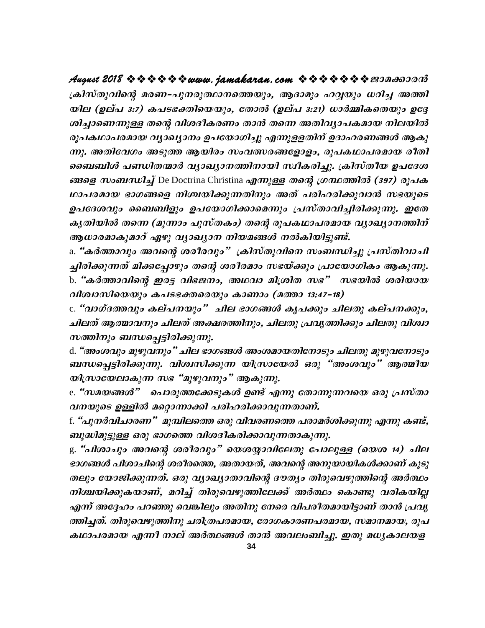ക്രിസ്തുവിന്റെ മരണ–പുനരുത്ഥാനത്തെയും, ആദാമും ഹവ്വയും ധറിച്ച അത്തി യില (ഉല്പ 3:7) കപടഭക്തിയെയും, തോൽ (ഉല്പ 3:21) ധാർമ്മികതെയും ഉദ്ദേ ശിച്ചാണെന്നുള്ള തന്റെ വിശദീകരണം താൻ തന്നെ അതിവ്യാപകമായ നിലയിൽ രൂപകഥാപരമായ വ്യാഖ്യാനം ഉപയോഗിച്ചു എന്നുള്ളതിന് ഉദാഹരണങ്ങൾ ആകു ന്നു. അതിവേഗം അടുത്ത ആയിരം സംവത്സരങ്ങളോളം, രൂപകഥാപരമായ രീതി ബൈബിൾ പണ്ഡിതന്മാർ വ്യാഖ്യാനത്തിനായി സ്ഥീകരിച്ചു. ക്രിസ്തീയ ഉപദേശ ങ്ങളെ സംബന്ധിച്ച് De Doctrina Christina എന്നുള്ള തന്റെ ഗ്രന്ഥത്തിൽ (397) രൂപക ഥാപരമായ ഭാഗങ്ങളെ നിശ്ചയിക്കുന്നതിനും അത് പരിഹരിക്കുവാൻ സഭയുടെ ഉപദേശവും ബൈബിളും ഉപയോഗിക്കാമെന്നും പ്രസ്താവിച്ചിരിക്കുന്നു. ഇതേ കൃതിയിൽ തന്നെ (മൂന്നാം പുസ്തകം) തന്റെ രൂപകഥാപരമായ വ്യാഖ്യാനത്തിന് ആധാരമാകുമാറ് ഏഴു വ്യാഖ്യാന നിയമങ്ങൾ നൽകിയിട്ടുണ്ട്.

a. "കർത്താവും അവന്റെ ശരീരവും" ക്രിസ്തുവിനെ സംബന്ധിച്ചു പ്രസ്തിവാചി ച്ചിരിക്കുന്നത് മിക്കപ്പോഴും തന്റെ ശരീരമാം സഭയ്ക്കും പ്രായോഗികം ആകുന്നു. b. "കർത്താവിന്റെ ഇരട്ട വിഭജനം, അഥവാ മിശ്രിത സഭ" സഭയിൽ ശരിയായ വിശ്വാസിയെയും കപടഭക്തരെയും കാണാം (മത്താ 13:47-18)

c. "വാഗ്ദത്തവും കല്പനയും" ചില ഭാഗങ്ങൾ കൃപക്കും ചിലതു കല്പനക്കും, ചിലത് ആത്മാവനും ചിലത് അക്ഷരത്തിനും, ചിലതു പ്രവൃത്തിക്കും ചിലതു വിശ്വാ സത്തിനും ബന്ധപ്പെട്ടിരിക്കുന്നു.

d. "അംശവും മുഴുവനും" ചില ഭാഗങ്ങൾ അംശമായതിനോടും ചിലതു മുഴുവനോടും ബന്ധപ്പെട്ടിരിക്കുന്നു. വിശ്വസിക്കുന്ന യിസ്രായേൽ ഒരു "അംശവും" ആത്മീയ യിസ്രായേലാകുന്ന സഭ "മുഴുവനും" ആകുന്നു.

e. "സമയങ്ങൾ" പൊരുത്തക്കേടുകൾ ഉണ്ട് എന്നു തോന്നുന്നവയെ ഒരു പ്രസ്താ വനയുടെ ഉള്ളിൽ മറ്റൊന്നാക്കി പരിഹരിക്കാവുന്നതാണ്.

f. "പുനർവിചാരണ" മുമ്പിലത്തെ ഒരു വിവരണത്തെ പരാമർശിക്കുന്നു എന്നു കണ്ട്, ബുദ്ധിമുട്ടുള്ള ഒരു ഭാഗത്തെ വിശദീകരിക്കാവുന്നതാകുന്നു.

g. "പിശാചും അവന്റെ ശരീരവും" യെശയ്യാവിലേതു പോലുള്ള (യെശ 14) ചില ഭാഗങ്ങൾ പിശാചിന്റെ ശരീരത്തെ, അതായത്, അവന്റെ അനുയായികൾക്കാണ് കൂടു തലും യോജിക്കുന്നത്. ഒരു വ്യാഖ്യാതാവിന്റെ ദൗത്യം തിരുവെഴുത്തിന്റെ അർത്ഥം നിശ്ചയിക്കുകയാണ്, മറിച്ച് തിരുവെഴുത്തിലേക്ക് അർത്ഥം കൊണ്ടു വരികയില്ല എന്ന് അദ്ദേഹം പറഞ്ഞു വെങ്കിലും അതിനു നേരെ വിപരീതമായിട്ടാണ് താൻ പ്രവൃ ത്തിച്ചത്. തിരുവെഴുത്തിനു ചരിത്രപരമായ, രോഗകാരണപരമായ, സമാനമായ, രൂപ കഥാപരമായ എന്നീ നാല് അർത്ഥങ്ങൾ താൻ അവലംബിച്ചു. ഇതു മധ്യകാലയള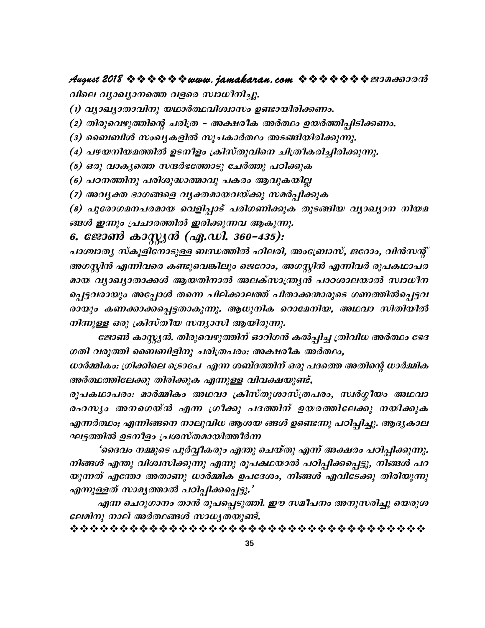## 

വിലെ വ്യാഖ്യാനത്തെ വളരെ സ്ഥധീനിച്ചു.

(1) വ്യാഖ്യാതാവിനു യഥാർത്ഥവിശ്വാസം ഉണ്ടായിരിക്കണം.

(2) തിരുവെഴുത്തിന്റെ ചരിത്ര - അക്ഷരീക അർത്ഥം ഉയർത്തിപ്പിടിക്കണം.

(3) ബൈബിൾ സംഖ്യകളിൽ സൂചകാർത്ഥം അടങ്ങിയിരിക്കുന്നു.

(4) പഴയനിയമത്തിൽ ഉടനീളം ക്രിസ്തുവിനെ ചിത്രീകരിച്ചിരിക്കുന്നു.

(5) ഒരു വാകൃത്തെ സന്ദർഭത്തോടു ചേർത്തു പഠിക്കുക

(6) പഠനത്തിനു പരിശുദ്ധാത്മാവു പകരം ആവുകയില്ല

(7) അവൃക്ത ഭാഗങ്ങളെ വൃക്തമായവയ്ക്കു സമർപ്പിക്കുക

(8) പുരോഗമനപരമായ വെളിപ്പാട് പരിഗണിക്കുക തുടങ്ങിയ വ്യാഖ്യാന നിയമ ങ്ങൾ ഇന്നും പ്രചാരത്തിൽ ഇരിക്കുന്നവ ആകുന്നു.

### 6. ജോൺ കാസ്റ്റ്യൻ (ഏ.ഡി. 360–435):

പാശ്ചാതൃ സ്കൂളിനോടുള്ള ബന്ധത്തിൽ ഹിലരി, അംബ്രോസ്, ജറോം, വിൻസന്റ് അഗസ്റ്റിൻ എന്നിവരെ കണ്ടുവെങ്കിലും ജെറോം, അഗസ്റ്റിൻ എന്നിവർ രൂപകഥാപര മായ വ്യാഖ്യാതാക്കൾ ആയതിനാൽ അലക്സാന്ത്ര്യൻ പാഠശാലയാൽ സ്വാധീന പ്പെട്ടവരായും അപ്പോൾ തന്നെ പില്ക്കാലത്ത് പിതാക്കന്മാരുടെ ഗണത്തിൽപ്പെട്ടവ രായും കണക്കാക്കപ്പെട്ടതാകുന്നു. ആധുനിക റൊമേനിയ, അഥവാ സിതിയിൽ നിന്നുള്ള ഒരു ക്രിസ്തീയ സന്യാസി ആയിരുന്നു.

ജോൺ കാസ്റ്റ്യൻ. തിരുവെഴുത്തിന് ഓറിഗൻ കൽപ്പിച്ച ത്രിവിധ അർത്ഥം ഭേദ ഗതി വരുത്തി ബൈബിളിനു ചരിത്രപരം: അക്ഷരീക അർത്ഥം,

ധാർമ്മികം: ഗ്രിക്കിലെ ട്രൊപേ എന്ന ശബ്ദത്തിന് ഒരു പദത്തെ അതിന്റെ ധാർമ്മിക അർത്ഥത്തിലേക്കു തിരിക്കുക എന്നുള്ള വിവക്ഷയുണ്ട്,

രൂപകഥാപരം: മാർമ്മികം അഥവാ ക്രിസ്തുശാസ്ത്രപരം, സ്വർഗ്ഗീയം അഥവാ രഹസ്യം അനഗെയ്ൻ എന്ന ഗ്രീക്കു പദത്തിന് ഉയരത്തിലേക്കു നയിക്കുക എന്നർത്ഥം; എന്നിങ്ങനെ നാലുവിധ ആശയ ങ്ങൾ ഉണ്ടെന്നു പഠിപ്പിച്ചു. ആദൃകാല ഘട്ടത്തിൽ ഉടനീളം പ്രശസ്തമായിത്തീർന്ന

'ദൈവം നമ്മുടെ പൂർവ്വീകരും എന്തു ചെയ്തു എന്ന് അക്ഷരം പഠിപ്പിക്കുന്നു. നിങ്ങൾ എന്തു വിശ്വസിക്കുന്നു എന്നു രൂപകഥയാൽ പഠിപ്പിക്കപ്പെട്ടു, നിങ്ങൾ പറ യുന്നത് എന്തോ അതാണു ധാർമ്മിക ഉപദേശം, നിങ്ങൾ എവിടേക്കു തിരിയുന്നു എന്നുള്ളത് സാമൃത്താൽ പഠിപ്പിക്കപ്പെട്ടു.'

എന്ന ചെറുഗാനം താൻ രൂപപ്പെടുത്തി. ഈ സമീപനം അനുസരിച്ചു യെരുശ ലേമിനു നാല് അർത്ഥങ്ങൾ സാധ്യതയുണ്ട്.

\*\*\*\*\*\*\*\*\*\*\*\*\*\*\*\*\*\*\*\*\*\*\*\*\*\*\*\*\*\*\*\*\*\*\*\*\*\*